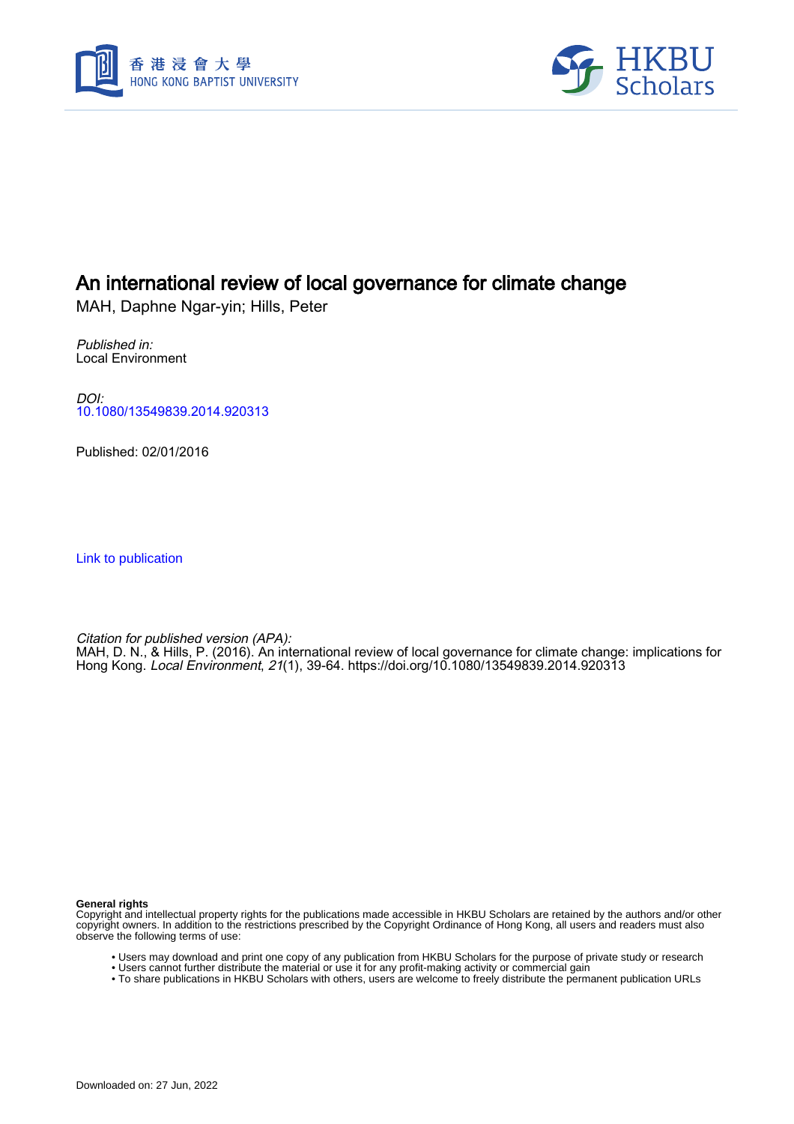



# An international review of local governance for climate change

MAH, Daphne Ngar-yin; Hills, Peter

Published in: Local Environment

DOI: [10.1080/13549839.2014.920313](https://doi.org/10.1080/13549839.2014.920313)

Published: 02/01/2016

[Link to publication](https://scholars.hkbu.edu.hk/en/publications/0265aeb5-e88c-4ac9-b881-59ebcfea9adf)

Citation for published version (APA): MAH, D. N., & Hills, P. (2016). An international review of local governance for climate change: implications for Hong Kong. Local Environment, 21(1), 39-64. <https://doi.org/10.1080/13549839.2014.920313>

**General rights**

Copyright and intellectual property rights for the publications made accessible in HKBU Scholars are retained by the authors and/or other copyright owners. In addition to the restrictions prescribed by the Copyright Ordinance of Hong Kong, all users and readers must also observe the following terms of use:

- Users may download and print one copy of any publication from HKBU Scholars for the purpose of private study or research
- Users cannot further distribute the material or use it for any profit-making activity or commercial gain
- To share publications in HKBU Scholars with others, users are welcome to freely distribute the permanent publication URLs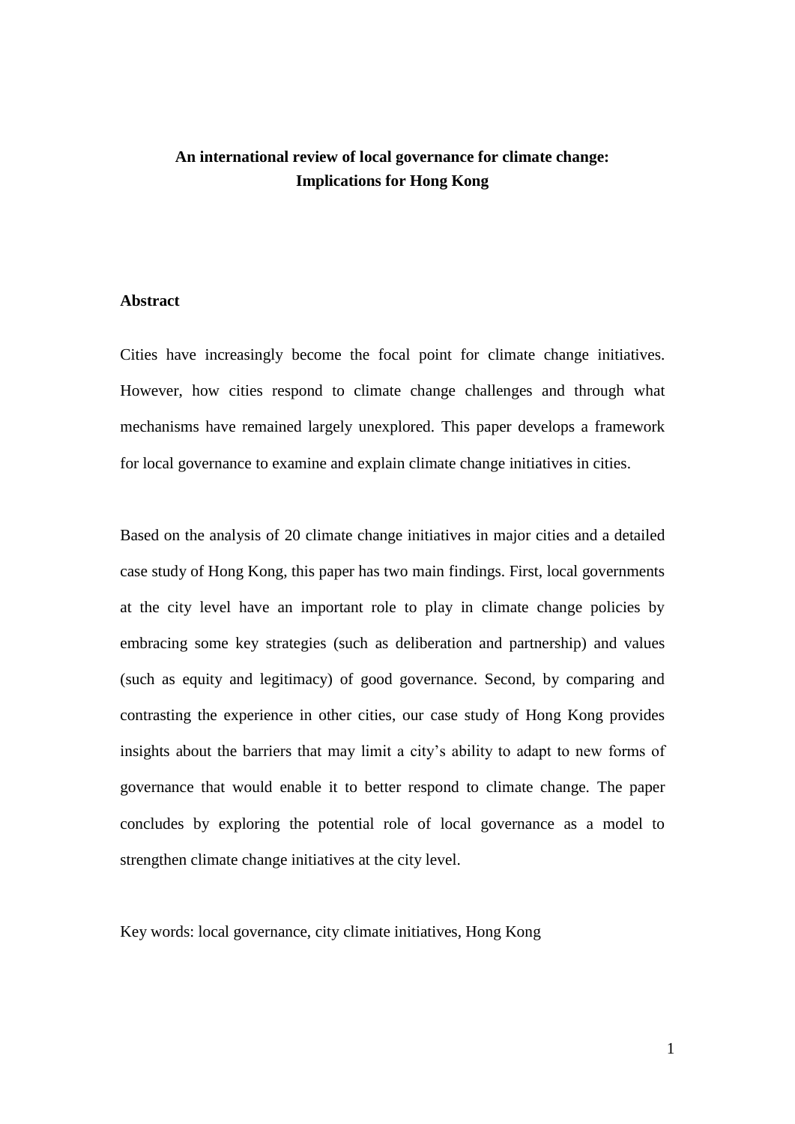# **An international review of local governance for climate change: Implications for Hong Kong**

# **Abstract**

Cities have increasingly become the focal point for climate change initiatives. However, how cities respond to climate change challenges and through what mechanisms have remained largely unexplored. This paper develops a framework for local governance to examine and explain climate change initiatives in cities.

Based on the analysis of 20 climate change initiatives in major cities and a detailed case study of Hong Kong, this paper has two main findings. First, local governments at the city level have an important role to play in climate change policies by embracing some key strategies (such as deliberation and partnership) and values (such as equity and legitimacy) of good governance. Second, by comparing and contrasting the experience in other cities, our case study of Hong Kong provides insights about the barriers that may limit a city's ability to adapt to new forms of governance that would enable it to better respond to climate change. The paper concludes by exploring the potential role of local governance as a model to strengthen climate change initiatives at the city level.

Key words: local governance, city climate initiatives, Hong Kong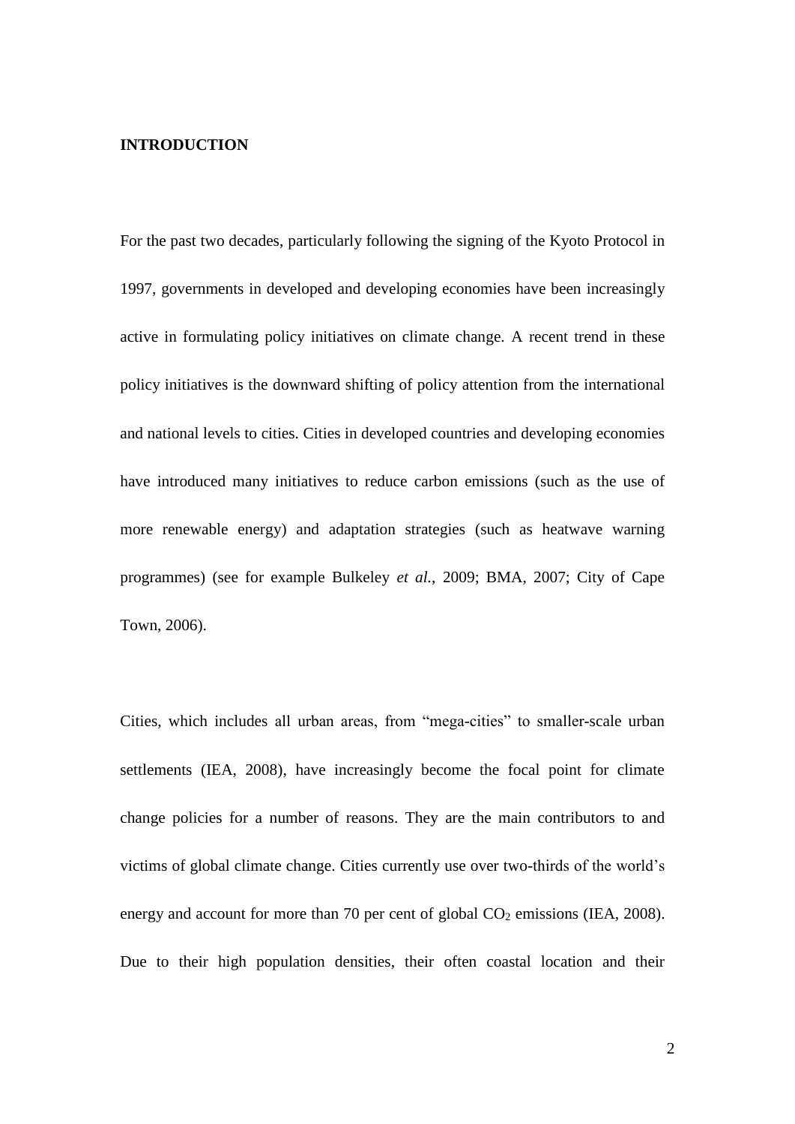### **INTRODUCTION**

For the past two decades, particularly following the signing of the Kyoto Protocol in 1997, governments in developed and developing economies have been increasingly active in formulating policy initiatives on climate change. A recent trend in these policy initiatives is the downward shifting of policy attention from the international and national levels to cities. Cities in developed countries and developing economies have introduced many initiatives to reduce carbon emissions (such as the use of more renewable energy) and adaptation strategies (such as heatwave warning programmes) (see for example Bulkeley *et al.,* 2009; BMA, 2007; City of Cape Town, 2006).

Cities, which includes all urban areas, from "mega-cities" to smaller-scale urban settlements (IEA, 2008), have increasingly become the focal point for climate change policies for a number of reasons. They are the main contributors to and victims of global climate change. Cities currently use over two-thirds of the world's energy and account for more than 70 per cent of global  $CO<sub>2</sub>$  emissions (IEA, 2008). Due to their high population densities, their often coastal location and their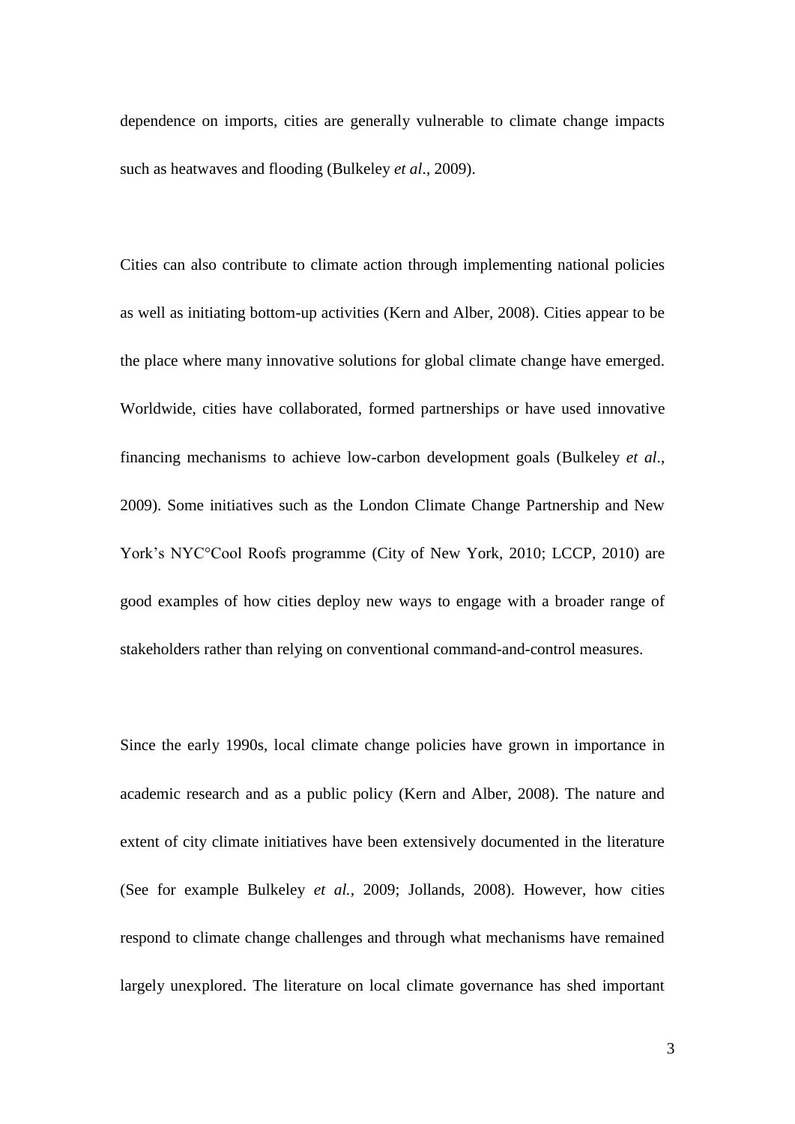dependence on imports, cities are generally vulnerable to climate change impacts such as heatwaves and flooding (Bulkeley *et al*., 2009).

Cities can also contribute to climate action through implementing national policies as well as initiating bottom-up activities (Kern and Alber, 2008). Cities appear to be the place where many innovative solutions for global climate change have emerged. Worldwide, cities have collaborated, formed partnerships or have used innovative financing mechanisms to achieve low-carbon development goals (Bulkeley *et al*., 2009). Some initiatives such as the London Climate Change Partnership and New York's NYC°Cool Roofs programme (City of New York, 2010; LCCP, 2010) are good examples of how cities deploy new ways to engage with a broader range of stakeholders rather than relying on conventional command-and-control measures.

Since the early 1990s, local climate change policies have grown in importance in academic research and as a public policy (Kern and Alber, 2008). The nature and extent of city climate initiatives have been extensively documented in the literature (See for example Bulkeley *et al.,* 2009; Jollands, 2008). However, how cities respond to climate change challenges and through what mechanisms have remained largely unexplored. The literature on local climate governance has shed important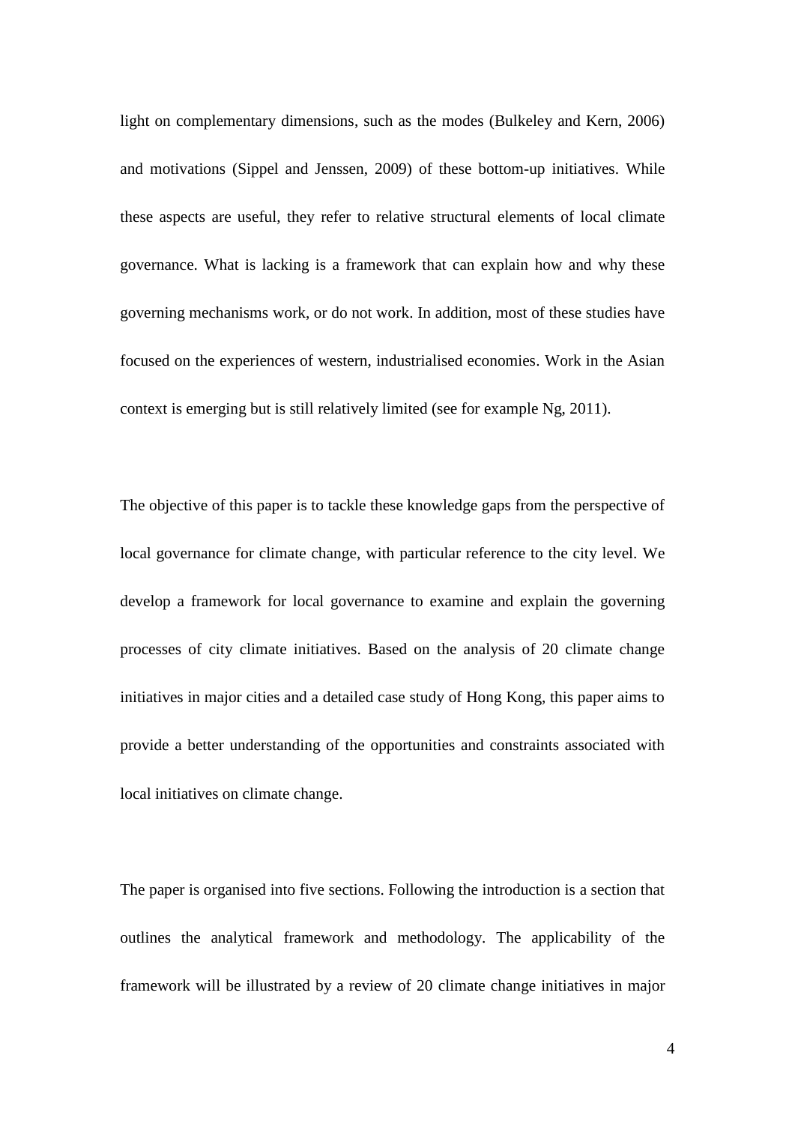light on complementary dimensions, such as the modes (Bulkeley and Kern, 2006) and motivations (Sippel and Jenssen, 2009) of these bottom-up initiatives. While these aspects are useful, they refer to relative structural elements of local climate governance. What is lacking is a framework that can explain how and why these governing mechanisms work, or do not work. In addition, most of these studies have focused on the experiences of western, industrialised economies. Work in the Asian context is emerging but is still relatively limited (see for example Ng, 2011).

The objective of this paper is to tackle these knowledge gaps from the perspective of local governance for climate change, with particular reference to the city level. We develop a framework for local governance to examine and explain the governing processes of city climate initiatives. Based on the analysis of 20 climate change initiatives in major cities and a detailed case study of Hong Kong, this paper aims to provide a better understanding of the opportunities and constraints associated with local initiatives on climate change.

The paper is organised into five sections. Following the introduction is a section that outlines the analytical framework and methodology. The applicability of the framework will be illustrated by a review of 20 climate change initiatives in major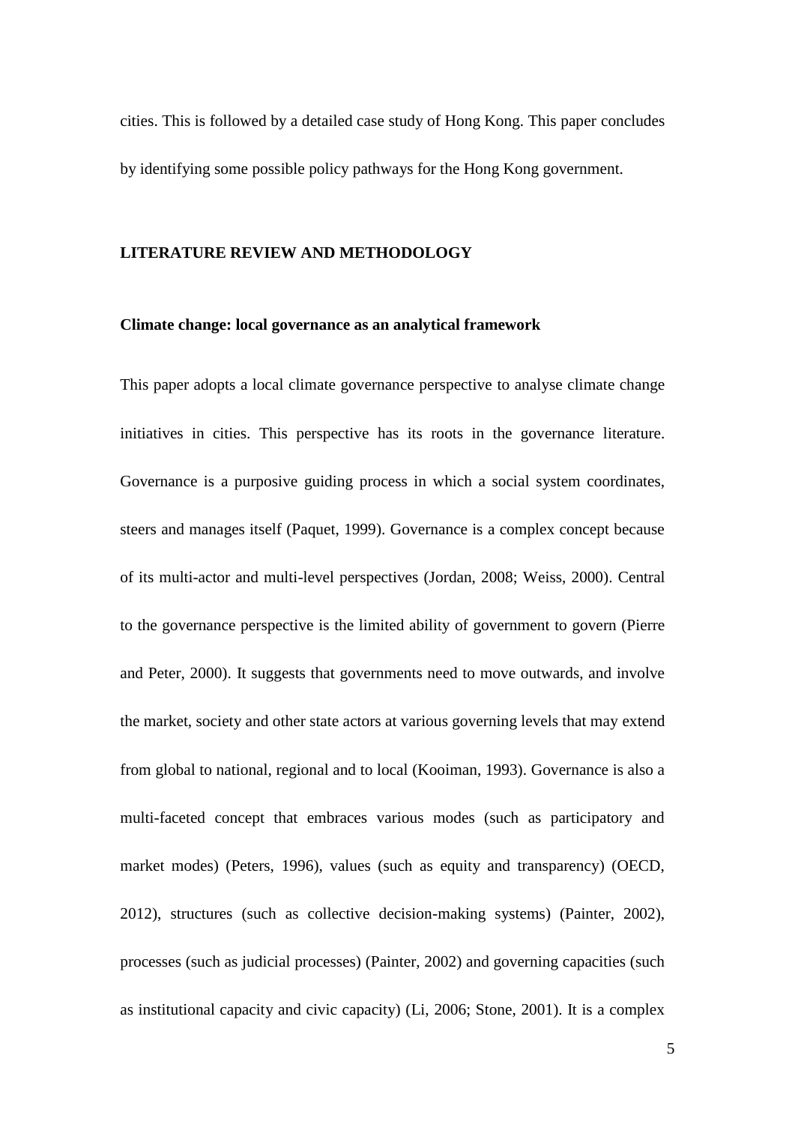cities. This is followed by a detailed case study of Hong Kong. This paper concludes by identifying some possible policy pathways for the Hong Kong government.

#### **LITERATURE REVIEW AND METHODOLOGY**

#### **Climate change: local governance as an analytical framework**

This paper adopts a local climate governance perspective to analyse climate change initiatives in cities. This perspective has its roots in the governance literature. Governance is a purposive guiding process in which a social system coordinates, steers and manages itself (Paquet, 1999). Governance is a complex concept because of its multi-actor and multi-level perspectives (Jordan, 2008; Weiss, 2000). Central to the governance perspective is the limited ability of government to govern (Pierre and Peter, 2000). It suggests that governments need to move outwards, and involve the market, society and other state actors at various governing levels that may extend from global to national, regional and to local (Kooiman, 1993). Governance is also a multi-faceted concept that embraces various modes (such as participatory and market modes) (Peters, 1996), values (such as equity and transparency) (OECD, 2012), structures (such as collective decision-making systems) (Painter, 2002), processes (such as judicial processes) (Painter, 2002) and governing capacities (such as institutional capacity and civic capacity) (Li, 2006; Stone, 2001). It is a complex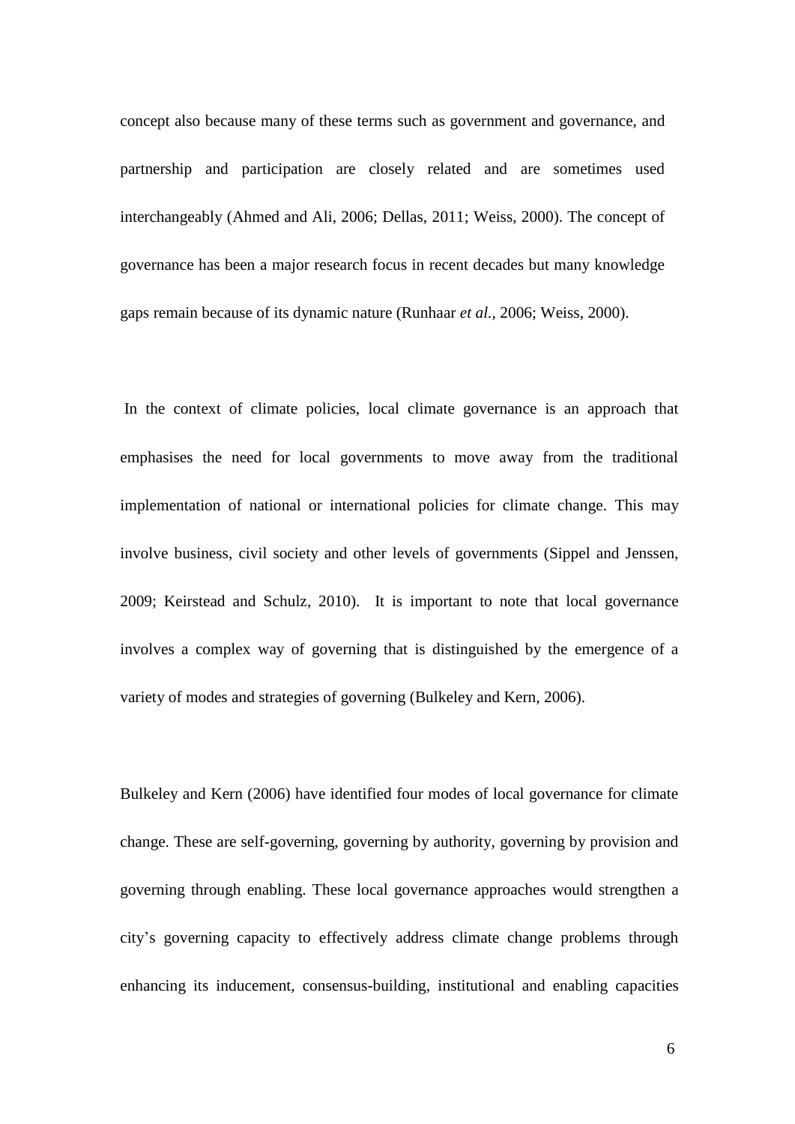concept also because many of these terms such as government and governance, and partnership and participation are closely related and are sometimes used interchangeably (Ahmed and Ali, 2006; Dellas, 2011; Weiss, 2000). The concept of governance has been a major research focus in recent decades but many knowledge gaps remain because of its dynamic nature (Runhaar *et al.,* 2006; Weiss, 2000).

In the context of climate policies, local climate governance is an approach that emphasises the need for local governments to move away from the traditional implementation of national or international policies for climate change. This may involve business, civil society and other levels of governments (Sippel and Jenssen, 2009; Keirstead and Schulz, 2010). It is important to note that local governance involves a complex way of governing that is distinguished by the emergence of a variety of modes and strategies of governing (Bulkeley and Kern, 2006).

[Bulkeley and Kern \(2006\)](#page-45-0) have identified four modes of local governance for climate change. These are self-governing, governing by authority, governing by provision and governing through enabling. These local governance approaches would strengthen a city's governing capacity to effectively address climate change problems through enhancing its inducement, consensus-building, institutional and enabling capacities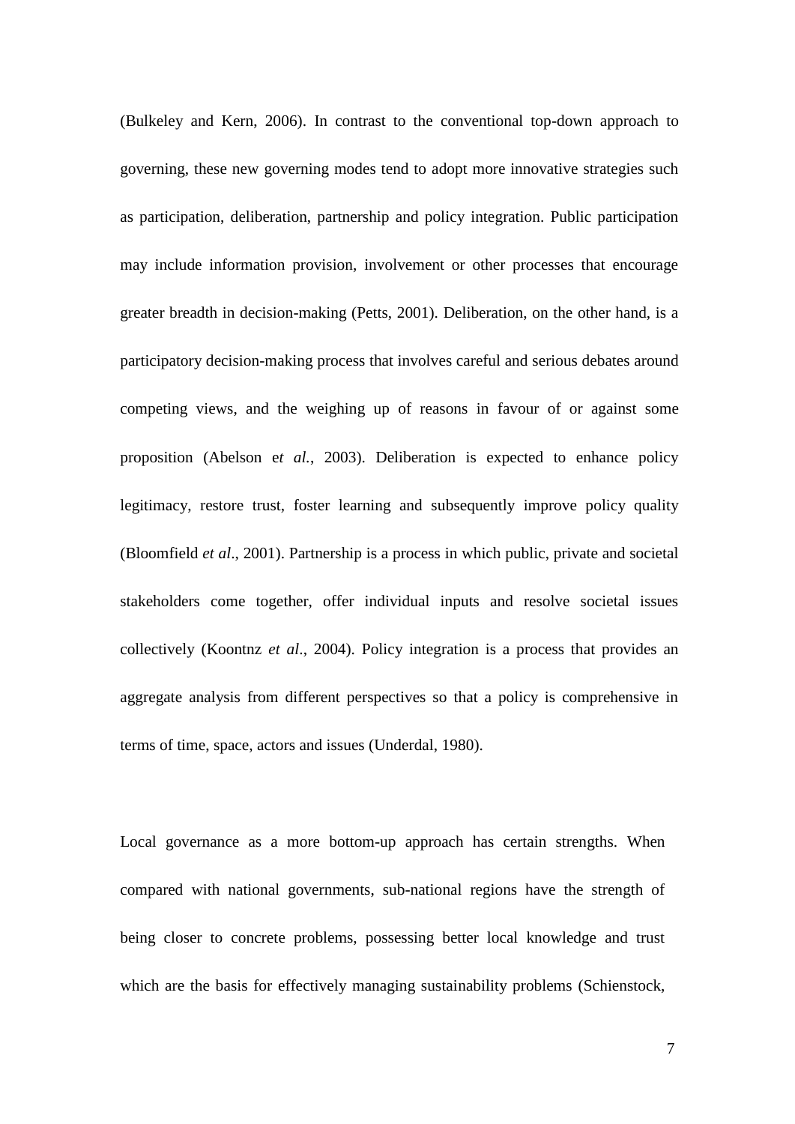(Bulkeley and Kern, 2006). In contrast to the conventional top-down approach to governing, these new governing modes tend to adopt more innovative strategies such as participation, deliberation, partnership and policy integration. Public participation may include information provision, involvement or other processes that encourage greater breadth in decision-making (Petts, 2001). Deliberation, on the other hand, is a participatory decision-making process that involves careful and serious debates around competing views, and the weighing up of reasons in favour of or against some proposition (Abelson e*t al.*, 2003). Deliberation is expected to enhance policy legitimacy, restore trust, foster learning and subsequently improve policy quality (Bloomfield *et al*., 2001). Partnership is a process in which public, private and societal stakeholders come together, offer individual inputs and resolve societal issues collectively (Koontnz *et al*., 2004). Policy integration is a process that provides an aggregate analysis from different perspectives so that a policy is comprehensive in terms of time, space, actors and issues [\(Underdal, 1980\)](#page-47-0).

Local governance as a more bottom-up approach has certain strengths. When compared with national governments, sub-national regions have the strength of being closer to concrete problems, possessing better local knowledge and trust which are the basis for effectively managing sustainability problems (Schienstock,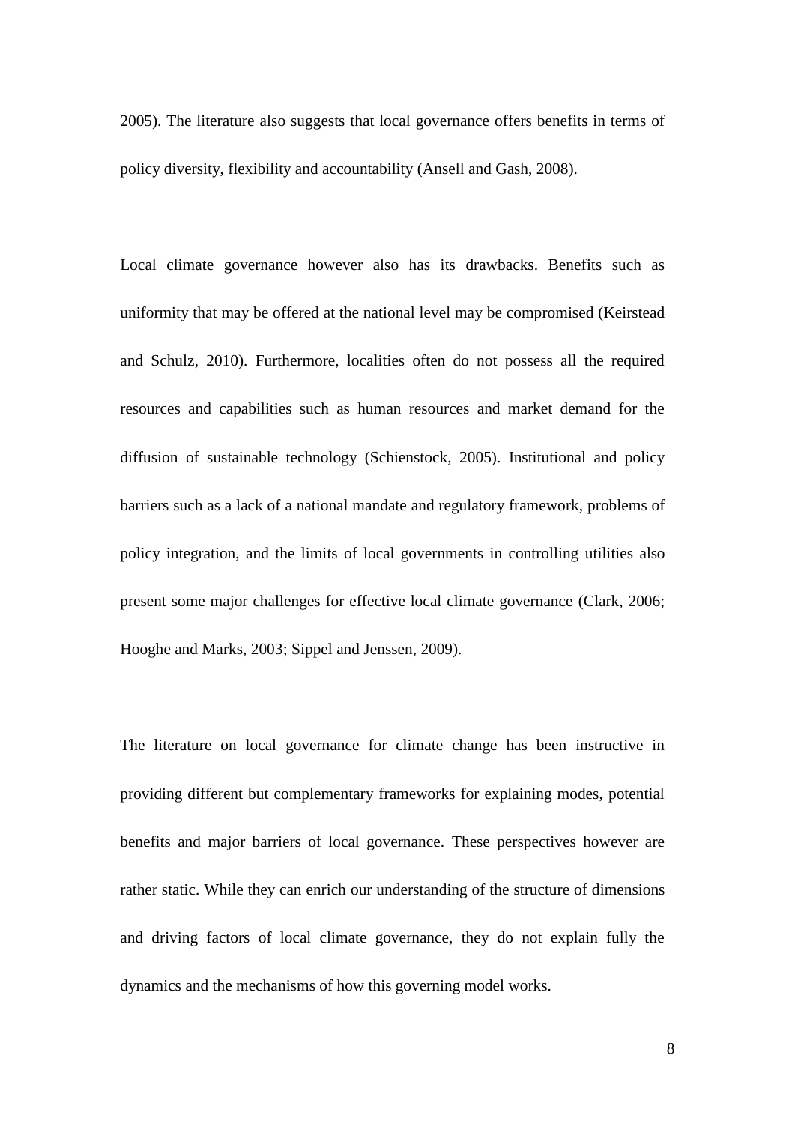2005). The literature also suggests that local governance offers benefits in terms of policy diversity, flexibility and accountability (Ansell and Gash, 2008).

Local climate governance however also has its drawbacks. Benefits such as uniformity that may be offered at the national level may be compromised (Keirstead and Schulz, 2010). Furthermore, localities often do not possess all the required resources and capabilities such as human resources and market demand for the diffusion of sustainable technology (Schienstock, 2005). Institutional and policy barriers such as a lack of a national mandate and regulatory framework, problems of policy integration, and the limits of local governments in controlling utilities also present some major challenges for effective local climate governance (Clark, 2006; Hooghe and Marks, 2003; Sippel and Jenssen, 2009).

The literature on local governance for climate change has been instructive in providing different but complementary frameworks for explaining modes, potential benefits and major barriers of local governance. These perspectives however are rather static. While they can enrich our understanding of the structure of dimensions and driving factors of local climate governance, they do not explain fully the dynamics and the mechanisms of how this governing model works.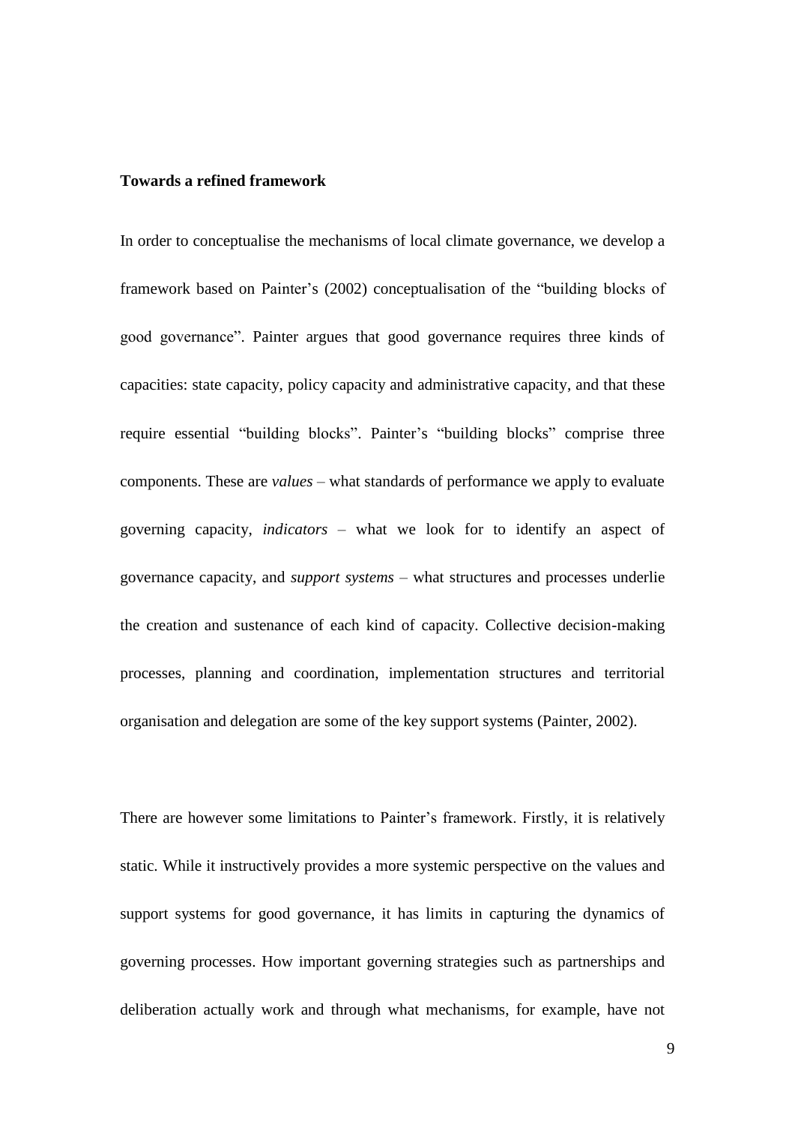#### **Towards a refined framework**

In order to conceptualise the mechanisms of local climate governance, we develop a framework based on Painter's (2002) conceptualisation of the "building blocks of good governance". Painter argues that good governance requires three kinds of capacities: state capacity, policy capacity and administrative capacity, and that these require essential "building blocks". Painter's "building blocks" comprise three components. These are *values* – what standards of performance we apply to evaluate governing capacity, *indicators* – what we look for to identify an aspect of governance capacity, and *support systems* – what structures and processes underlie the creation and sustenance of each kind of capacity. Collective decision-making processes, planning and coordination, implementation structures and territorial organisation and delegation are some of the key support systems (Painter, 2002).

There are however some limitations to Painter's framework. Firstly, it is relatively static. While it instructively provides a more systemic perspective on the values and support systems for good governance, it has limits in capturing the dynamics of governing processes. How important governing strategies such as partnerships and deliberation actually work and through what mechanisms, for example, have not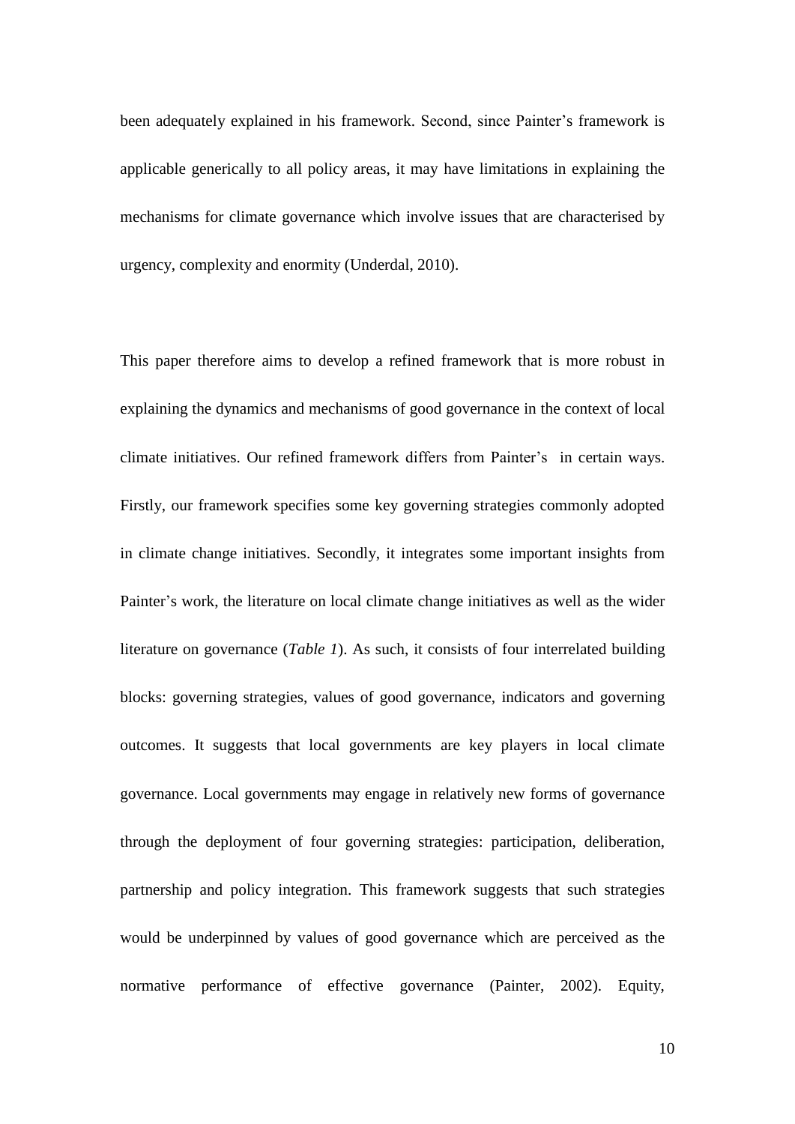been adequately explained in his framework. Second, since Painter's framework is applicable generically to all policy areas, it may have limitations in explaining the mechanisms for climate governance which involve issues that are characterised by urgency, complexity and enormity (Underdal, 2010).

This paper therefore aims to develop a refined framework that is more robust in explaining the dynamics and mechanisms of good governance in the context of local climate initiatives. Our refined framework differs from Painter's in certain ways. Firstly, our framework specifies some key governing strategies commonly adopted in climate change initiatives. Secondly, it integrates some important insights from Painter's work, the literature on local climate change initiatives as well as the wider literature on governance (*Table 1*). As such, it consists of four interrelated building blocks: governing strategies, values of good governance, indicators and governing outcomes. It suggests that local governments are key players in local climate governance. Local governments may engage in relatively new forms of governance through the deployment of four governing strategies: participation, deliberation, partnership and policy integration. This framework suggests that such strategies would be underpinned by values of good governance which are perceived as the normative performance of effective governance (Painter, 2002). Equity,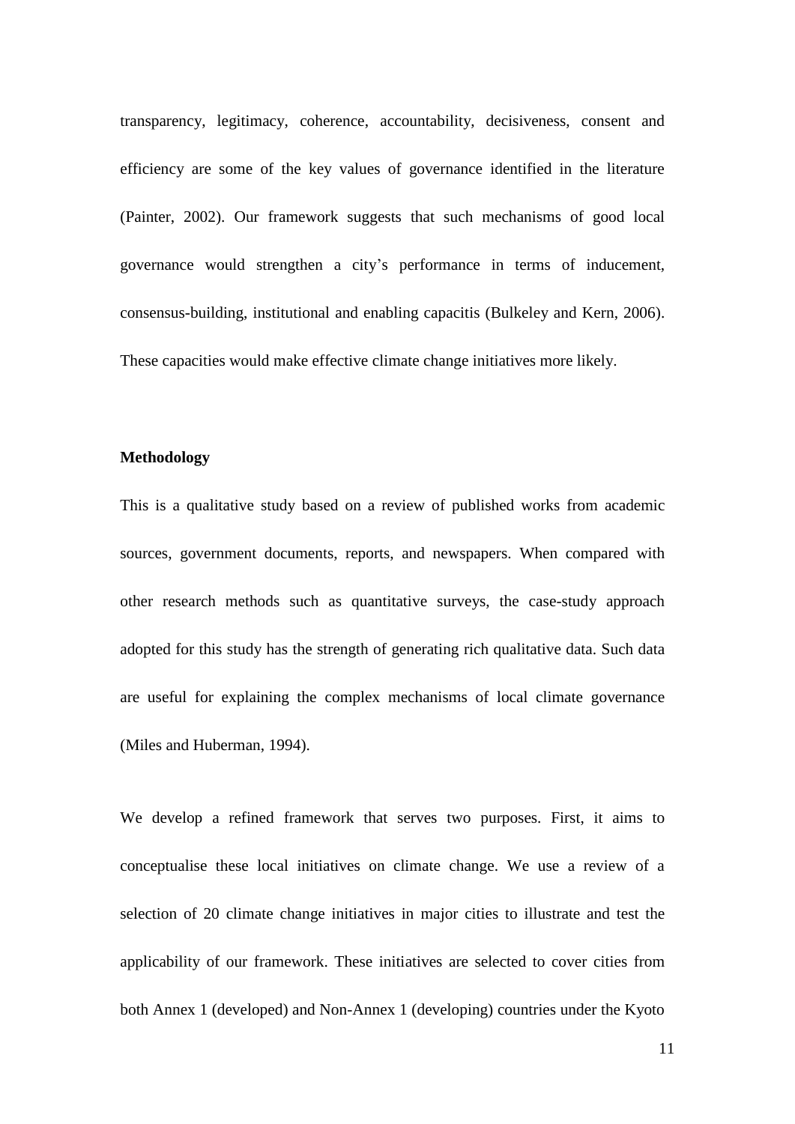transparency, legitimacy, coherence, accountability, decisiveness, consent and efficiency are some of the key values of governance identified in the literature (Painter, 2002). Our framework suggests that such mechanisms of good local governance would strengthen a city's performance in terms of inducement, consensus-building, institutional and enabling capacitis (Bulkeley and Kern, 2006). These capacities would make effective climate change initiatives more likely.

#### **Methodology**

This is a qualitative study based on a review of published works from academic sources, government documents, reports, and newspapers. When compared with other research methods such as quantitative surveys, the case-study approach adopted for this study has the strength of generating rich qualitative data. Such data are useful for explaining the complex mechanisms of local climate governance (Miles and Huberman, 1994).

We develop a refined framework that serves two purposes. First, it aims to conceptualise these local initiatives on climate change. We use a review of a selection of 20 climate change initiatives in major cities to illustrate and test the applicability of our framework. These initiatives are selected to cover cities from both Annex 1 (developed) and Non-Annex 1 (developing) countries under the Kyoto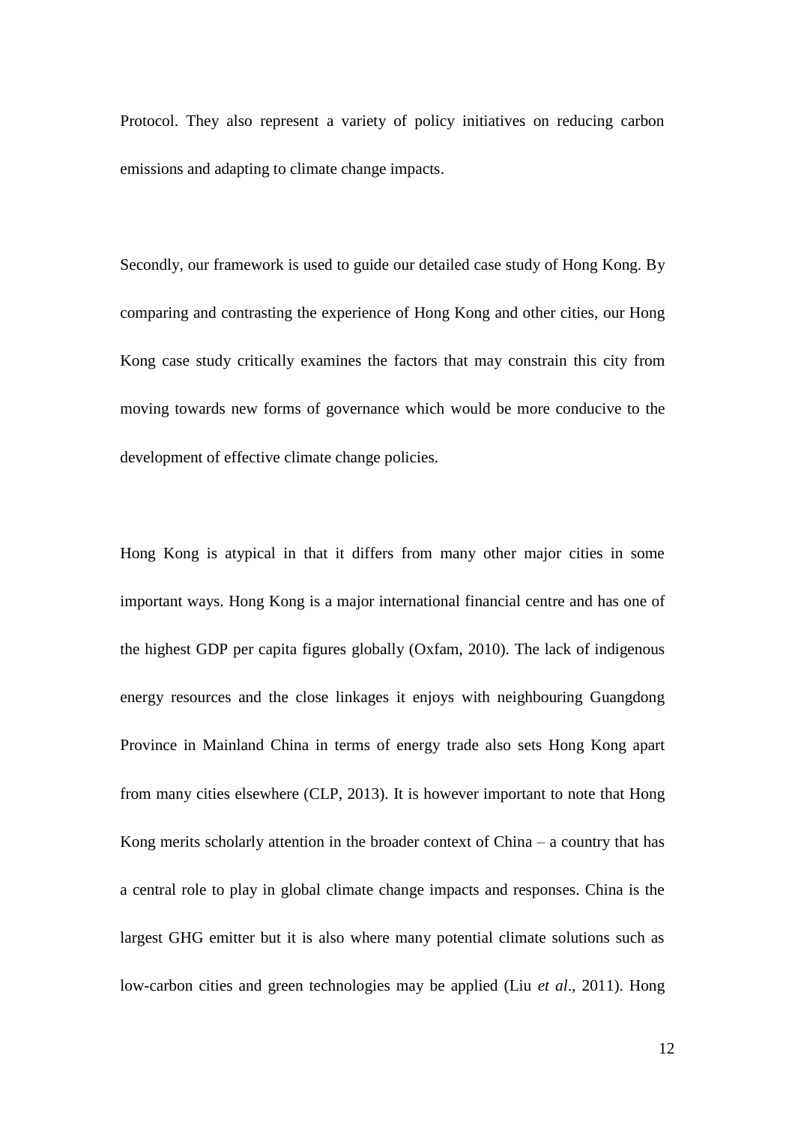Protocol. They also represent a variety of policy initiatives on reducing carbon emissions and adapting to climate change impacts.

Secondly, our framework is used to guide our detailed case study of Hong Kong. By comparing and contrasting the experience of Hong Kong and other cities, our Hong Kong case study critically examines the factors that may constrain this city from moving towards new forms of governance which would be more conducive to the development of effective climate change policies.

Hong Kong is atypical in that it differs from many other major cities in some important ways. Hong Kong is a major international financial centre and has one of the highest GDP per capita figures globally (Oxfam, 2010). The lack of indigenous energy resources and the close linkages it enjoys with neighbouring Guangdong Province in Mainland China in terms of energy trade also sets Hong Kong apart from many cities elsewhere (CLP, 2013). It is however important to note that Hong Kong merits scholarly attention in the broader context of China – a country that has a central role to play in global climate change impacts and responses. China is the largest GHG emitter but it is also where many potential climate solutions such as low-carbon cities and green technologies may be applied (Liu *et al*., 2011). Hong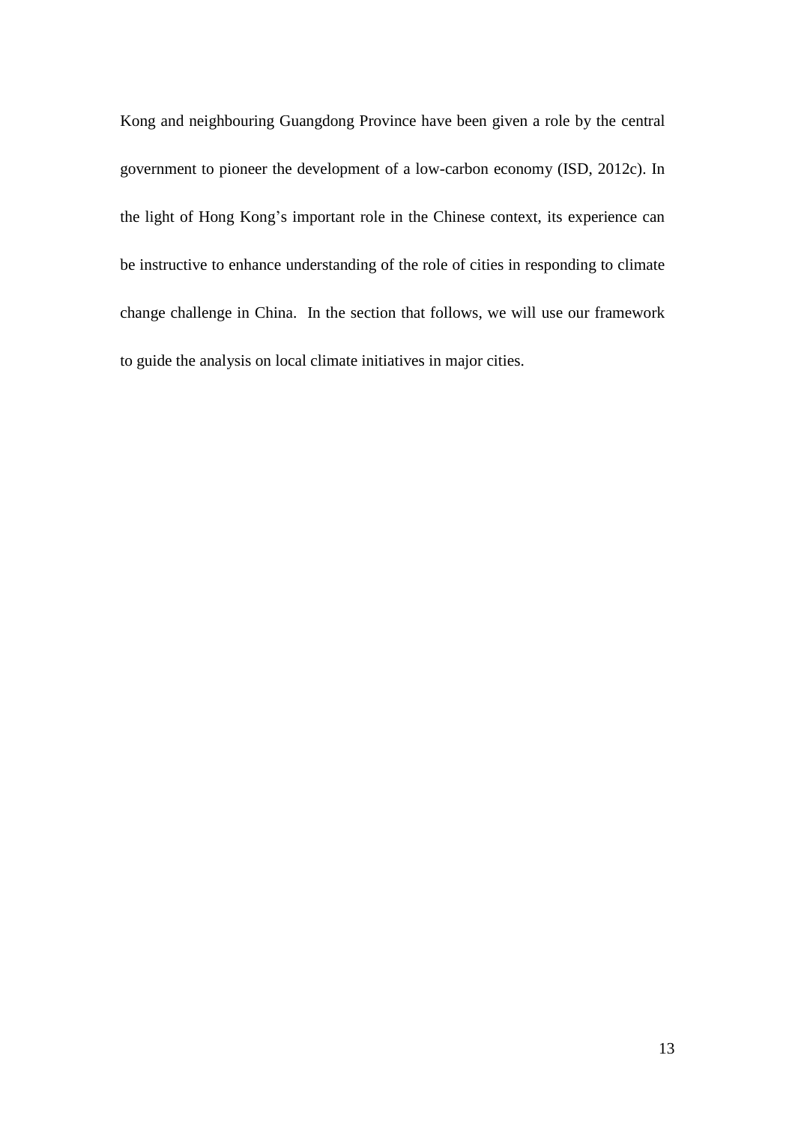Kong and neighbouring Guangdong Province have been given a role by the central government to pioneer the development of a low-carbon economy (ISD, 2012c). In the light of Hong Kong's important role in the Chinese context, its experience can be instructive to enhance understanding of the role of cities in responding to climate change challenge in China. In the section that follows, we will use our framework to guide the analysis on local climate initiatives in major cities.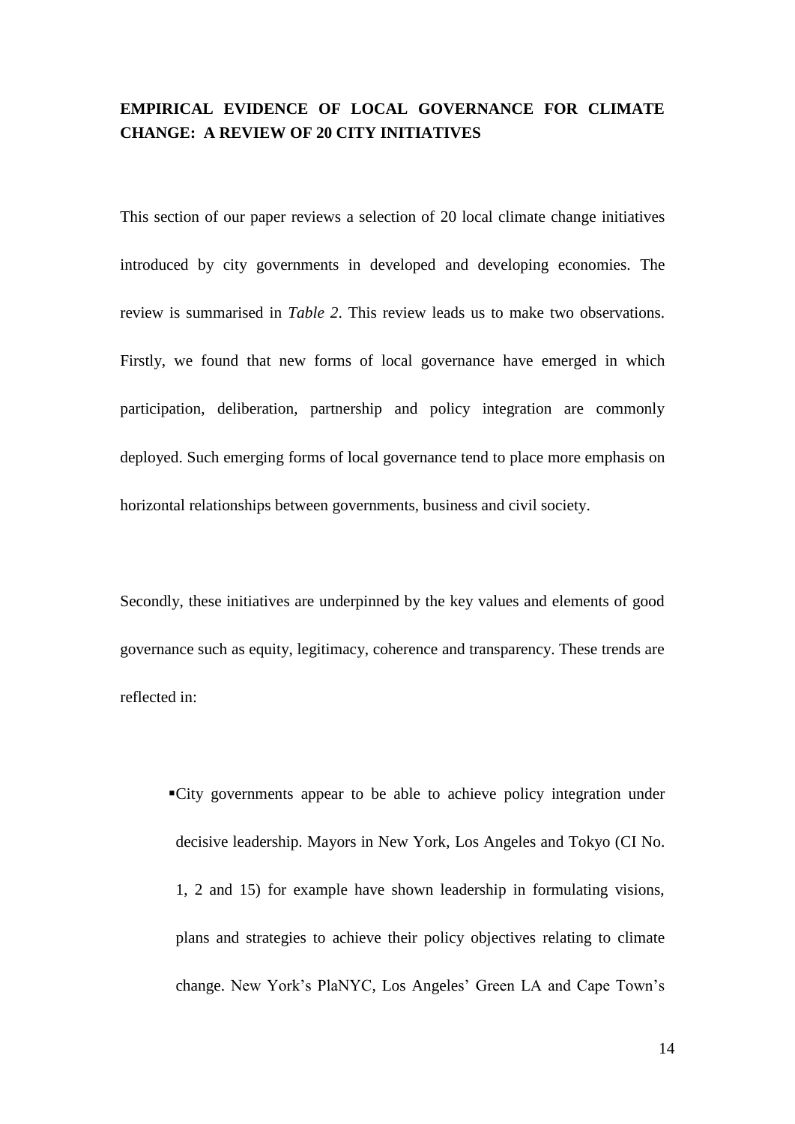# **EMPIRICAL EVIDENCE OF LOCAL GOVERNANCE FOR CLIMATE CHANGE: A REVIEW OF 20 CITY INITIATIVES**

This section of our paper reviews a selection of 20 local climate change initiatives introduced by city governments in developed and developing economies. The review is summarised in *Table 2*. This review leads us to make two observations. Firstly, we found that new forms of local governance have emerged in which participation, deliberation, partnership and policy integration are commonly deployed. Such emerging forms of local governance tend to place more emphasis on horizontal relationships between governments, business and civil society.

Secondly, these initiatives are underpinned by the key values and elements of good governance such as equity, legitimacy, coherence and transparency. These trends are reflected in:

▪City governments appear to be able to achieve policy integration under decisive leadership. Mayors in New York, Los Angeles and Tokyo (CI No. 1, 2 and 15) for example have shown leadership in formulating visions, plans and strategies to achieve their policy objectives relating to climate change. New York's PlaNYC, Los Angeles' Green LA and Cape Town's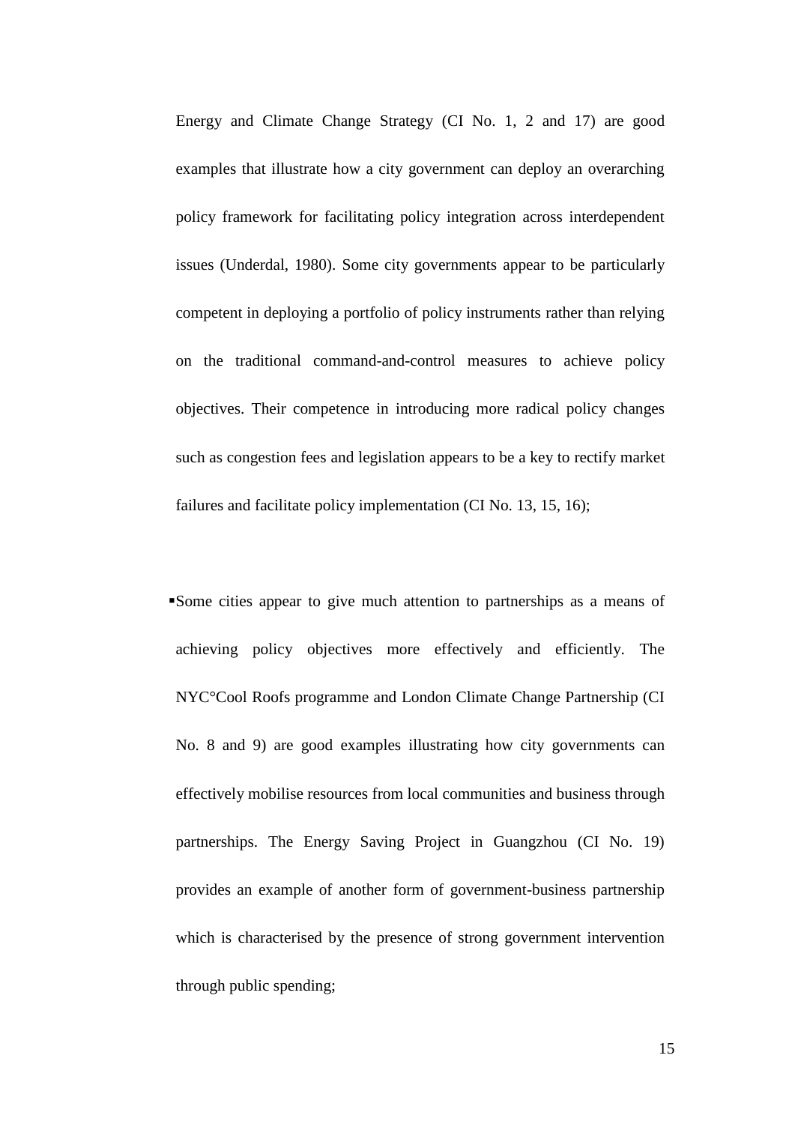Energy and Climate Change Strategy (CI No. 1, 2 and 17) are good examples that illustrate how a city government can deploy an overarching policy framework for facilitating policy integration across interdependent issues (Underdal, 1980). Some city governments appear to be particularly competent in deploying a portfolio of policy instruments rather than relying on the traditional command-and-control measures to achieve policy objectives. Their competence in introducing more radical policy changes such as congestion fees and legislation appears to be a key to rectify market failures and facilitate policy implementation (CI No. 13, 15, 16);

▪Some cities appear to give much attention to partnerships as a means of achieving policy objectives more effectively and efficiently. The NYC°Cool Roofs programme and London Climate Change Partnership (CI No. 8 and 9) are good examples illustrating how city governments can effectively mobilise resources from local communities and business through partnerships. The Energy Saving Project in Guangzhou (CI No. 19) provides an example of another form of government-business partnership which is characterised by the presence of strong government intervention through public spending;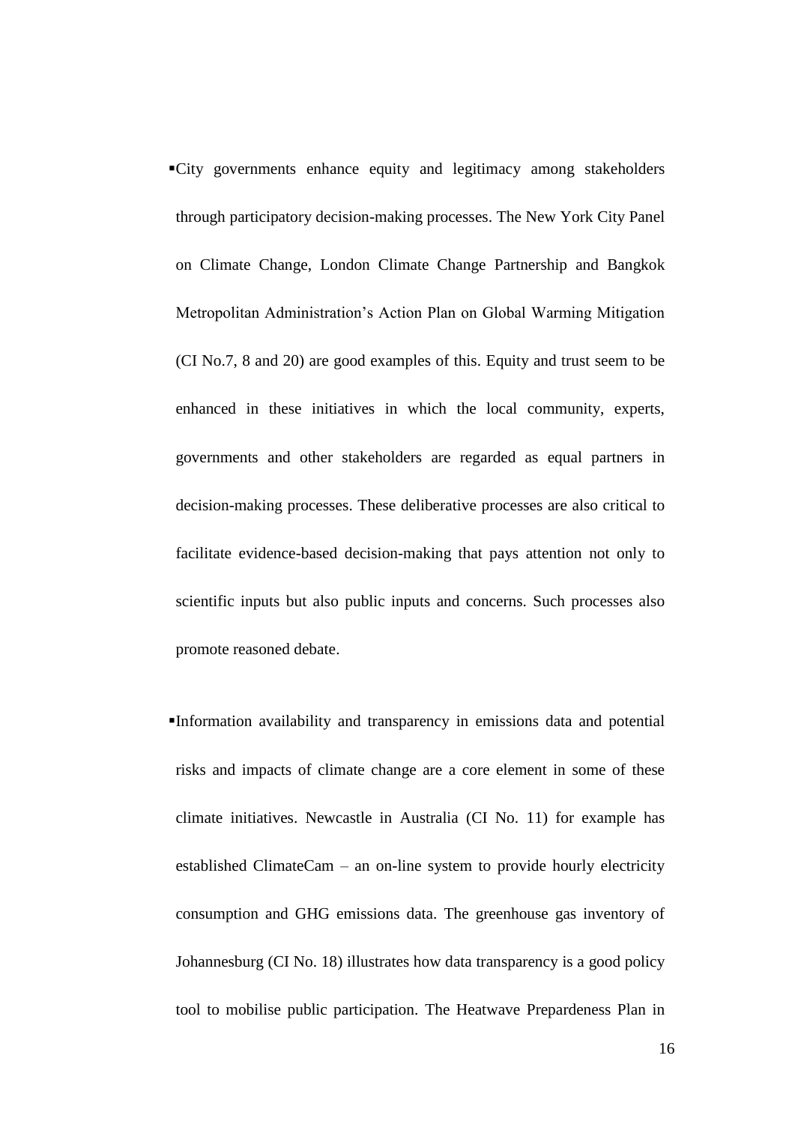▪City governments enhance equity and legitimacy among stakeholders through participatory decision-making processes. The New York City Panel on Climate Change, London Climate Change Partnership and Bangkok Metropolitan Administration's Action Plan on Global Warming Mitigation (CI No.7, 8 and 20) are good examples of this. Equity and trust seem to be enhanced in these initiatives in which the local community, experts, governments and other stakeholders are regarded as equal partners in decision-making processes. These deliberative processes are also critical to facilitate evidence-based decision-making that pays attention not only to scientific inputs but also public inputs and concerns. Such processes also promote reasoned debate.

▪Information availability and transparency in emissions data and potential risks and impacts of climate change are a core element in some of these climate initiatives. Newcastle in Australia (CI No. 11) for example has established ClimateCam – an on-line system to provide hourly electricity consumption and GHG emissions data. The greenhouse gas inventory of Johannesburg (CI No. 18) illustrates how data transparency is a good policy tool to mobilise public participation. The Heatwave Prepardeness Plan in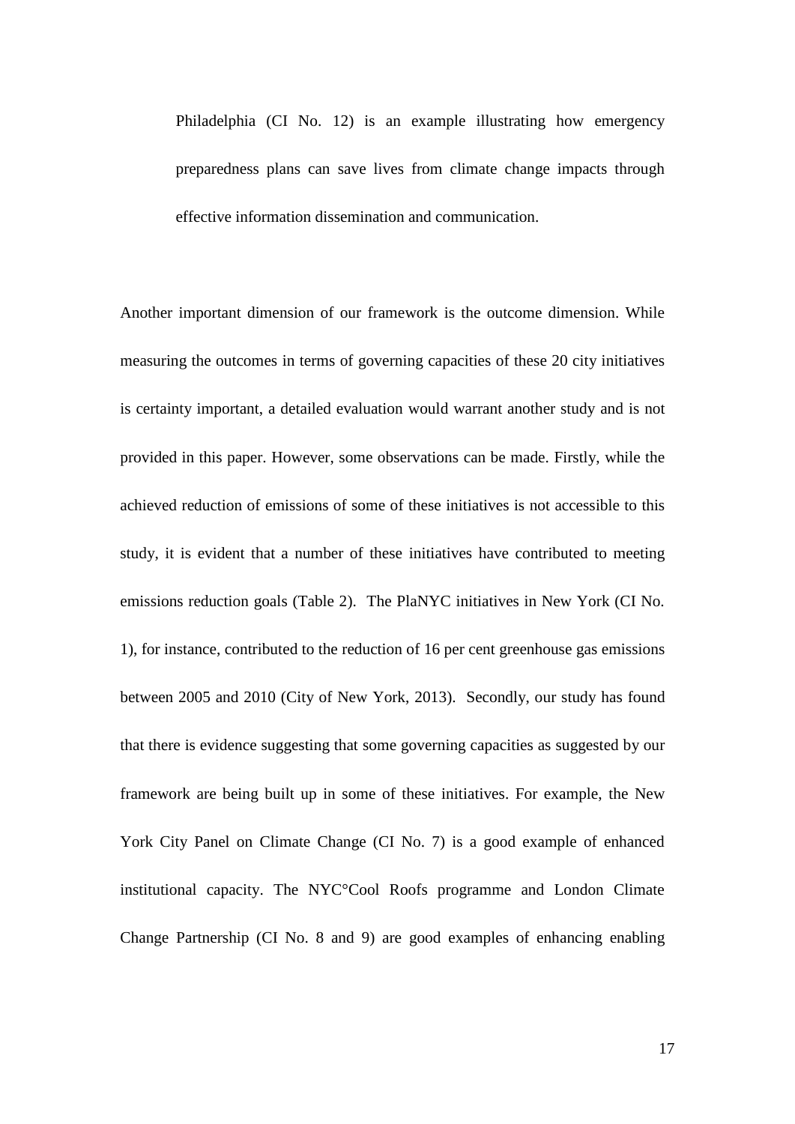Philadelphia (CI No. 12) is an example illustrating how emergency preparedness plans can save lives from climate change impacts through effective information dissemination and communication.

Another important dimension of our framework is the outcome dimension. While measuring the outcomes in terms of governing capacities of these 20 city initiatives is certainty important, a detailed evaluation would warrant another study and is not provided in this paper. However, some observations can be made. Firstly, while the achieved reduction of emissions of some of these initiatives is not accessible to this study, it is evident that a number of these initiatives have contributed to meeting emissions reduction goals (Table 2). The PlaNYC initiatives in New York (CI No. 1), for instance, contributed to the reduction of 16 per cent greenhouse gas emissions between 2005 and 2010 (City of New York, 2013). Secondly, our study has found that there is evidence suggesting that some governing capacities as suggested by our framework are being built up in some of these initiatives. For example, the New York City Panel on Climate Change (CI No. 7) is a good example of enhanced institutional capacity. The NYC°Cool Roofs programme and London Climate Change Partnership (CI No. 8 and 9) are good examples of enhancing enabling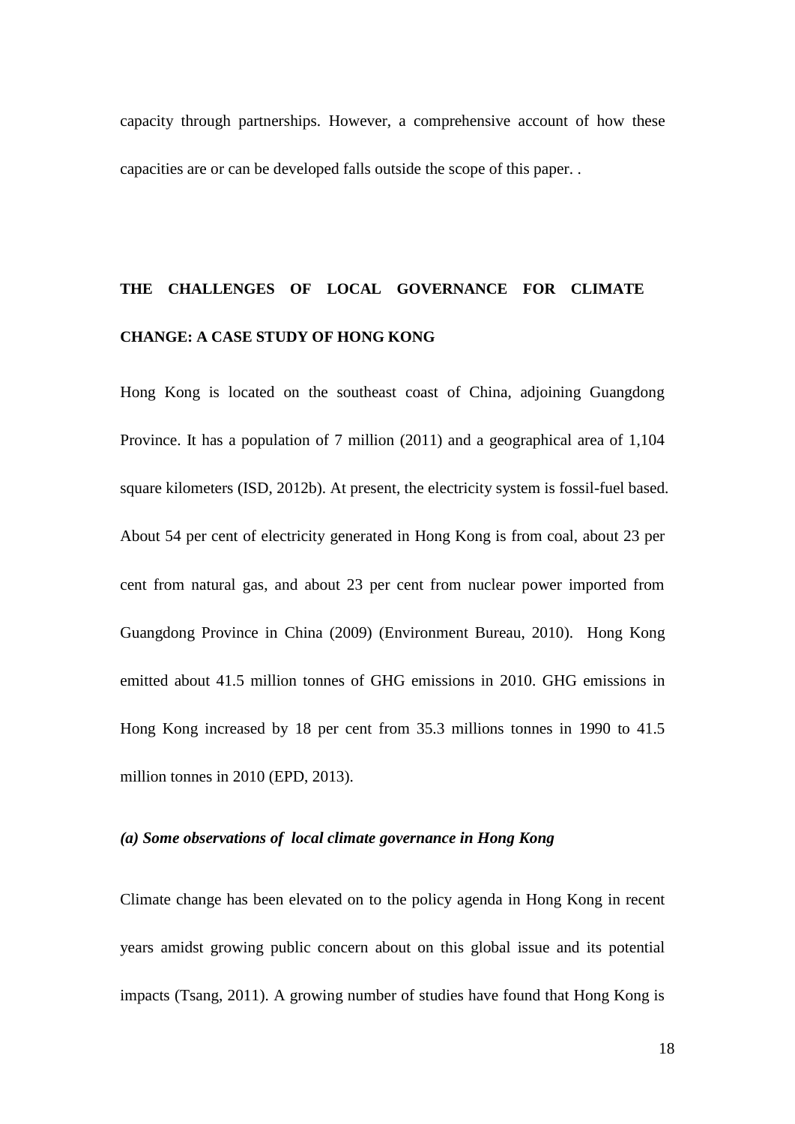capacity through partnerships. However, a comprehensive account of how these capacities are or can be developed falls outside the scope of this paper. .

# **THE CHALLENGES OF LOCAL GOVERNANCE FOR CLIMATE CHANGE: A CASE STUDY OF HONG KONG**

Hong Kong is located on the southeast coast of China, adjoining Guangdong Province. It has a population of 7 million (2011) and a geographical area of 1,104 square kilometers (ISD, 2012b). At present, the electricity system is fossil-fuel based. About 54 per cent of electricity generated in Hong Kong is from coal, about 23 per cent from natural gas, and about 23 per cent from nuclear power imported from Guangdong Province in China (2009) (Environment Bureau, 2010). Hong Kong emitted about 41.5 million tonnes of GHG emissions in 2010. GHG emissions in Hong Kong increased by 18 per cent from 35.3 millions tonnes in 1990 to 41.5 million tonnes in 2010 (EPD, 2013).

## *(a) Some observations of local climate governance in Hong Kong*

Climate change has been elevated on to the policy agenda in Hong Kong in recent years amidst growing public concern about on this global issue and its potential impacts (Tsang, 2011). A growing number of studies have found that Hong Kong is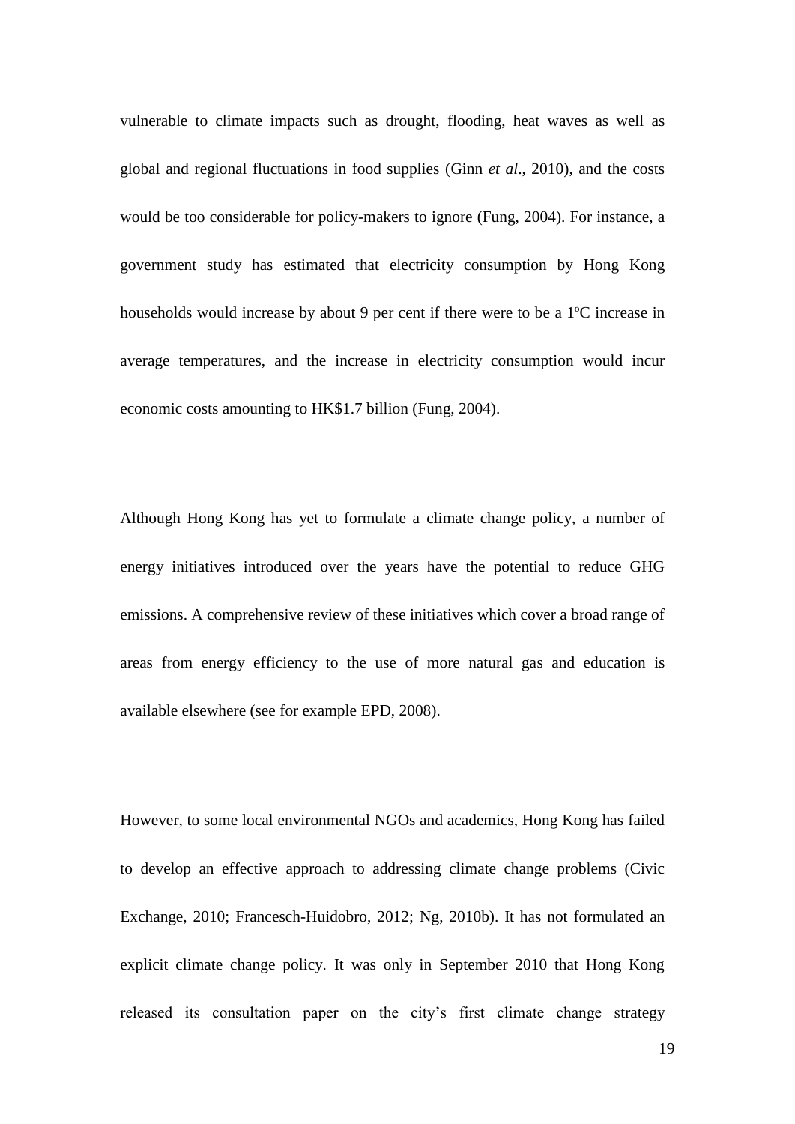vulnerable to climate impacts such as drought, flooding, heat waves as well as global and regional fluctuations in food supplies (Ginn *et al*., 2010), and the costs would be too considerable for policy-makers to ignore (Fung, 2004). For instance, a government study has estimated that electricity consumption by Hong Kong households would increase by about 9 per cent if there were to be a 1ºC increase in average temperatures, and the increase in electricity consumption would incur economic costs amounting to HK\$1.7 billion (Fung, 2004).

Although Hong Kong has yet to formulate a climate change policy, a number of energy initiatives introduced over the years have the potential to reduce GHG emissions. A comprehensive review of these initiatives which cover a broad range of areas from energy efficiency to the use of more natural gas and education is available elsewhere (see for example EPD, 2008).

However, to some local environmental NGOs and academics, Hong Kong has failed to develop an effective approach to addressing climate change problems (Civic Exchange, 2010; [Francesch-Huidobro, 2012;](#page-56-0) Ng, 2010b). It has not formulated an explicit climate change policy. It was only in September 2010 that Hong Kong released its consultation paper on the city's first climate change strategy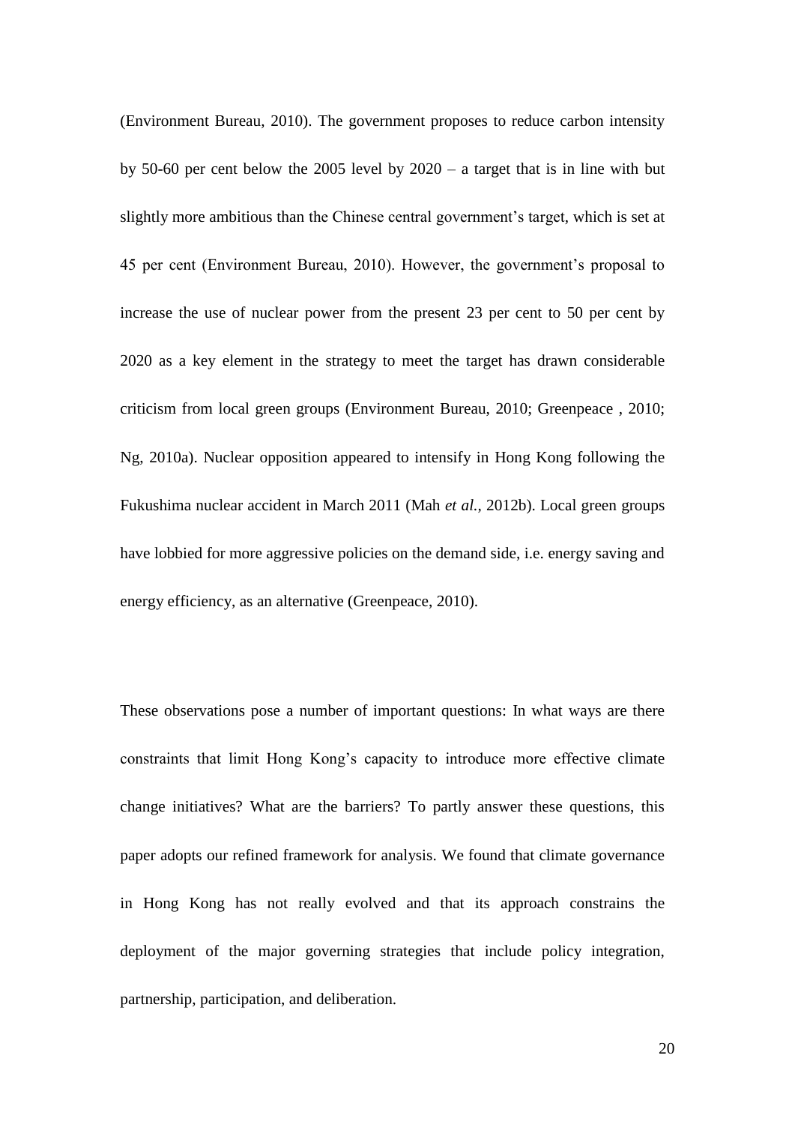(Environment Bureau, 2010). The government proposes to reduce carbon intensity by 50-60 per cent below the 2005 level by 2020 – a target that is in line with but slightly more ambitious than the Chinese central government's target, which is set at 45 per cent (Environment Bureau, 2010). However, the government's proposal to increase the use of nuclear power from the present 23 per cent to 50 per cent by 2020 as a key element in the strategy to meet the target has drawn considerable criticism from local green groups (Environment Bureau, 2010; Greenpeace , 2010; Ng, 2010a). Nuclear opposition appeared to intensify in Hong Kong following the Fukushima nuclear accident in March 2011 (Mah *et al.,* 2012b). Local green groups have lobbied for more aggressive policies on the demand side, i.e. energy saving and energy efficiency, as an alternative (Greenpeace, 2010).

These observations pose a number of important questions: In what ways are there constraints that limit Hong Kong's capacity to introduce more effective climate change initiatives? What are the barriers? To partly answer these questions, this paper adopts our refined framework for analysis. We found that climate governance in Hong Kong has not really evolved and that its approach constrains the deployment of the major governing strategies that include policy integration, partnership, participation, and deliberation.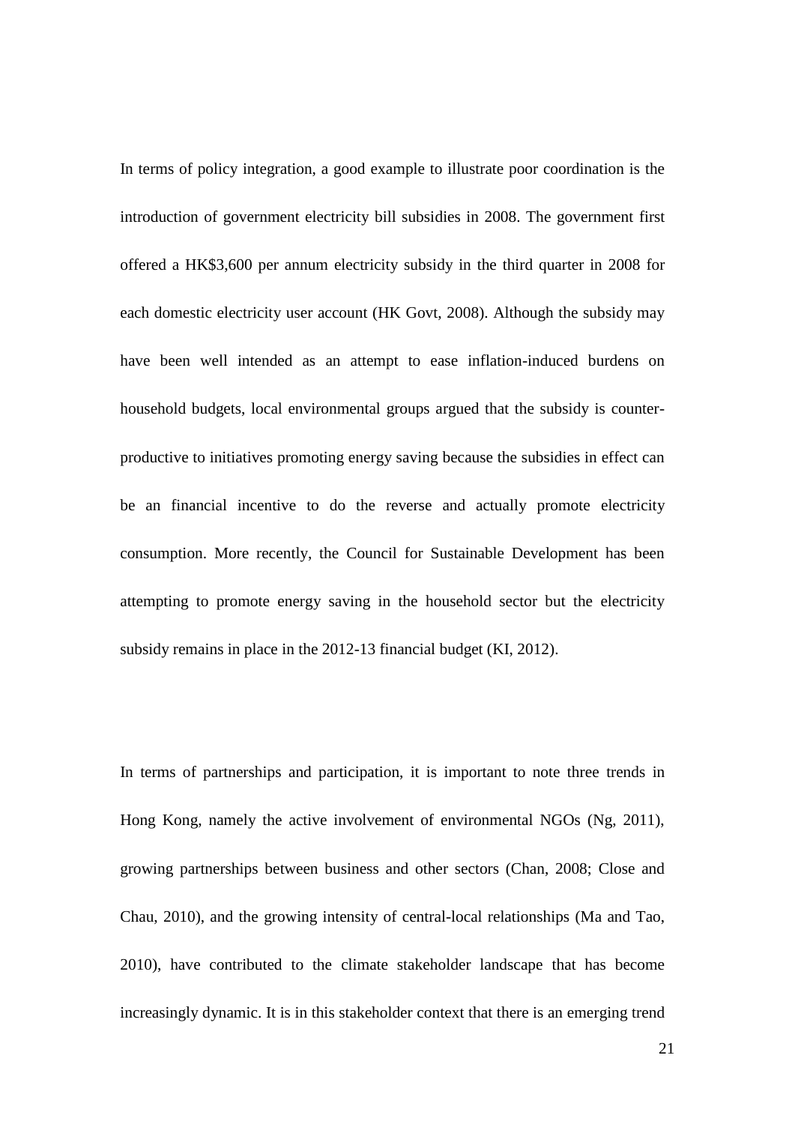In terms of policy integration, a good example to illustrate poor coordination is the introduction of government electricity bill subsidies in 2008. The government first offered a HK\$3,600 per annum electricity subsidy in the third quarter in 2008 for each domestic electricity user account (HK Govt, 2008). Although the subsidy may have been well intended as an attempt to ease inflation-induced burdens on household budgets, local environmental groups argued that the subsidy is counterproductive to initiatives promoting energy saving because the subsidies in effect can be an financial incentive to do the reverse and actually promote electricity consumption. More recently, the Council for Sustainable Development has been attempting to promote energy saving in the household sector but the electricity subsidy remains in place in the 2012-13 financial budget (KI, 2012).

In terms of partnerships and participation, it is important to note three trends in Hong Kong, namely the active involvement of environmental NGOs (Ng, 2011), growing partnerships between business and other sectors (Chan, 2008; Close and Chau, 2010), and the growing intensity of central-local relationships (Ma and Tao, 2010), have contributed to the climate stakeholder landscape that has become increasingly dynamic. It is in this stakeholder context that there is an emerging trend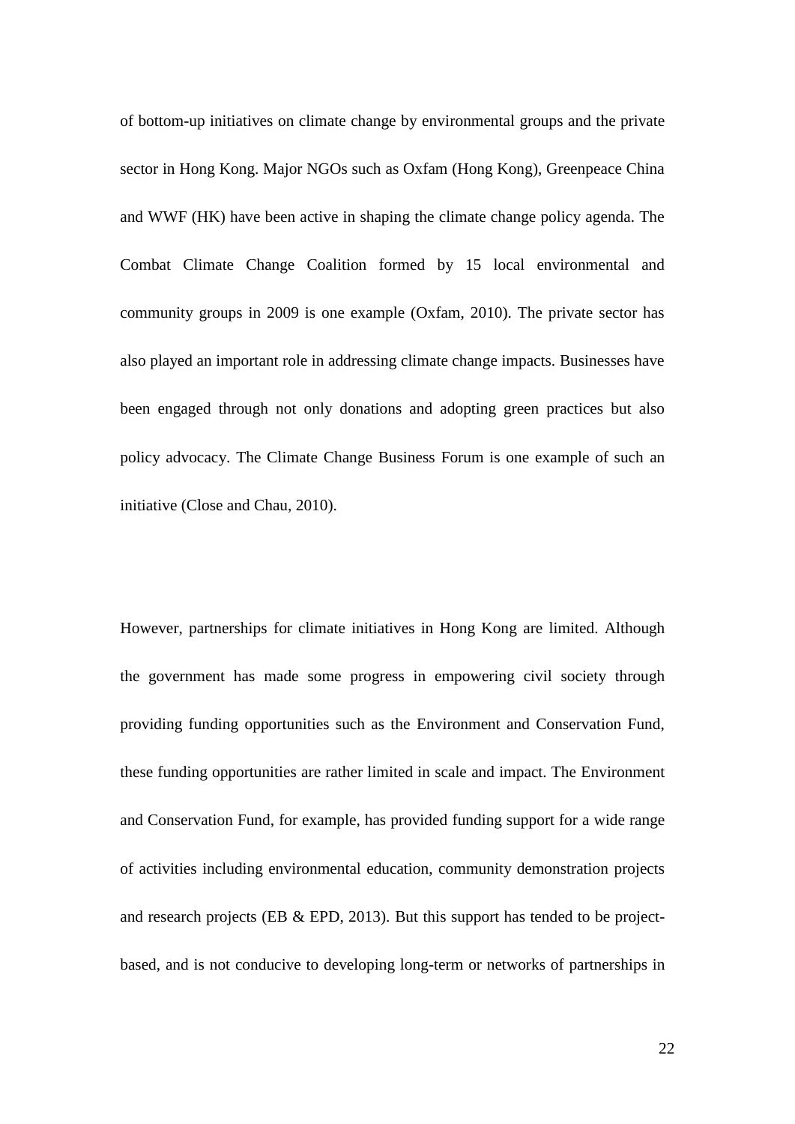of bottom-up initiatives on climate change by environmental groups and the private sector in Hong Kong. Major NGOs such as Oxfam (Hong Kong), Greenpeace China and WWF (HK) have been active in shaping the climate change policy agenda. The Combat Climate Change Coalition formed by 15 local environmental and community groups in 2009 is one example (Oxfam, 2010). The private sector has also played an important role in addressing climate change impacts. Businesses have been engaged through not only donations and adopting green practices but also policy advocacy. The Climate Change Business Forum is one example of such an initiative (Close and Chau, 2010).

However, partnerships for climate initiatives in Hong Kong are limited. Although the government has made some progress in empowering civil society through providing funding opportunities such as the Environment and Conservation Fund, these funding opportunities are rather limited in scale and impact. The Environment and Conservation Fund, for example, has provided funding support for a wide range of activities including environmental education, community demonstration projects and research projects (EB & EPD, 2013). But this support has tended to be projectbased, and is not conducive to developing long-term or networks of partnerships in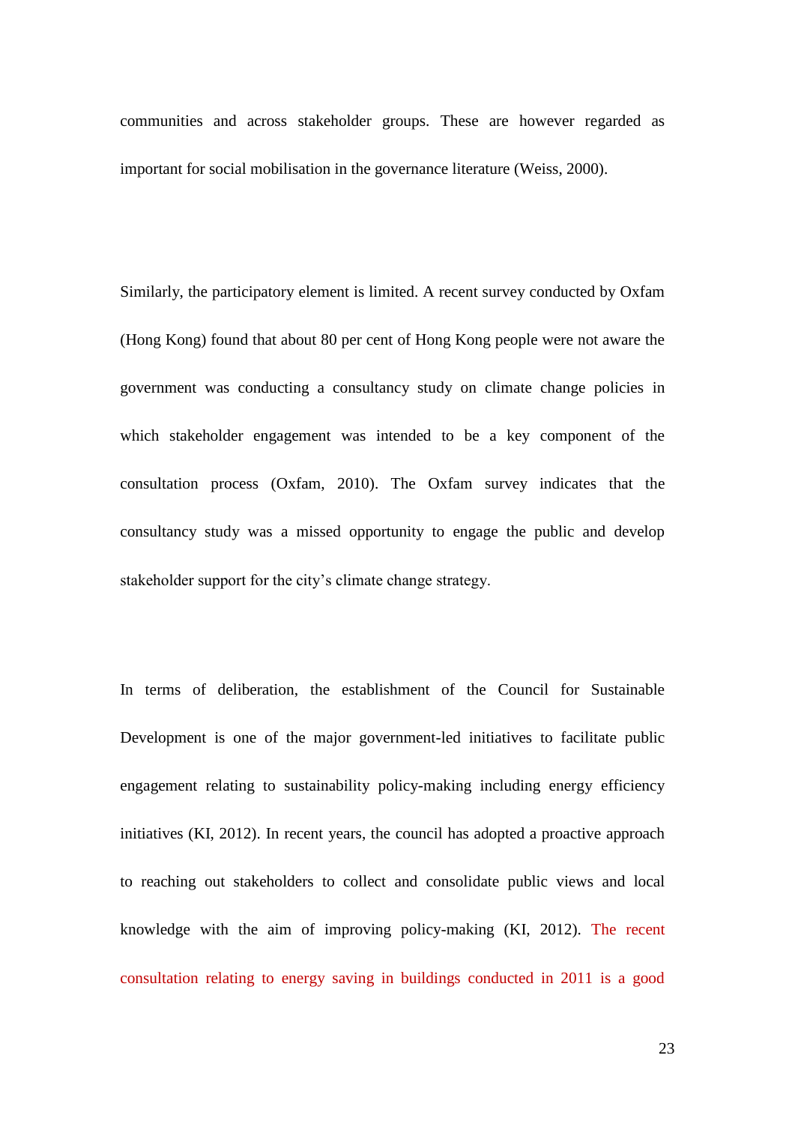communities and across stakeholder groups. These are however regarded as important for social mobilisation in the governance literature (Weiss, 2000).

Similarly, the participatory element is limited. A recent survey conducted by Oxfam (Hong Kong) found that about 80 per cent of Hong Kong people were not aware the government was conducting a consultancy study on climate change policies in which stakeholder engagement was intended to be a key component of the consultation process (Oxfam, 2010). The Oxfam survey indicates that the consultancy study was a missed opportunity to engage the public and develop stakeholder support for the city's climate change strategy.

In terms of deliberation, the establishment of the Council for Sustainable Development is one of the major government-led initiatives to facilitate public engagement relating to sustainability policy-making including energy efficiency initiatives (KI, 2012). In recent years, the council has adopted a proactive approach to reaching out stakeholders to collect and consolidate public views and local knowledge with the aim of improving policy-making (KI, 2012). The recent consultation relating to energy saving in buildings conducted in 2011 is a good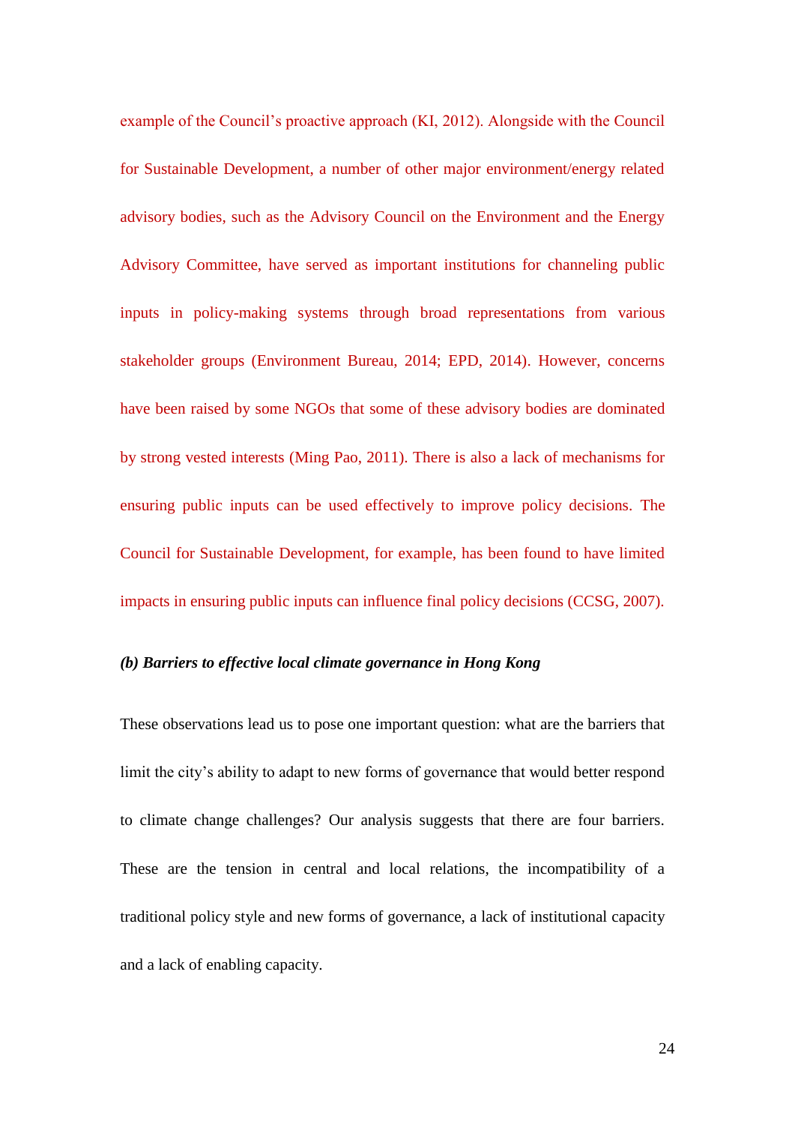example of the Council's proactive approach (KI, 2012). Alongside with the Council for Sustainable Development, a number of other major environment/energy related advisory bodies, such as the Advisory Council on the Environment and the Energy Advisory Committee, have served as important institutions for channeling public inputs in policy-making systems through broad representations from various stakeholder groups (Environment Bureau, 2014; EPD, 2014). However, concerns have been raised by some NGOs that some of these advisory bodies are dominated by strong vested interests (Ming Pao, 2011). There is also a lack of mechanisms for ensuring public inputs can be used effectively to improve policy decisions. The Council for Sustainable Development, for example, has been found to have limited impacts in ensuring public inputs can influence final policy decisions (CCSG, 2007).

# *(b) Barriers to effective local climate governance in Hong Kong*

These observations lead us to pose one important question: what are the barriers that limit the city's ability to adapt to new forms of governance that would better respond to climate change challenges? Our analysis suggests that there are four barriers. These are the tension in central and local relations, the incompatibility of a traditional policy style and new forms of governance, a lack of institutional capacity and a lack of enabling capacity.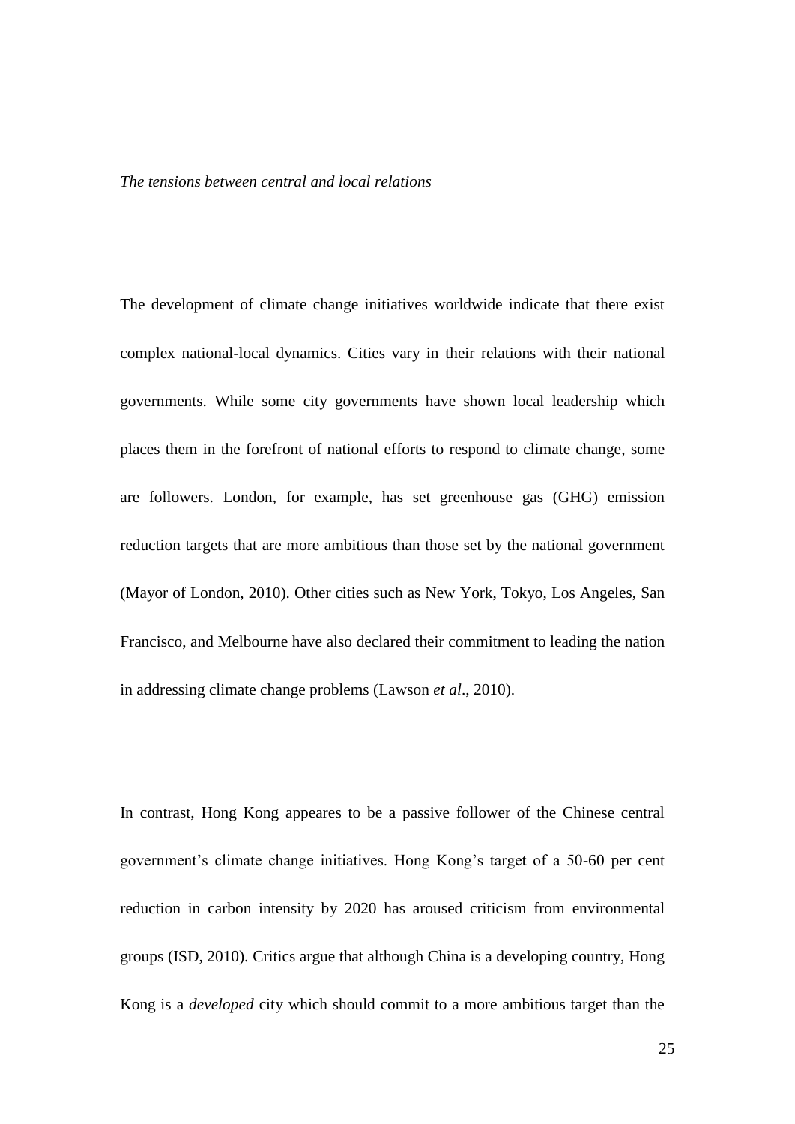#### *The tensions between central and local relations*

The development of climate change initiatives worldwide indicate that there exist complex national-local dynamics. Cities vary in their relations with their national governments. While some city governments have shown local leadership which places them in the forefront of national efforts to respond to climate change, some are followers. London, for example, has set greenhouse gas (GHG) emission reduction targets that are more ambitious than those set by the national government (Mayor of London, 2010). Other cities such as New York, Tokyo, Los Angeles, San Francisco, and Melbourne have also declared their commitment to leading the nation in addressing climate change problems (Lawson *et al*., 2010).

In contrast, Hong Kong appeares to be a passive follower of the Chinese central government's climate change initiatives. Hong Kong's target of a 50-60 per cent reduction in carbon intensity by 2020 has aroused criticism from environmental groups (ISD, 2010). Critics argue that although China is a developing country, Hong Kong is a *developed* city which should commit to a more ambitious target than the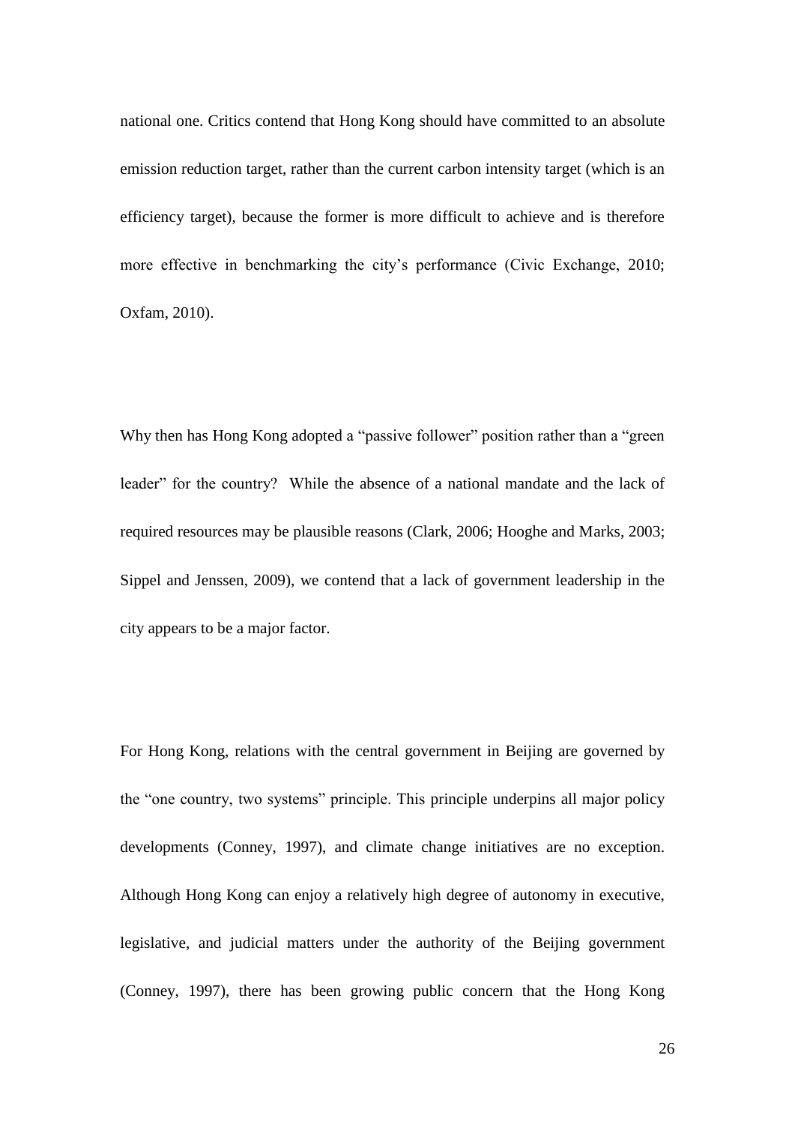national one. Critics contend that Hong Kong should have committed to an absolute emission reduction target, rather than the current carbon intensity target (which is an efficiency target), because the former is more difficult to achieve and is therefore more effective in benchmarking the city's performance (Civic Exchange, 2010; Oxfam, 2010).

Why then has Hong Kong adopted a "passive follower" position rather than a "green leader" for the country? While the absence of a national mandate and the lack of required resources may be plausible reasons (Clark, 2006; Hooghe and Marks, 2003; Sippel and Jenssen, 2009), we contend that a lack of government leadership in the city appears to be a major factor.

For Hong Kong, relations with the central government in Beijing are governed by the "one country, two systems" principle. This principle underpins all major policy developments (Conney, 1997), and climate change initiatives are no exception. Although Hong Kong can enjoy a relatively high degree of autonomy in executive, legislative, and judicial matters under the authority of the Beijing government (Conney, 1997), there has been growing public concern that the Hong Kong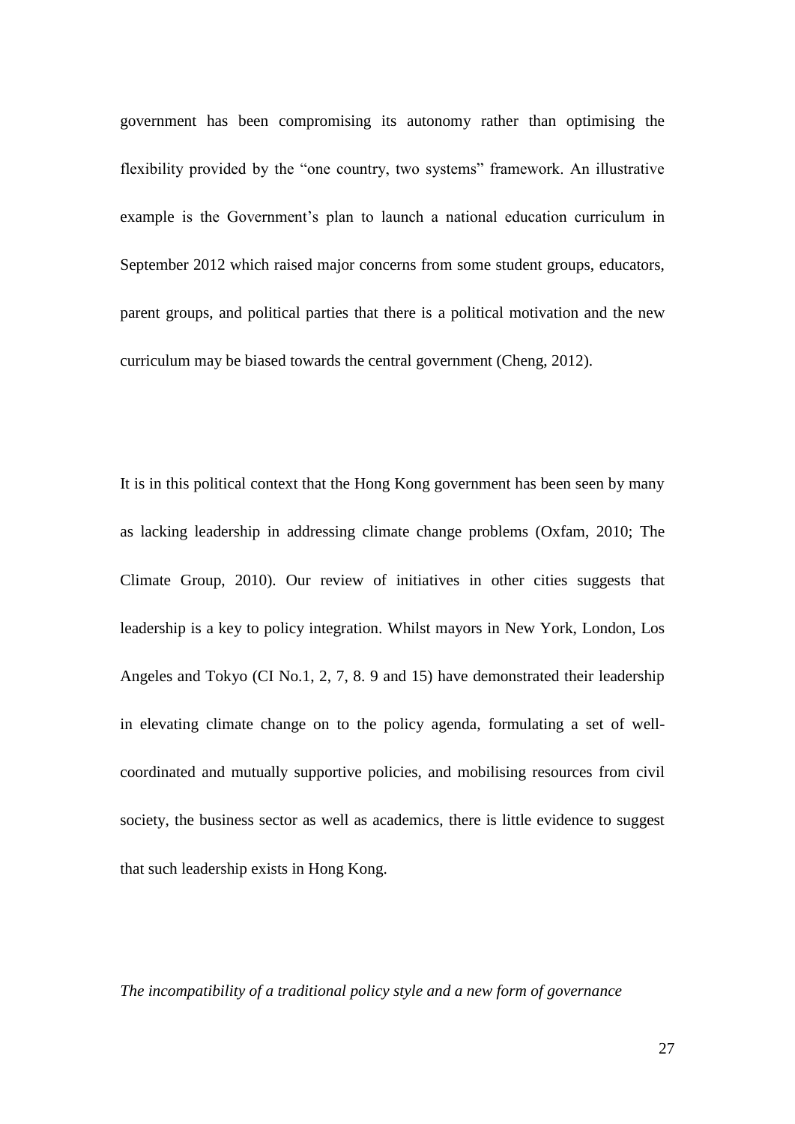government has been compromising its autonomy rather than optimising the flexibility provided by the "one country, two systems" framework. An illustrative example is the Government's plan to launch a national education curriculum in September 2012 which raised major concerns from some student groups, educators, parent groups, and political parties that there is a political motivation and the new curriculum may be biased towards the central government (Cheng, 2012).

It is in this political context that the Hong Kong government has been seen by many as lacking leadership in addressing climate change problems (Oxfam, 2010; The Climate Group, 2010). Our review of initiatives in other cities suggests that leadership is a key to policy integration. Whilst mayors in New York, London, Los Angeles and Tokyo (CI No.1, 2, 7, 8. 9 and 15) have demonstrated their leadership in elevating climate change on to the policy agenda, formulating a set of wellcoordinated and mutually supportive policies, and mobilising resources from civil society, the business sector as well as academics, there is little evidence to suggest that such leadership exists in Hong Kong.

*The incompatibility of a traditional policy style and a new form of governance*

27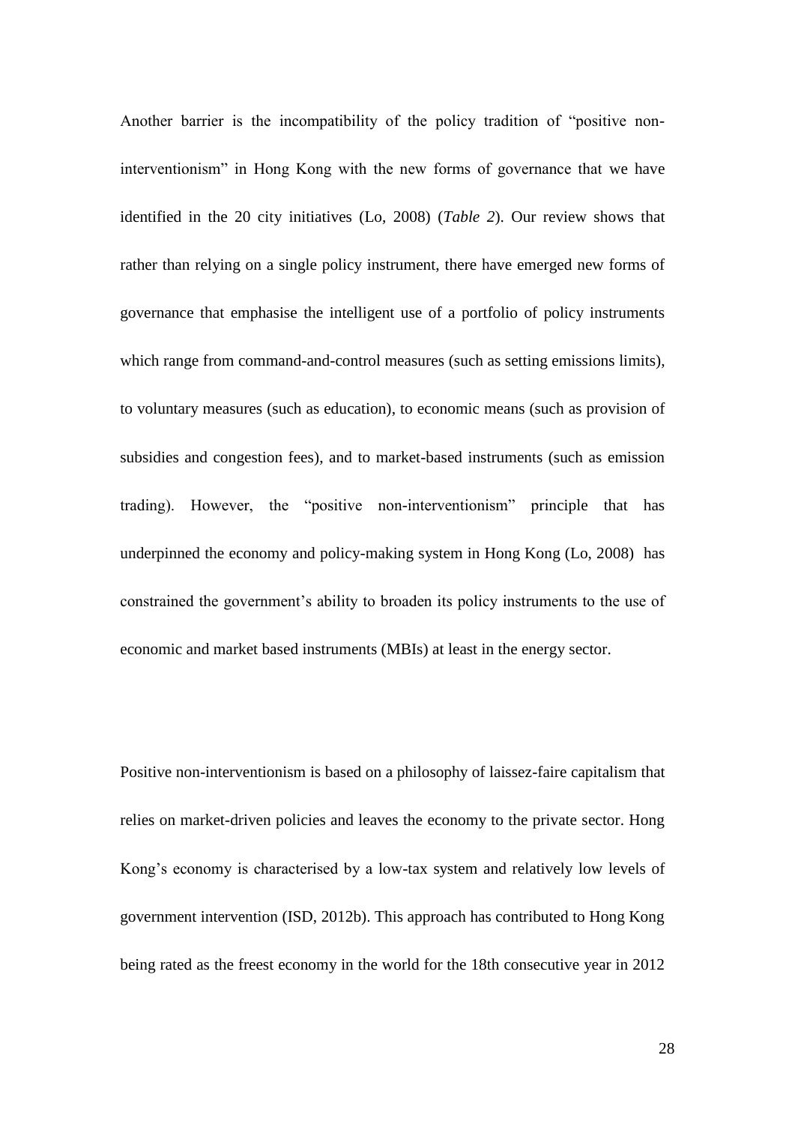Another barrier is the incompatibility of the policy tradition of "positive noninterventionism" in Hong Kong with the new forms of governance that we have identified in the 20 city initiatives (Lo, 2008) (*Table 2*). Our review shows that rather than relying on a single policy instrument, there have emerged new forms of governance that emphasise the intelligent use of a portfolio of policy instruments which range from command-and-control measures (such as setting emissions limits), to voluntary measures (such as education), to economic means (such as provision of subsidies and congestion fees), and to market-based instruments (such as emission trading). However, the "positive non-interventionism" principle that has underpinned the economy and policy-making system in Hong Kong (Lo, 2008) has constrained the government's ability to broaden its policy instruments to the use of economic and market based instruments (MBIs) at least in the energy sector.

Positive non-interventionism is based on a philosophy of laissez-faire capitalism that relies on market-driven policies and leaves the economy to the private sector. Hong Kong's economy is characterised by a low-tax system and relatively low levels of government intervention (ISD, 2012b). This approach has contributed to Hong Kong being rated as the freest economy in the world for the 18th consecutive year in 2012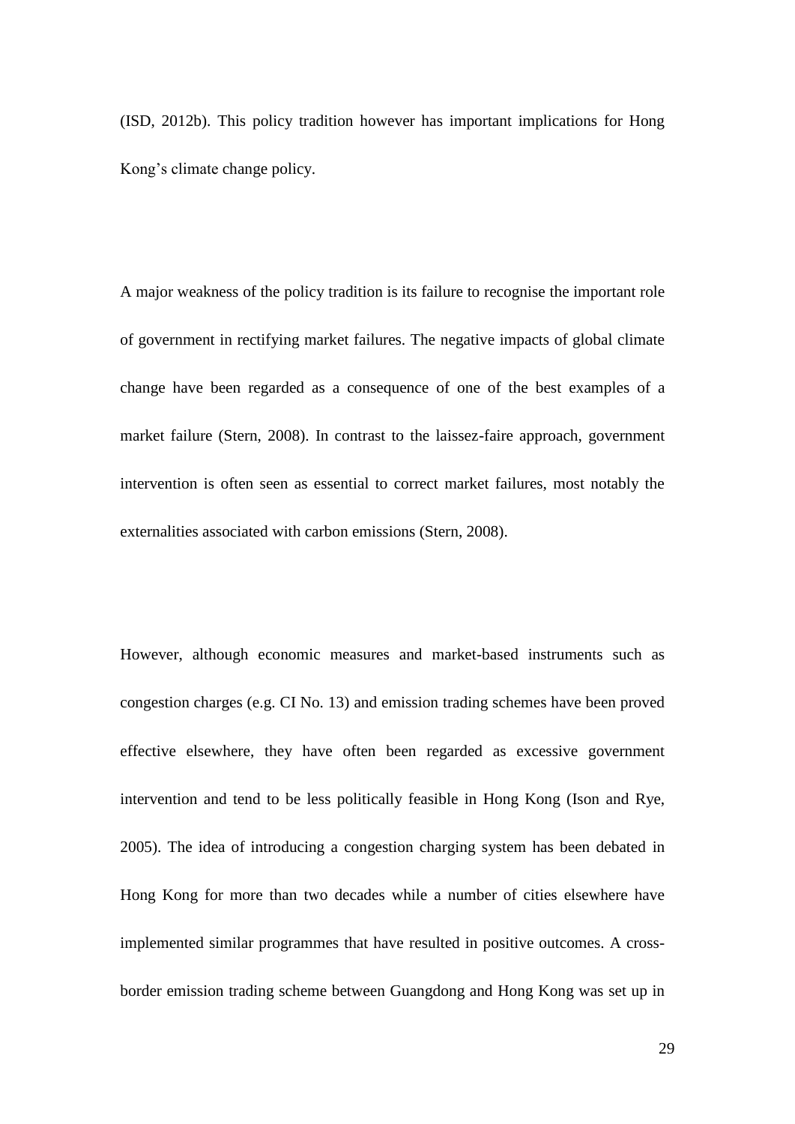(ISD, 2012b). This policy tradition however has important implications for Hong Kong's climate change policy.

A major weakness of the policy tradition is its failure to recognise the important role of government in rectifying market failures. The negative impacts of global climate change have been regarded as a consequence of one of the best examples of a market failure (Stern, 2008). In contrast to the laissez-faire approach, government intervention is often seen as essential to correct market failures, most notably the externalities associated with carbon emissions (Stern, 2008).

However, although economic measures and market-based instruments such as congestion charges (e.g. CI No. 13) and emission trading schemes have been proved effective elsewhere, they have often been regarded as excessive government intervention and tend to be less politically feasible in Hong Kong [\(Ison and Rye,](#page-45-0)  [2005\)](#page-45-0). The idea of introducing a congestion charging system has been debated in Hong Kong for more than two decades while a number of cities elsewhere have implemented similar programmes that have resulted in positive outcomes. A crossborder emission trading scheme between Guangdong and Hong Kong was set up in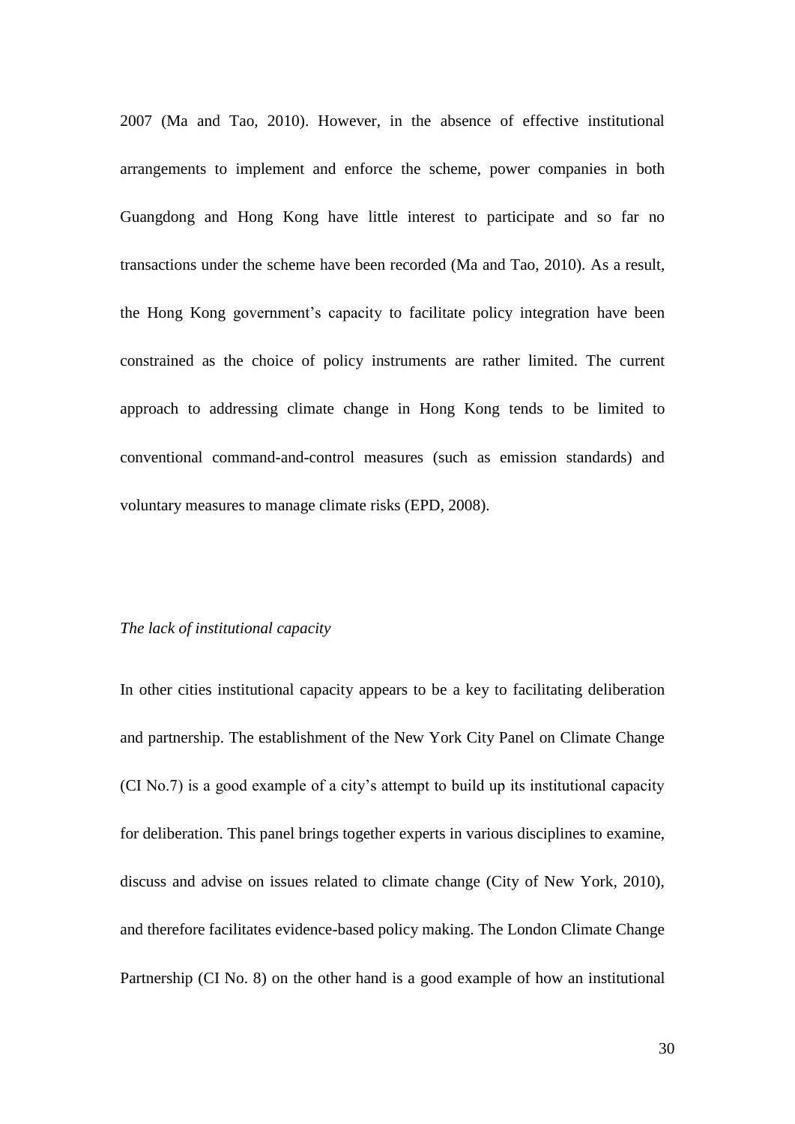2007 (Ma and Tao, 2010). However, in the absence of effective institutional arrangements to implement and enforce the scheme, power companies in both Guangdong and Hong Kong have little interest to participate and so far no transactions under the scheme have been recorded (Ma and Tao, 2010). As a result, the Hong Kong government's capacity to facilitate policy integration have been constrained as the choice of policy instruments are rather limited. The current approach to addressing climate change in Hong Kong tends to be limited to conventional command-and-control measures (such as emission standards) and voluntary measures to manage climate risks (EPD, 2008).

## *The lack of institutional capacity*

In other cities institutional capacity appears to be a key to facilitating deliberation and partnership. The establishment of the New York City Panel on Climate Change (CI No.7) is a good example of a city's attempt to build up its institutional capacity for deliberation. This panel brings together experts in various disciplines to examine, discuss and advise on issues related to climate change (City of New York, 2010), and therefore facilitates evidence-based policy making. The London Climate Change Partnership (CI No. 8) on the other hand is a good example of how an institutional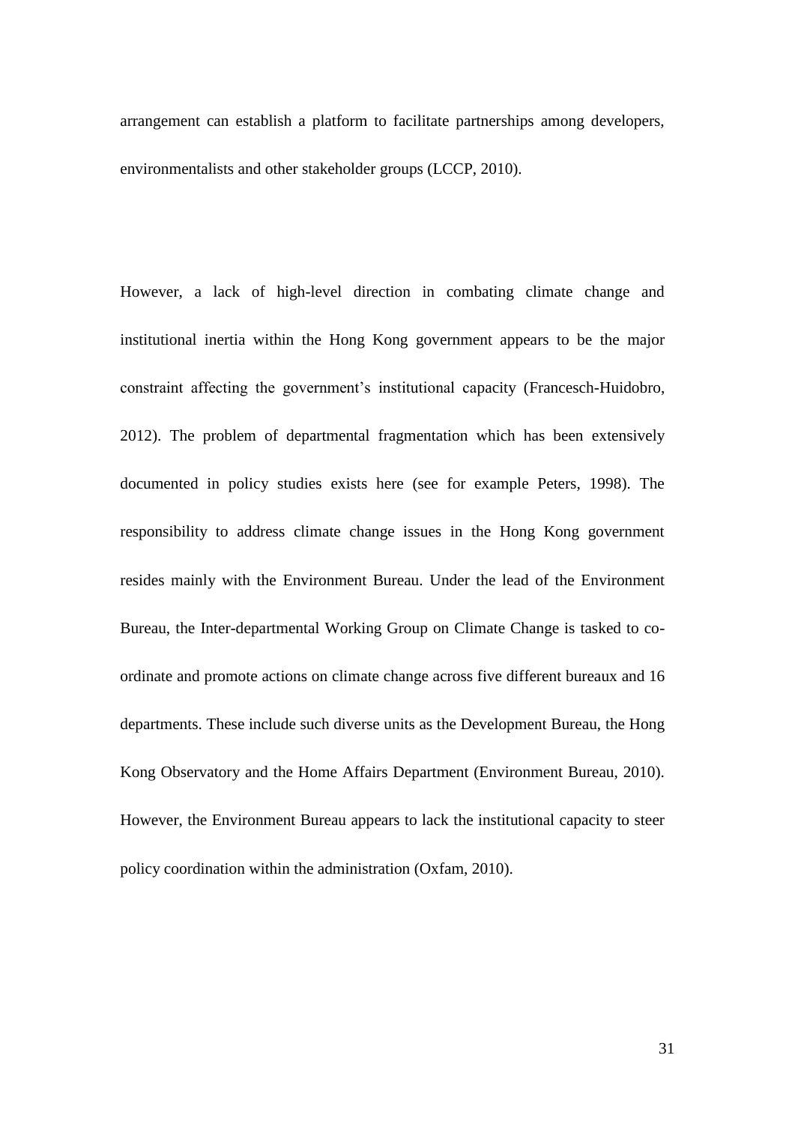arrangement can establish a platform to facilitate partnerships among developers, environmentalists and other stakeholder groups (LCCP, 2010).

However, a lack of high-level direction in combating climate change and institutional inertia within the Hong Kong government appears to be the major constraint affecting the government's institutional capacity [\(Francesch-Huidobro,](#page-56-0)  [2012\)](#page-56-0). The problem of departmental fragmentation which has been extensively documented in policy studies exists here (see for example Peters, 1998). The responsibility to address climate change issues in the Hong Kong government resides mainly with the Environment Bureau. Under the lead of the Environment Bureau, the Inter-departmental Working Group on Climate Change is tasked to coordinate and promote actions on climate change across five different bureaux and 16 departments. These include such diverse units as the Development Bureau, the Hong Kong Observatory and the Home Affairs Department (Environment Bureau, 2010). However, the Environment Bureau appears to lack the institutional capacity to steer policy coordination within the administration (Oxfam, 2010).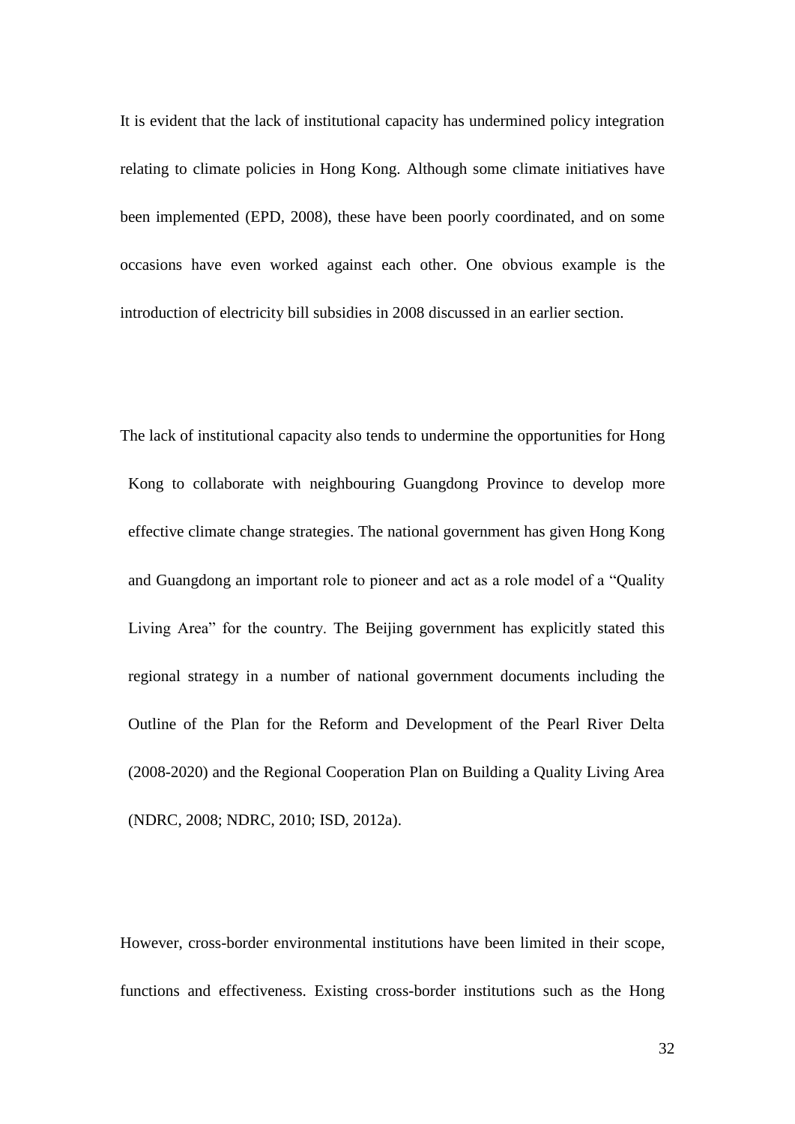It is evident that the lack of institutional capacity has undermined policy integration relating to climate policies in Hong Kong. Although some climate initiatives have been implemented (EPD, 2008), these have been poorly coordinated, and on some occasions have even worked against each other. One obvious example is the introduction of electricity bill subsidies in 2008 discussed in an earlier section.

The lack of institutional capacity also tends to undermine the opportunities for Hong Kong to collaborate with neighbouring Guangdong Province to develop more effective climate change strategies. The national government has given Hong Kong and Guangdong an important role to pioneer and act as a role model of a "Quality Living Area" for the country. The Beijing government has explicitly stated this regional strategy in a number of national government documents including the Outline of the Plan for the Reform and Development of the Pearl River Delta (2008-2020) and the Regional Cooperation Plan on Building a Quality Living Area (NDRC, 2008; NDRC, 2010; ISD, 2012a).

However, cross-border environmental institutions have been limited in their scope, functions and effectiveness. Existing cross-border institutions such as the Hong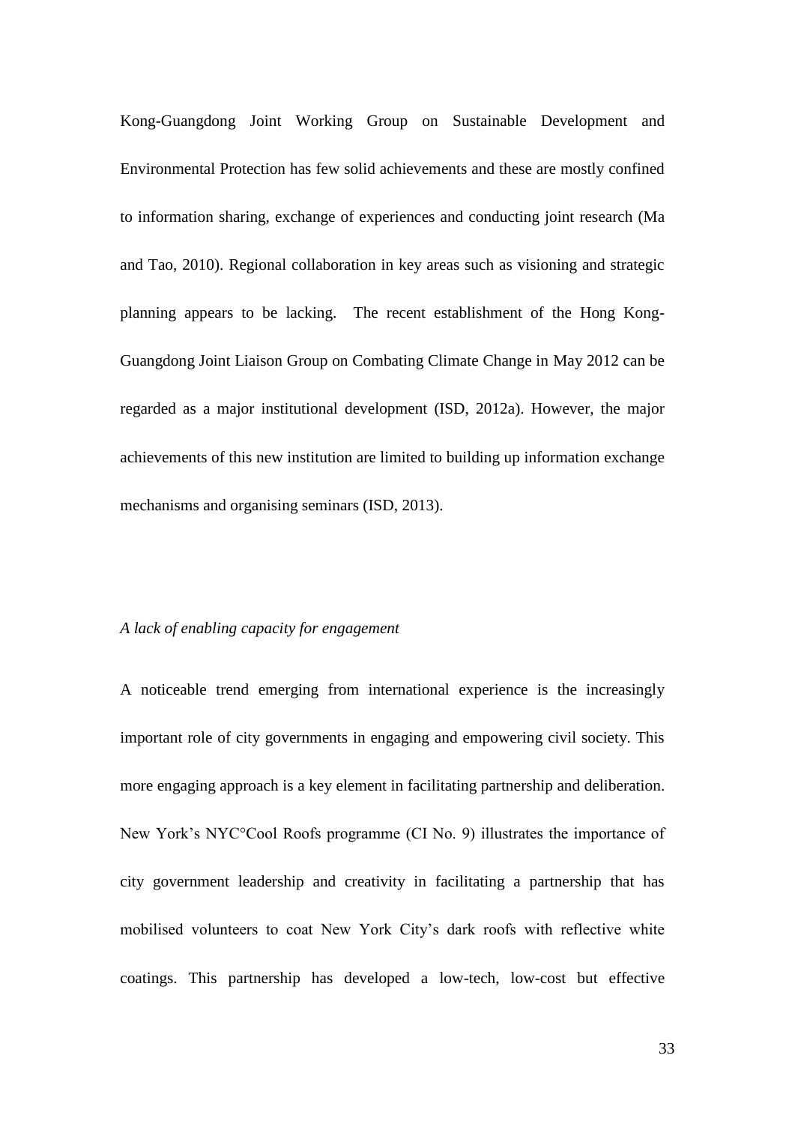Kong-Guangdong Joint Working Group on Sustainable Development and Environmental Protection has few solid achievements and these are mostly confined to information sharing, exchange of experiences and conducting joint research (Ma and Tao, 2010). Regional collaboration in key areas such as visioning and strategic planning appears to be lacking. The recent establishment of the Hong Kong-Guangdong Joint Liaison Group on Combating Climate Change in May 2012 can be regarded as a major institutional development (ISD, 2012a). However, the major achievements of this new institution are limited to building up information exchange mechanisms and organising seminars (ISD, 2013).

# *A lack of enabling capacity for engagement*

A noticeable trend emerging from international experience is the increasingly important role of city governments in engaging and empowering civil society. This more engaging approach is a key element in facilitating partnership and deliberation. New York's NYC°Cool Roofs programme (CI No. 9) illustrates the importance of city government leadership and creativity in facilitating a partnership that has mobilised volunteers to coat New York City's dark roofs with reflective white coatings. This partnership has developed a low-tech, low-cost but effective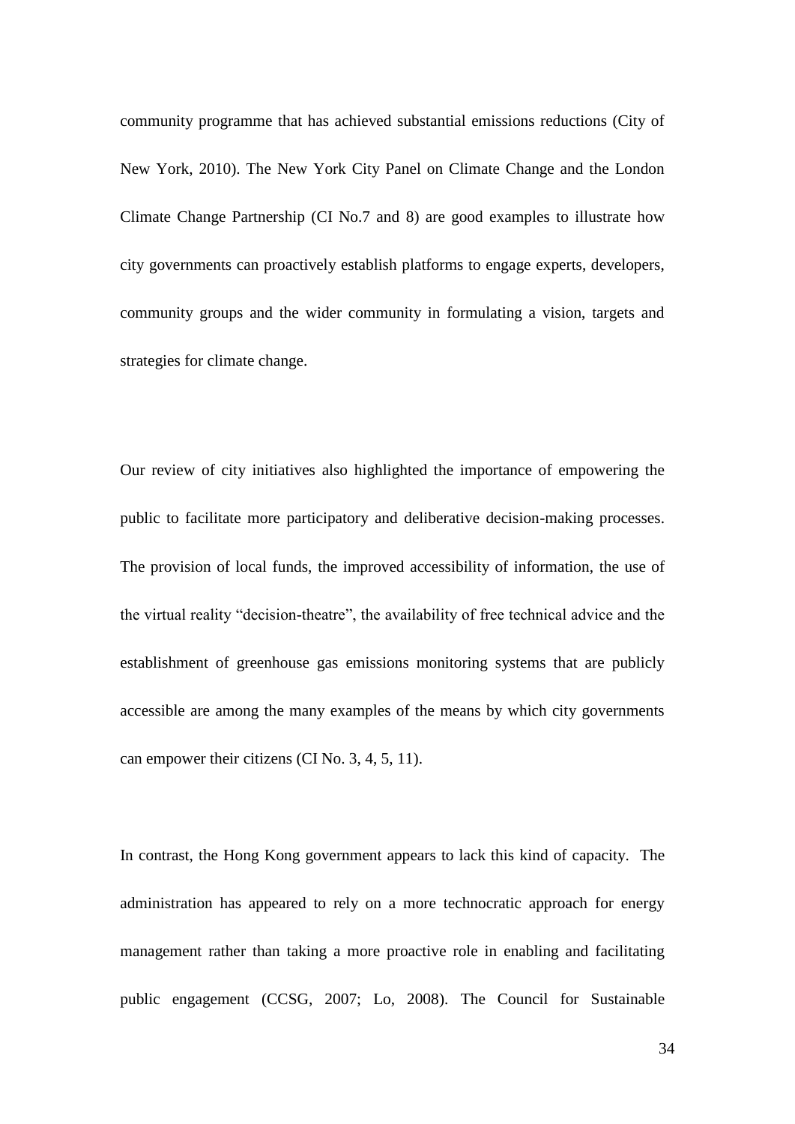community programme that has achieved substantial emissions reductions (City of New York, 2010). The New York City Panel on Climate Change and the London Climate Change Partnership (CI No.7 and 8) are good examples to illustrate how city governments can proactively establish platforms to engage experts, developers, community groups and the wider community in formulating a vision, targets and strategies for climate change.

Our review of city initiatives also highlighted the importance of empowering the public to facilitate more participatory and deliberative decision-making processes. The provision of local funds, the improved accessibility of information, the use of the virtual reality "decision-theatre", the availability of free technical advice and the establishment of greenhouse gas emissions monitoring systems that are publicly accessible are among the many examples of the means by which city governments can empower their citizens (CI No. 3, 4, 5, 11).

In contrast, the Hong Kong government appears to lack this kind of capacity. The administration has appeared to rely on a more technocratic approach for energy management rather than taking a more proactive role in enabling and facilitating public engagement (CCSG, 2007; Lo, 2008). The Council for Sustainable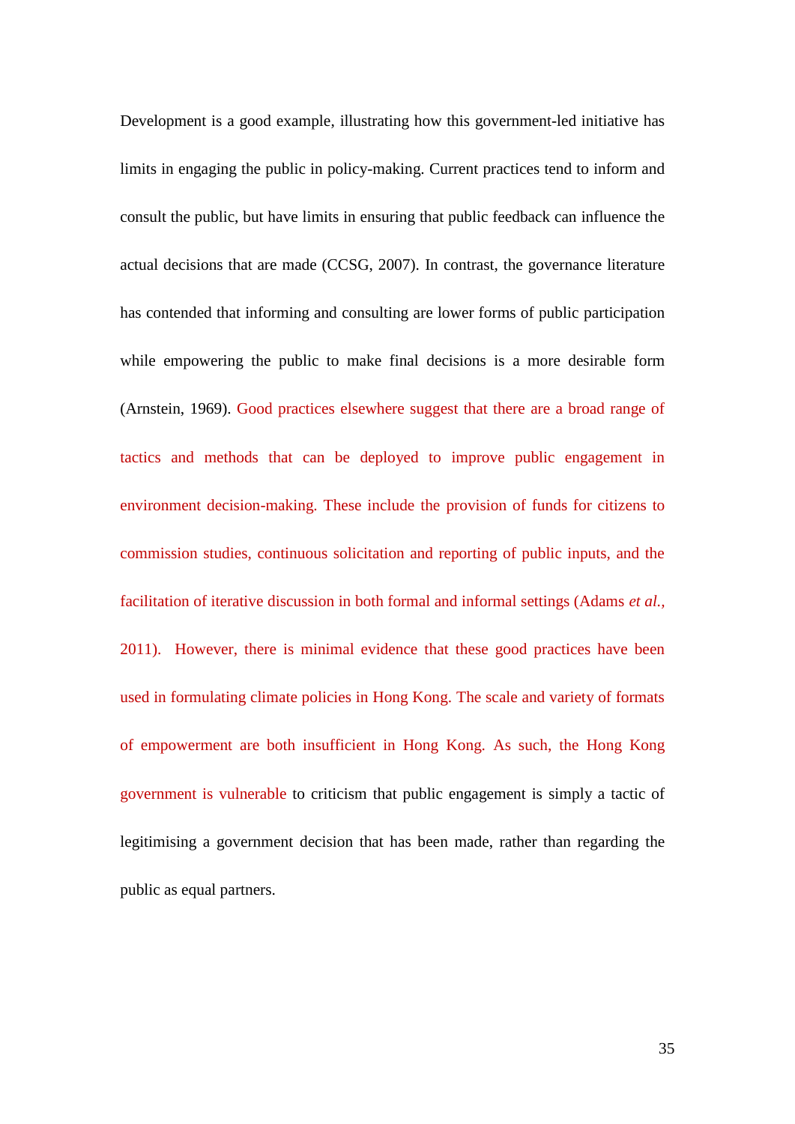Development is a good example, illustrating how this government-led initiative has limits in engaging the public in policy-making. Current practices tend to inform and consult the public, but have limits in ensuring that public feedback can influence the actual decisions that are made (CCSG, 2007). In contrast, the governance literature has contended that informing and consulting are lower forms of public participation while empowering the public to make final decisions is a more desirable form (Arnstein, 1969). Good practices elsewhere suggest that there are a broad range of tactics and methods that can be deployed to improve public engagement in environment decision-making. These include the provision of funds for citizens to commission studies, continuous solicitation and reporting of public inputs, and the facilitation of iterative discussion in both formal and informal settings (Adams *et al.,* 2011). However, there is minimal evidence that these good practices have been used in formulating climate policies in Hong Kong. The scale and variety of formats of empowerment are both insufficient in Hong Kong. As such, the Hong Kong government is vulnerable to criticism that public engagement is simply a tactic of legitimising a government decision that has been made, rather than regarding the public as equal partners.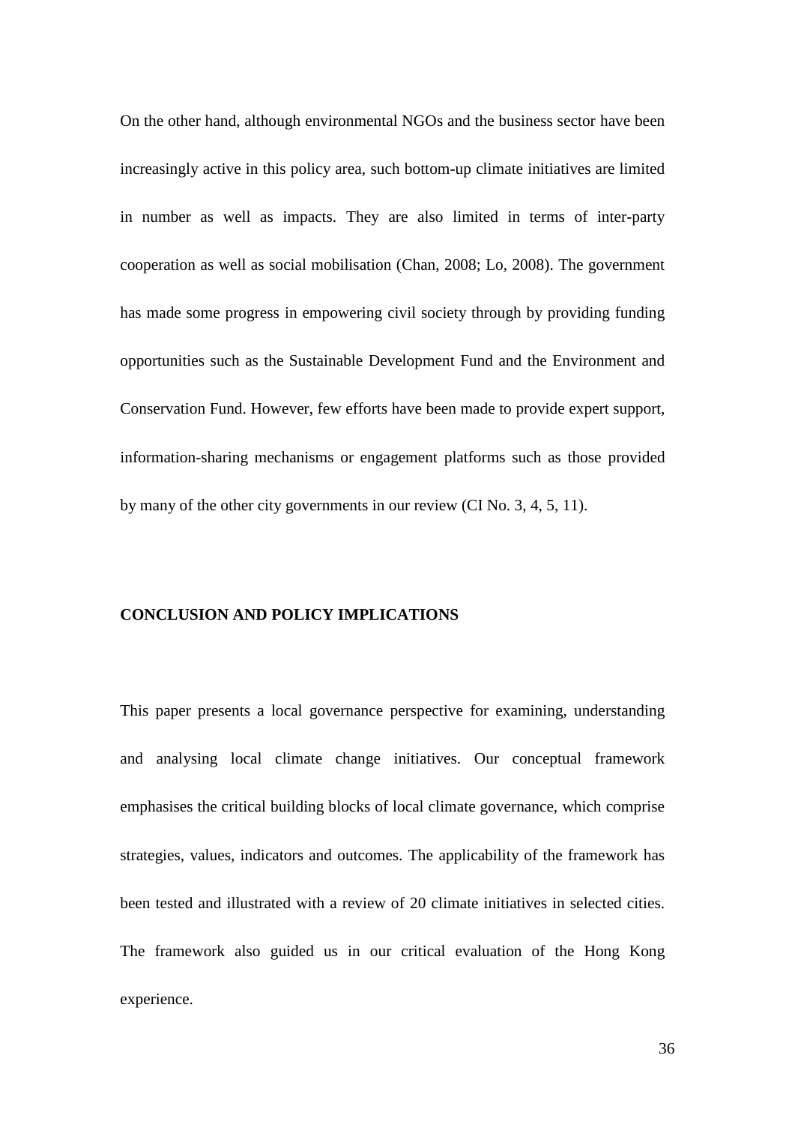On the other hand, although environmental NGOs and the business sector have been increasingly active in this policy area, such bottom-up climate initiatives are limited in number as well as impacts. They are also limited in terms of inter-party cooperation as well as social mobilisation (Chan, 2008; Lo, 2008). The government has made some progress in empowering civil society through by providing funding opportunities such as the Sustainable Development Fund and the Environment and Conservation Fund. However, few efforts have been made to provide expert support, information-sharing mechanisms or engagement platforms such as those provided by many of the other city governments in our review (CI No. 3, 4, 5, 11).

#### **CONCLUSION AND POLICY IMPLICATIONS**

This paper presents a local governance perspective for examining, understanding and analysing local climate change initiatives. Our conceptual framework emphasises the critical building blocks of local climate governance, which comprise strategies, values, indicators and outcomes. The applicability of the framework has been tested and illustrated with a review of 20 climate initiatives in selected cities. The framework also guided us in our critical evaluation of the Hong Kong experience.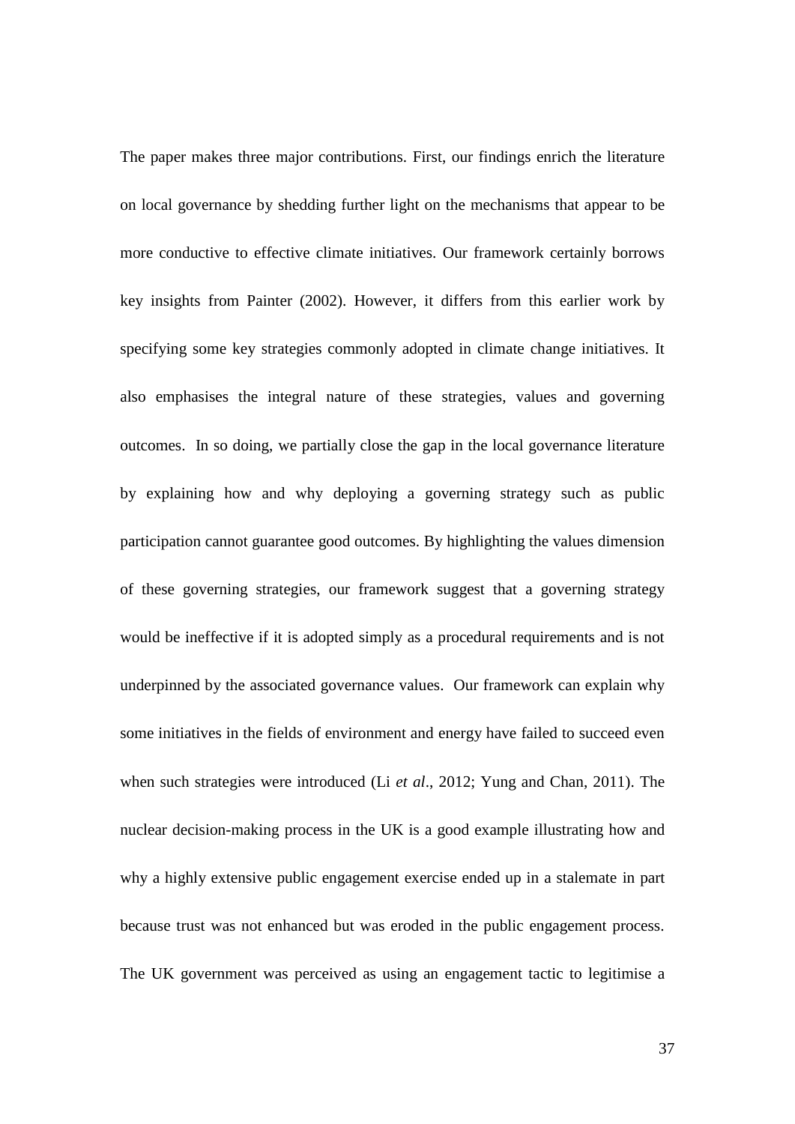The paper makes three major contributions. First, our findings enrich the literature on local governance by shedding further light on the mechanisms that appear to be more conductive to effective climate initiatives. Our framework certainly borrows key insights from Painter (2002). However, it differs from this earlier work by specifying some key strategies commonly adopted in climate change initiatives. It also emphasises the integral nature of these strategies, values and governing outcomes. In so doing, we partially close the gap in the local governance literature by explaining how and why deploying a governing strategy such as public participation cannot guarantee good outcomes. By highlighting the values dimension of these governing strategies, our framework suggest that a governing strategy would be ineffective if it is adopted simply as a procedural requirements and is not underpinned by the associated governance values. Our framework can explain why some initiatives in the fields of environment and energy have failed to succeed even when such strategies were introduced (Li *et al*., 2012; Yung and Chan, 2011). The nuclear decision-making process in the UK is a good example illustrating how and why a highly extensive public engagement exercise ended up in a stalemate in part because trust was not enhanced but was eroded in the public engagement process. The UK government was perceived as using an engagement tactic to legitimise a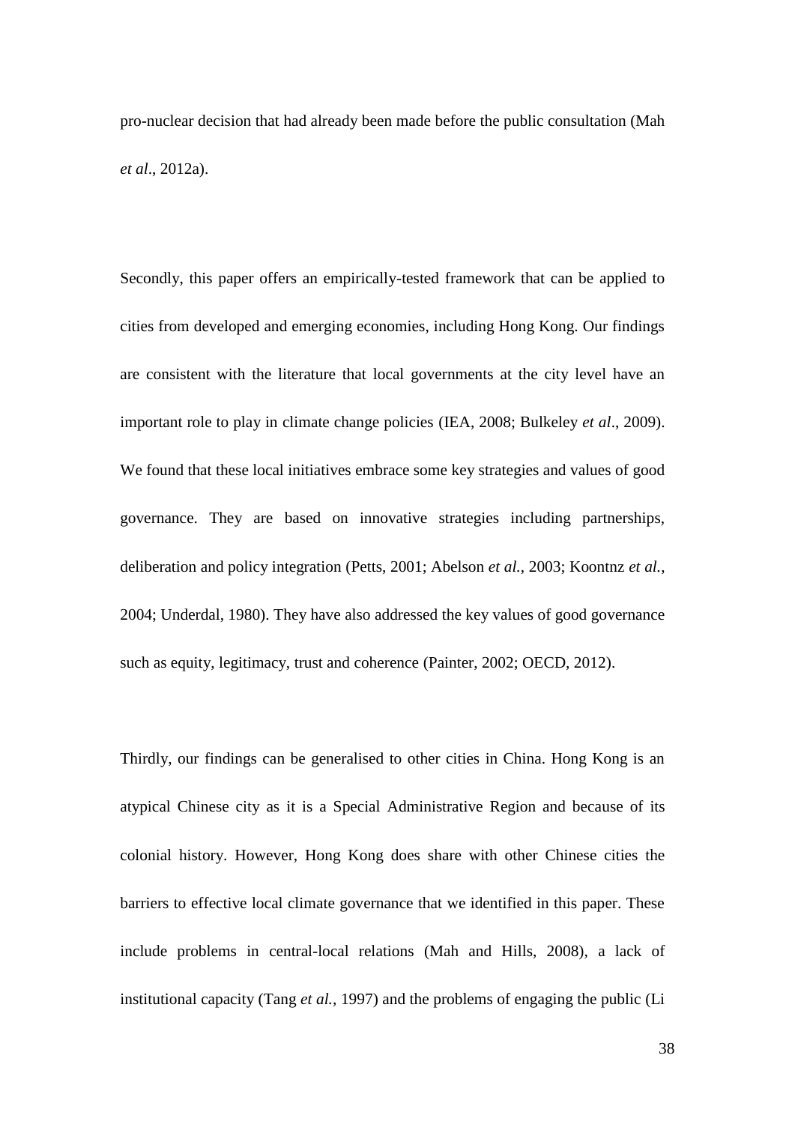pro-nuclear decision that had already been made before the public consultation (Mah *et al*., 2012a).

Secondly, this paper offers an empirically-tested framework that can be applied to cities from developed and emerging economies, including Hong Kong. Our findings are consistent with the literature that local governments at the city level have an important role to play in climate change policies (IEA, 2008; Bulkeley *et al*., 2009). We found that these local initiatives embrace some key strategies and values of good governance. They are based on innovative strategies including partnerships, deliberation and policy integration (Petts, 2001; Abelson *et al.*, 2003; Koontnz *et al.*, 2004; Underdal, 1980). They have also addressed the key values of good governance such as equity, legitimacy, trust and coherence (Painter, 2002; OECD, 2012).

Thirdly, our findings can be generalised to other cities in China. Hong Kong is an atypical Chinese city as it is a Special Administrative Region and because of its colonial history. However, Hong Kong does share with other Chinese cities the barriers to effective local climate governance that we identified in this paper. These include problems in central-local relations (Mah and Hills, 2008), a lack of institutional capacity (Tang *et al.*, 1997) and the problems of engaging the public (Li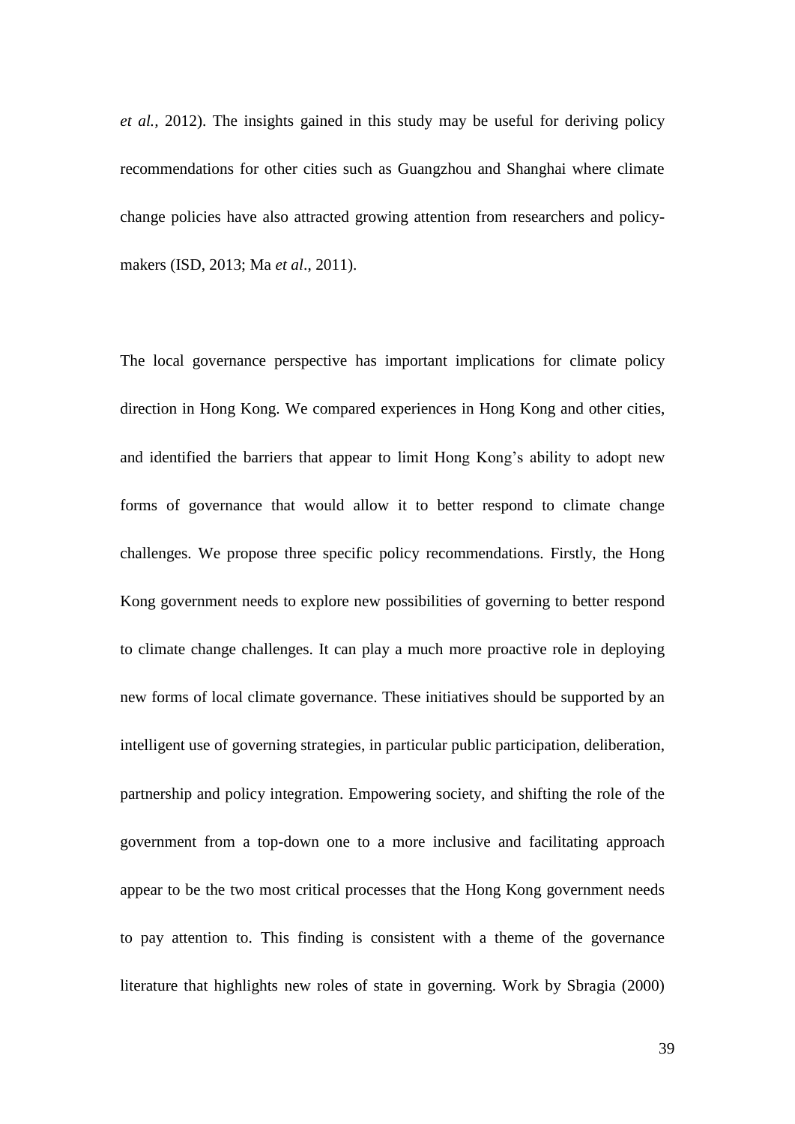*et al.,* 2012). The insights gained in this study may be useful for deriving policy recommendations for other cities such as Guangzhou and Shanghai where climate change policies have also attracted growing attention from researchers and policymakers (ISD, 2013; Ma *et al*., 2011).

The local governance perspective has important implications for climate policy direction in Hong Kong. We compared experiences in Hong Kong and other cities, and identified the barriers that appear to limit Hong Kong's ability to adopt new forms of governance that would allow it to better respond to climate change challenges. We propose three specific policy recommendations. Firstly, the Hong Kong government needs to explore new possibilities of governing to better respond to climate change challenges. It can play a much more proactive role in deploying new forms of local climate governance. These initiatives should be supported by an intelligent use of governing strategies, in particular public participation, deliberation, partnership and policy integration. Empowering society, and shifting the role of the government from a top-down one to a more inclusive and facilitating approach appear to be the two most critical processes that the Hong Kong government needs to pay attention to. This finding is consistent with a theme of the governance literature that highlights new roles of state in governing. Work by Sbragia (2000)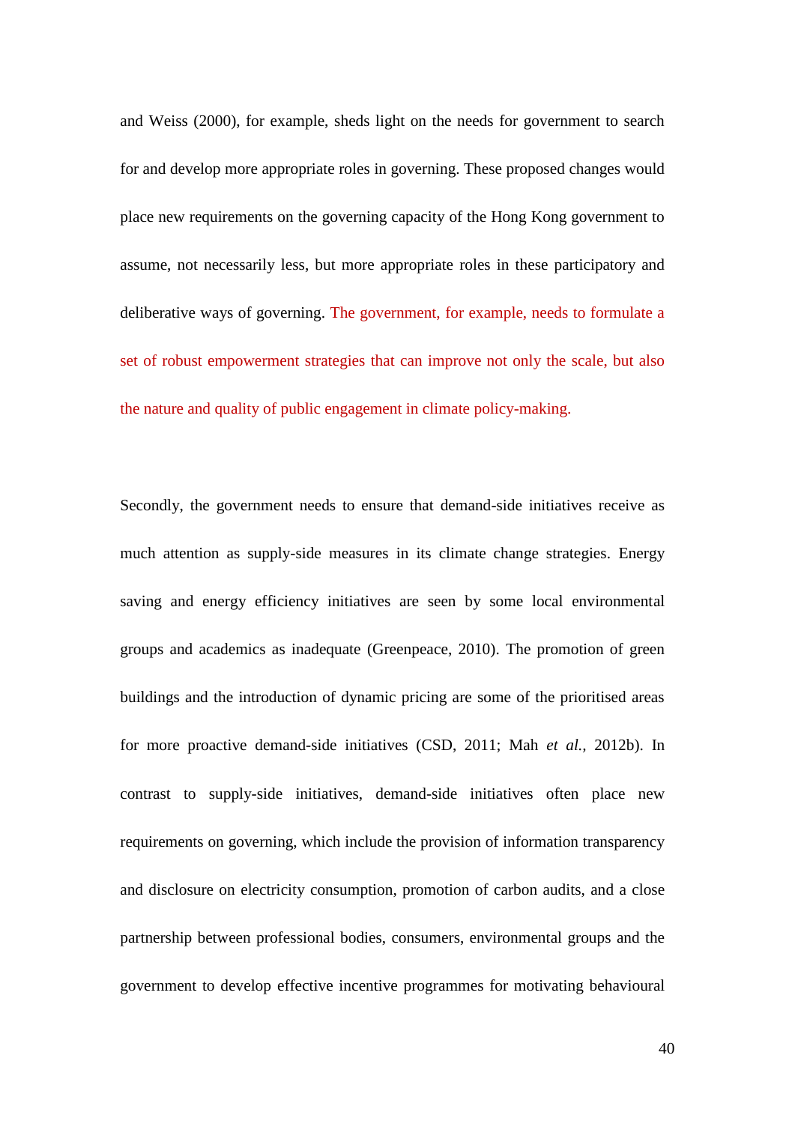and Weiss (2000), for example, sheds light on the needs for government to search for and develop more appropriate roles in governing. These proposed changes would place new requirements on the governing capacity of the Hong Kong government to assume, not necessarily less, but more appropriate roles in these participatory and deliberative ways of governing. The government, for example, needs to formulate a set of robust empowerment strategies that can improve not only the scale, but also the nature and quality of public engagement in climate policy-making.

Secondly, the government needs to ensure that demand-side initiatives receive as much attention as supply-side measures in its climate change strategies. Energy saving and energy efficiency initiatives are seen by some local environmental groups and academics as inadequate (Greenpeace, 2010). The promotion of green buildings and the introduction of dynamic pricing are some of the prioritised areas for more proactive demand-side initiatives (CSD, 2011; Mah *et al.,* 2012b). In contrast to supply-side initiatives, demand-side initiatives often place new requirements on governing, which include the provision of information transparency and disclosure on electricity consumption, promotion of carbon audits, and a close partnership between professional bodies, consumers, environmental groups and the government to develop effective incentive programmes for motivating behavioural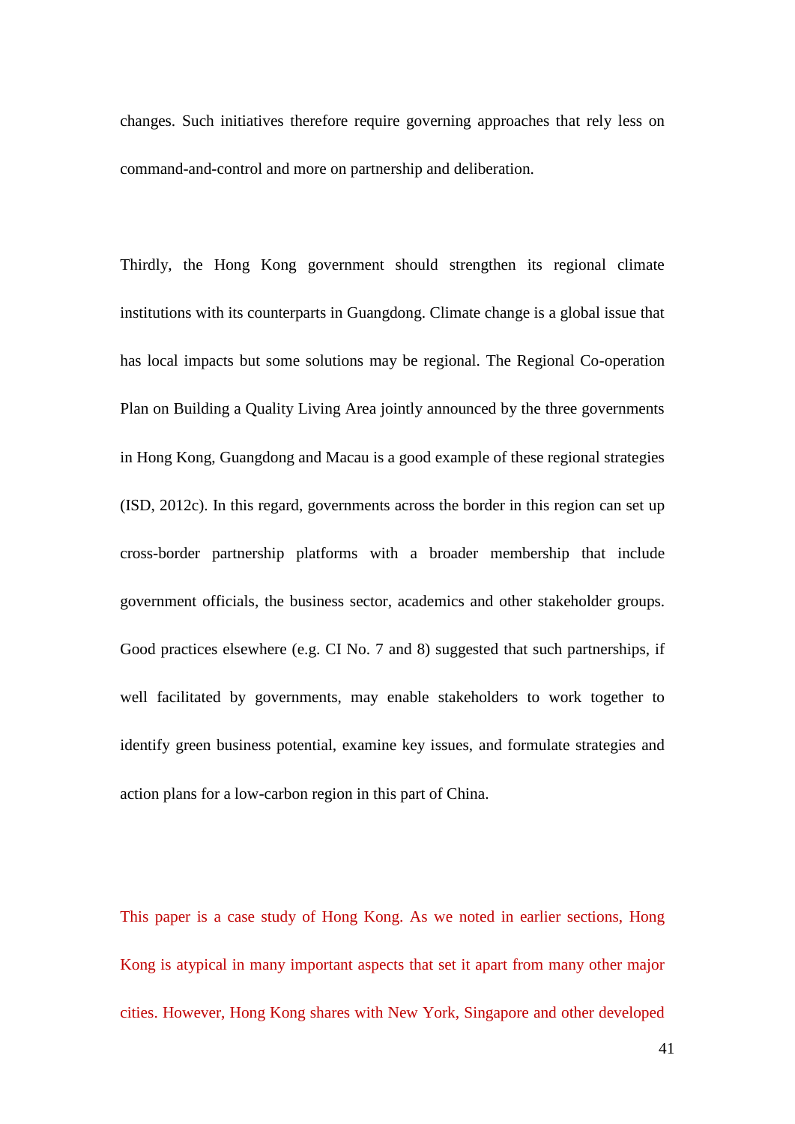changes. Such initiatives therefore require governing approaches that rely less on command-and-control and more on partnership and deliberation.

Thirdly, the Hong Kong government should strengthen its regional climate institutions with its counterparts in Guangdong. Climate change is a global issue that has local impacts but some solutions may be regional. The Regional Co-operation Plan on Building a Quality Living Area jointly announced by the three governments in Hong Kong, Guangdong and Macau is a good example of these regional strategies (ISD, 2012c). In this regard, governments across the border in this region can set up cross-border partnership platforms with a broader membership that include government officials, the business sector, academics and other stakeholder groups. Good practices elsewhere (e.g. CI No. 7 and 8) suggested that such partnerships, if well facilitated by governments, may enable stakeholders to work together to identify green business potential, examine key issues, and formulate strategies and action plans for a low-carbon region in this part of China.

This paper is a case study of Hong Kong. As we noted in earlier sections, Hong Kong is atypical in many important aspects that set it apart from many other major cities. However, Hong Kong shares with New York, Singapore and other developed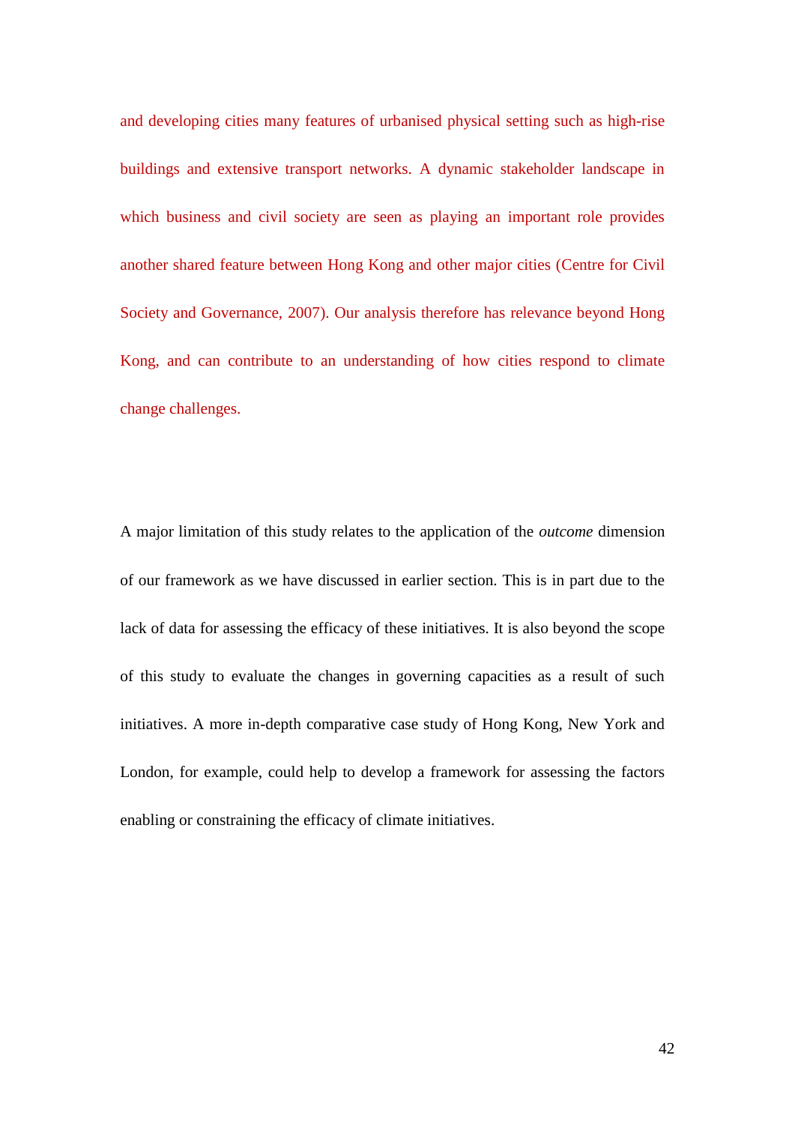and developing cities many features of urbanised physical setting such as high-rise buildings and extensive transport networks. A dynamic stakeholder landscape in which business and civil society are seen as playing an important role provides another shared feature between Hong Kong and other major cities (Centre for Civil Society and Governance, 2007). Our analysis therefore has relevance beyond Hong Kong, and can contribute to an understanding of how cities respond to climate change challenges.

A major limitation of this study relates to the application of the *outcome* dimension of our framework as we have discussed in earlier section. This is in part due to the lack of data for assessing the efficacy of these initiatives. It is also beyond the scope of this study to evaluate the changes in governing capacities as a result of such initiatives. A more in-depth comparative case study of Hong Kong, New York and London, for example, could help to develop a framework for assessing the factors enabling or constraining the efficacy of climate initiatives.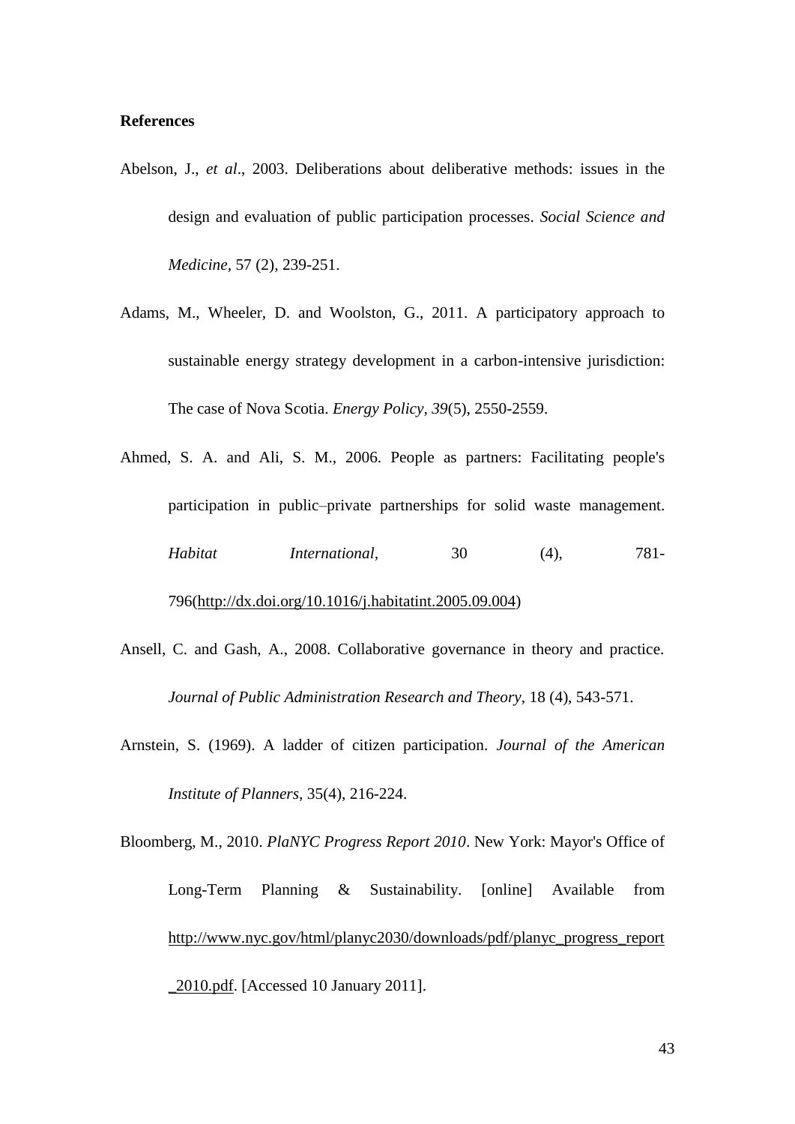#### **References**

- Abelson, J., *et al*., 2003. Deliberations about deliberative methods: issues in the design and evaluation of public participation processes. *Social Science and Medicine,* 57 (2), 239-251.
- Adams, M., Wheeler, D. and Woolston, G., 2011. A participatory approach to sustainable energy strategy development in a carbon-intensive jurisdiction: The case of Nova Scotia. *Energy Policy, 39*(5), 2550-2559.
- Ahmed, S. A. and Ali, S. M., 2006. People as partners: Facilitating people's participation in public–private partnerships for solid waste management. *Habitat International*, 30 (4), 781-796[\(http://dx.doi.org/10.1016/j.habitatint.2005.09.004\)](http://dx.doi.org/10.1016/j.habitatint.2005.09.004)
- Ansell, C. and Gash, A., 2008. Collaborative governance in theory and practice. *Journal of Public Administration Research and Theory,* 18 (4), 543-571.
- Arnstein, S. (1969). A ladder of citizen participation. *Journal of the American Institute of Planners*, 35(4), 216-224.
- Bloomberg, M., 2010. *PlaNYC Progress Report 2010*. New York: Mayor's Office of Long-Term Planning & Sustainability. [online] Available from [http://www.nyc.gov/html/planyc2030/downloads/pdf/planyc\\_progress\\_report](http://www.nyc.gov/html/planyc2030/downloads/pdf/planyc_progress_report_2010.pdf) [\\_2010.pdf.](http://www.nyc.gov/html/planyc2030/downloads/pdf/planyc_progress_report_2010.pdf) [Accessed 10 January 2011].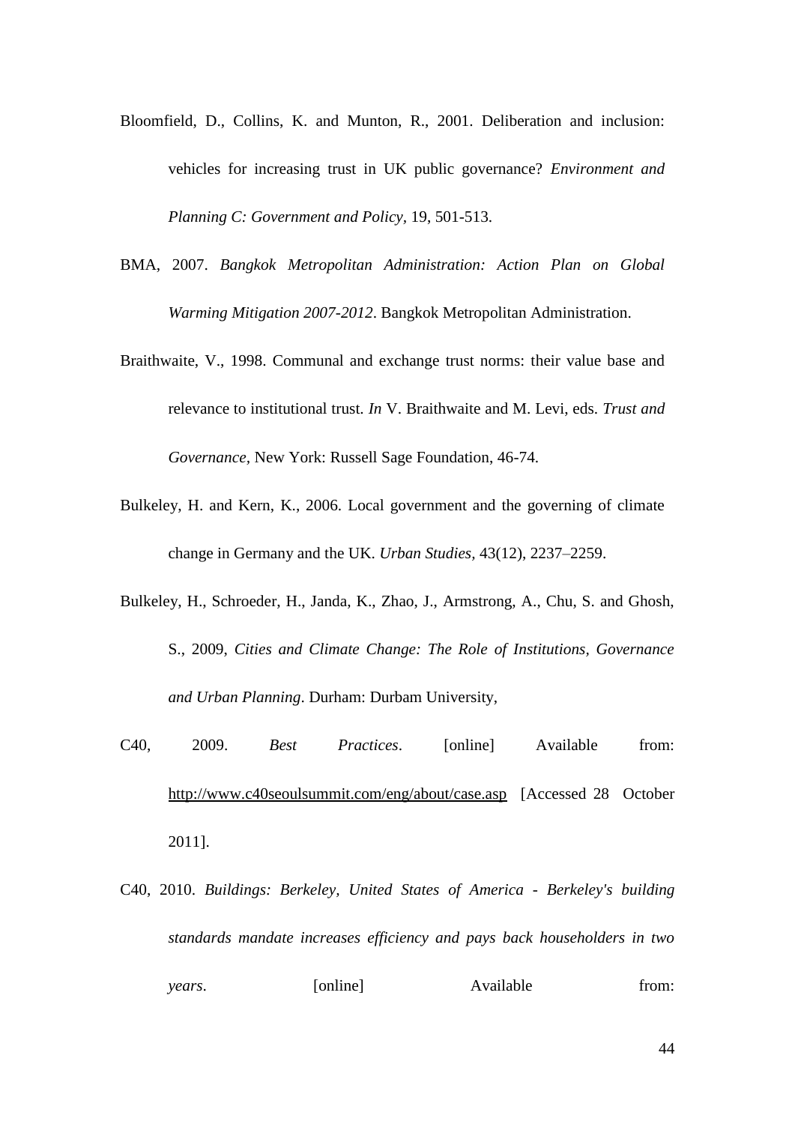- Bloomfield, D., Collins, K. and Munton, R., 2001. Deliberation and inclusion: vehicles for increasing trust in UK public governance? *Environment and Planning C: Government and Policy,* 19, 501-513.
- BMA, 2007. *Bangkok Metropolitan Administration: Action Plan on Global Warming Mitigation 2007-2012*. Bangkok Metropolitan Administration.
- Braithwaite, V., 1998. Communal and exchange trust norms: their value base and relevance to institutional trust. *In* V. Braithwaite and M. Levi, eds. *Trust and Governance,* New York: Russell Sage Foundation, 46-74.
- Bulkeley, H. and Kern, K., 2006. Local government and the governing of climate change in Germany and the UK. *Urban Studies,* 43(12), 2237–2259.
- Bulkeley, H., Schroeder, H., Janda, K., Zhao, J., Armstrong, A., Chu, S. and Ghosh, S., 2009, *Cities and Climate Change: The Role of Institutions, Governance and Urban Planning*. Durham: Durbam University,
- C40, 2009. *Best Practices*. [online] Available from: <http://www.c40seoulsummit.com/eng/about/case.asp>[Accessed 28 October 2011].
- C40, 2010. *Buildings: Berkeley, United States of America - Berkeley's building standards mandate increases efficiency and pays back householders in two years*. [online] Available from: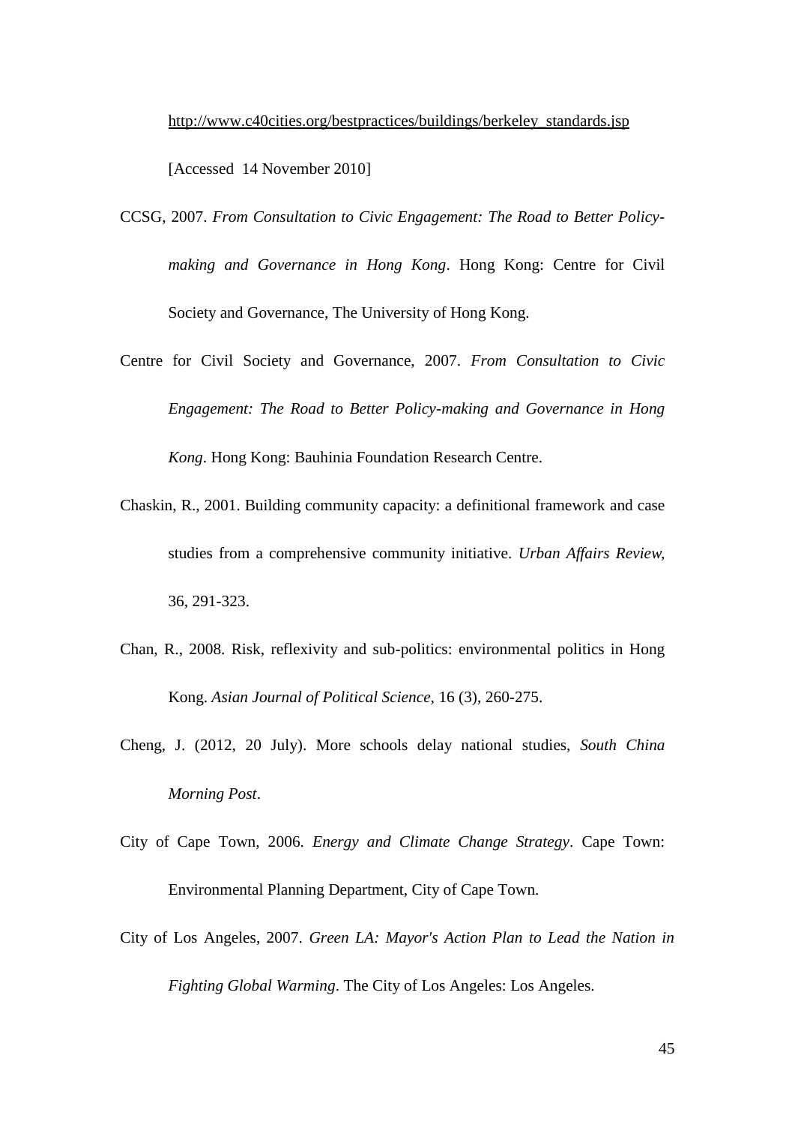<span id="page-45-3"></span>[http://www.c40cities.org/bestpractices/buildings/berkeley\\_standards.jsp](http://www.c40cities.org/bestpractices/buildings/berkeley_standards.jsp)

[Accessed 14 November 2010]

- <span id="page-45-0"></span>CCSG, 2007. *From Consultation to Civic Engagement: The Road to Better Policymaking and Governance in Hong Kong*. Hong Kong: Centre for Civil Society and Governance, The University of Hong Kong.
- <span id="page-45-2"></span>Centre for Civil Society and Governance, 2007. *From Consultation to Civic Engagement: The Road to Better Policy-making and Governance in Hong Kong*. Hong Kong: Bauhinia Foundation Research Centre.
- Chaskin, R., 2001. Building community capacity: a definitional framework and case studies from a comprehensive community initiative. *Urban Affairs Review,*  36, 291-323.
- <span id="page-45-1"></span>Chan, R., 2008. Risk, reflexivity and sub-politics: environmental politics in Hong Kong. *Asian Journal of Political Science,* 16 (3), 260-275.
- Cheng, J. (2012, 20 July). More schools delay national studies, *South China Morning Post*.
- City of Cape Town, 2006. *Energy and Climate Change Strategy*. Cape Town: Environmental Planning Department, City of Cape Town.
- City of Los Angeles, 2007. *Green LA: Mayor's Action Plan to Lead the Nation in Fighting Global Warming*. The City of Los Angeles: Los Angeles.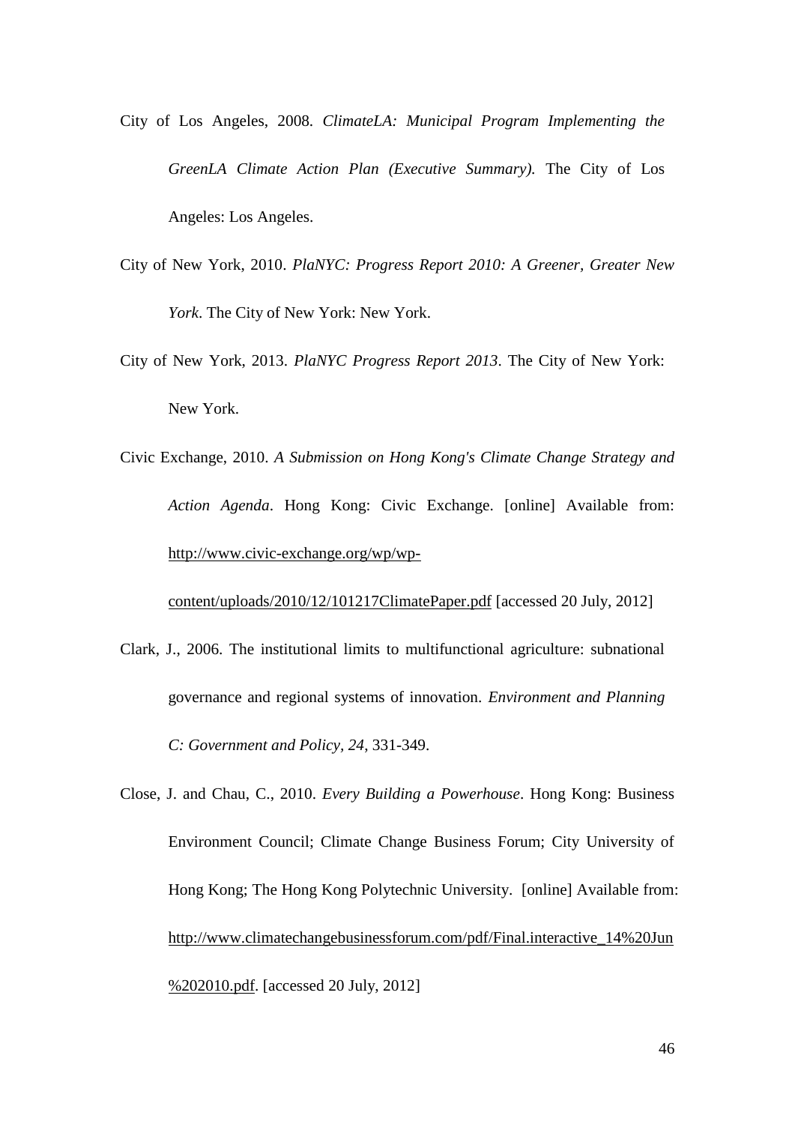- <span id="page-46-1"></span><span id="page-46-0"></span>City of Los Angeles, 2008*. ClimateLA: Municipal Program Implementing the GreenLA Climate Action Plan (Executive Summary).* The City of Los Angeles: Los Angeles.
- City of New York, 2010. *PlaNYC: Progress Report 2010: A Greener, Greater New York*. The City of New York: New York.
- City of New York, 2013. *PlaNYC Progress Report 2013*. The City of New York: New York.
- Civic Exchange, 2010. *A Submission on Hong Kong's Climate Change Strategy and Action Agenda*. Hong Kong: Civic Exchange. [online] Available from: [http://www.civic-exchange.org/wp/wp-](http://www.civic-exchange.org/wp/wp-content/uploads/2010/12/101217ClimatePaper.pdf)

[content/uploads/2010/12/101217ClimatePaper.pdf](http://www.civic-exchange.org/wp/wp-content/uploads/2010/12/101217ClimatePaper.pdf) [accessed 20 July, 2012]

- Clark, J., 2006. The institutional limits to multifunctional agriculture: subnational governance and regional systems of innovation. *Environment and Planning C: Government and Policy, 24*, 331-349.
- Close, J. and Chau, C., 2010. *Every Building a Powerhouse*. Hong Kong: Business Environment Council; Climate Change Business Forum; City University of Hong Kong; The Hong Kong Polytechnic University. [online] Available from: [http://www.climatechangebusinessforum.com/pdf/Final.interactive\\_14%20Jun](http://www.climatechangebusinessforum.com/pdf/Final.interactive_14%20Jun%202010.pdf) [%202010.pdf.](http://www.climatechangebusinessforum.com/pdf/Final.interactive_14%20Jun%202010.pdf) [accessed 20 July, 2012]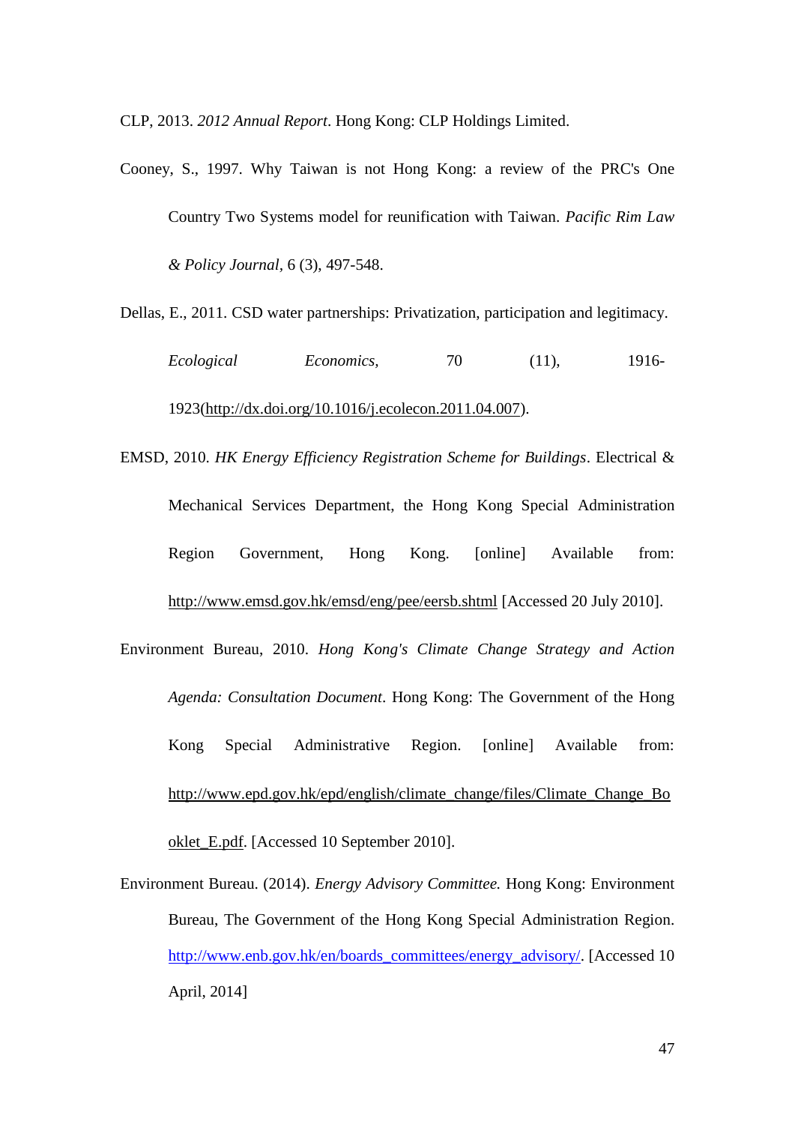<span id="page-47-2"></span><span id="page-47-1"></span><span id="page-47-0"></span>CLP, 2013. *2012 Annual Report*. Hong Kong: CLP Holdings Limited.

Cooney, S., 1997. Why Taiwan is not Hong Kong: a review of the PRC's One Country Two Systems model for reunification with Taiwan. *Pacific Rim Law & Policy Journal,* 6 (3), 497-548.

Dellas, E., 2011. CSD water partnerships: Privatization, participation and legitimacy.

*Ecological Economics,* 70 (11), 1916- 1923[\(http://dx.doi.org/10.1016/j.ecolecon.2011.04.007\)](http://dx.doi.org/10.1016/j.ecolecon.2011.04.007).

- EMSD, 2010. *HK Energy Efficiency Registration Scheme for Buildings*. Electrical & Mechanical Services Department, the Hong Kong Special Administration Region Government, Hong Kong. [online] Available from: <http://www.emsd.gov.hk/emsd/eng/pee/eersb.shtml> [Accessed 20 July 2010].
- Environment Bureau, 2010. *Hong Kong's Climate Change Strategy and Action Agenda: Consultation Document*. Hong Kong: The Government of the Hong Kong Special Administrative Region. [online] Available from: [http://www.epd.gov.hk/epd/english/climate\\_change/files/Climate\\_Change\\_Bo](http://www.epd.gov.hk/epd/english/climate_change/files/Climate_Change_Booklet_E.pdf) [oklet\\_E.pdf.](http://www.epd.gov.hk/epd/english/climate_change/files/Climate_Change_Booklet_E.pdf) [Accessed 10 September 2010].
- Environment Bureau. (2014). *Energy Advisory Committee.* Hong Kong: Environment Bureau, The Government of the Hong Kong Special Administration Region. [http://www.enb.gov.hk/en/boards\\_committees/energy\\_advisory/.](http://www.enb.gov.hk/en/boards_committees/energy_advisory/) [Accessed 10 April, 2014]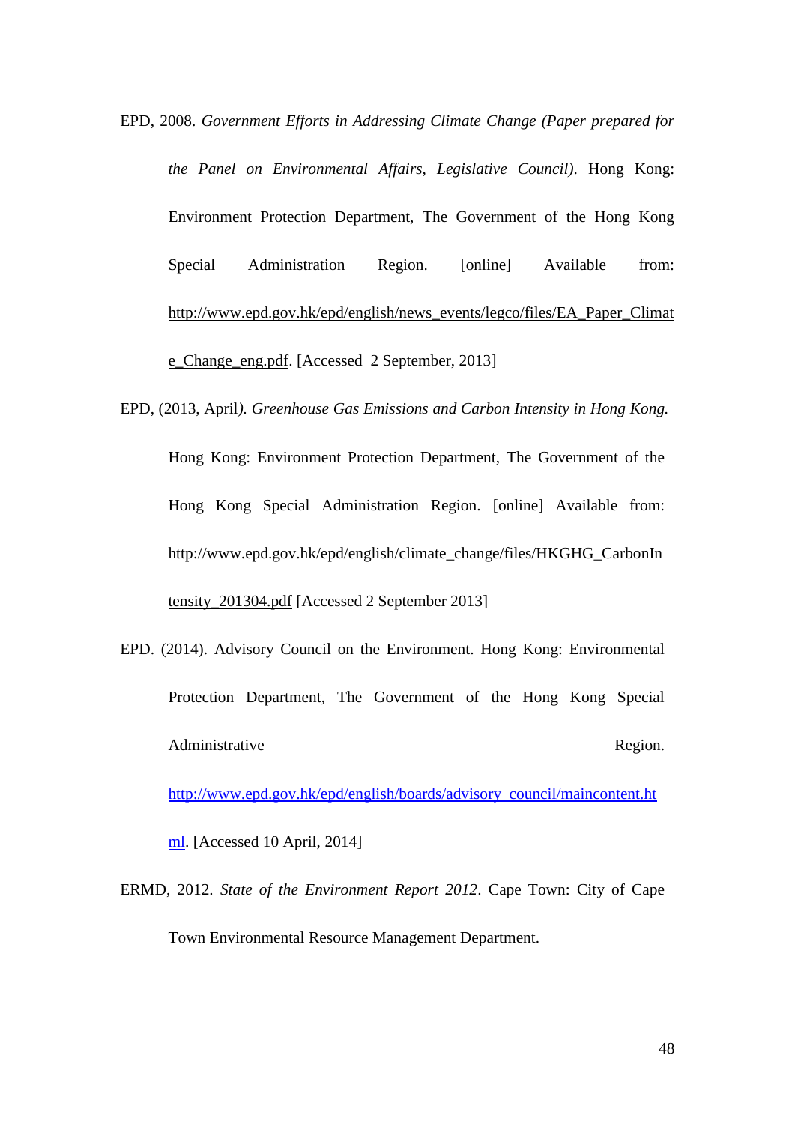- <span id="page-48-0"></span>EPD, 2008. *Government Efforts in Addressing Climate Change (Paper prepared for the Panel on Environmental Affairs, Legislative Council)*. Hong Kong: Environment Protection Department, The Government of the Hong Kong Special Administration Region. [online] Available from: [http://www.epd.gov.hk/epd/english/news\\_events/legco/files/EA\\_Paper\\_Climat](http://www.epd.gov.hk/epd/english/news_events/legco/files/EA_Paper_Climate_Change_eng.pdf) [e\\_Change\\_eng.pdf.](http://www.epd.gov.hk/epd/english/news_events/legco/files/EA_Paper_Climate_Change_eng.pdf) [Accessed 2 September, 2013]
- EPD, (2013, April*). Greenhouse Gas Emissions and Carbon Intensity in Hong Kong.* Hong Kong: Environment Protection Department, The Government of the Hong Kong Special Administration Region. [online] Available from: [http://www.epd.gov.hk/epd/english/climate\\_change/files/HKGHG\\_CarbonIn](http://www.epd.gov.hk/epd/english/climate_change/files/HKGHG_CarbonIntensity_201304.pdf) [tensity\\_201304.pdf](http://www.epd.gov.hk/epd/english/climate_change/files/HKGHG_CarbonIntensity_201304.pdf) [Accessed 2 September 2013]
- EPD. (2014). Advisory Council on the Environment. Hong Kong: Environmental Protection Department, The Government of the Hong Kong Special Administrative Region.

[http://www.epd.gov.hk/epd/english/boards/advisory\\_council/maincontent.ht](http://www.epd.gov.hk/epd/english/boards/advisory_council/maincontent.html)

[ml.](http://www.epd.gov.hk/epd/english/boards/advisory_council/maincontent.html) [Accessed 10 April, 2014]

ERMD, 2012. *State of the Environment Report 2012*. Cape Town: City of Cape Town Environmental Resource Management Department.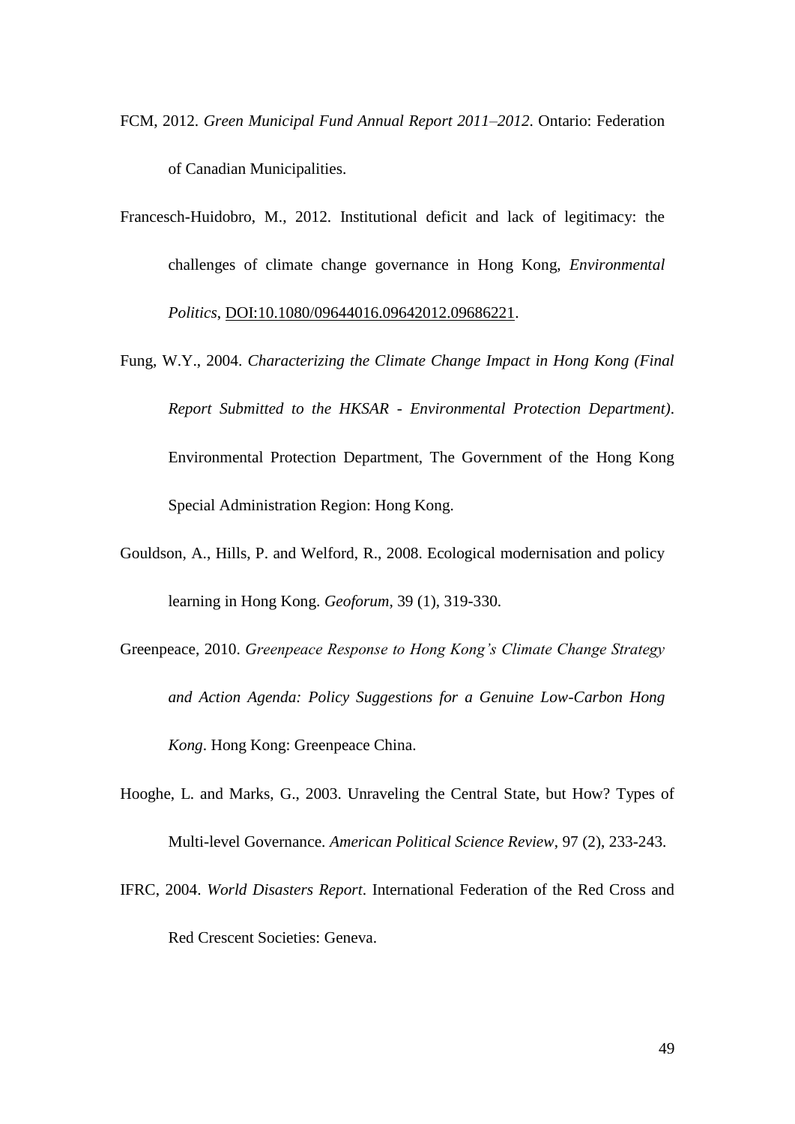- <span id="page-49-0"></span>FCM, 2012. *Green Municipal Fund Annual Report 2011–2012*. Ontario: Federation of Canadian Municipalities.
- Francesch-Huidobro, M., 2012. Institutional deficit and lack of legitimacy: the challenges of climate change governance in Hong Kong, *Environmental Politics*, DOI:10.1080/09644016.09642012.09686221.
- Fung, W.Y., 2004. *Characterizing the Climate Change Impact in Hong Kong (Final Report Submitted to the HKSAR - Environmental Protection Department)*. Environmental Protection Department, The Government of the Hong Kong Special Administration Region: Hong Kong.
- Gouldson, A., Hills, P. and Welford, R., 2008. Ecological modernisation and policy learning in Hong Kong. *Geoforum,* 39 (1), 319-330.
- Greenpeace, 2010. *Greenpeace Response to Hong Kong's Climate Change Strategy and Action Agenda: Policy Suggestions for a Genuine Low-Carbon Hong Kong*. Hong Kong: Greenpeace China.
- Hooghe, L. and Marks, G., 2003. Unraveling the Central State, but How? Types of Multi-level Governance. *American Political Science Review*, 97 (2), 233-243.
- IFRC, 2004. *World Disasters Report*. International Federation of the Red Cross and Red Crescent Societies: Geneva.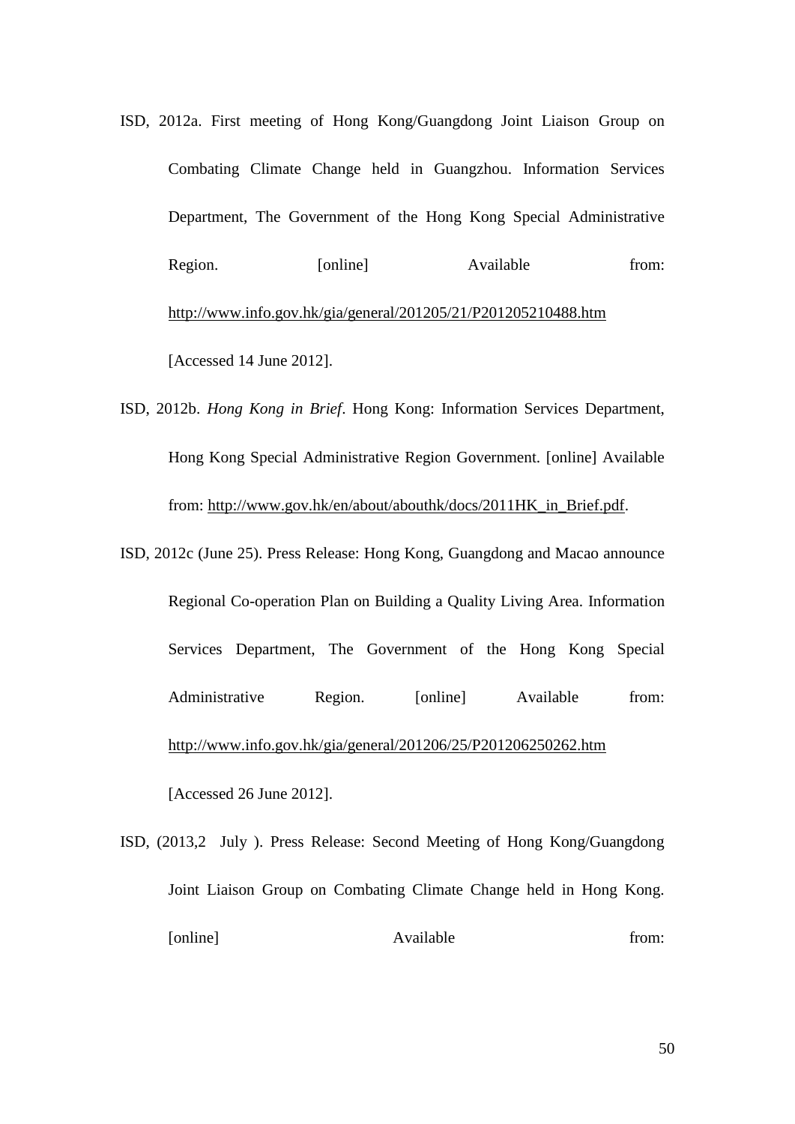- ISD, 2012a. First meeting of Hong Kong/Guangdong Joint Liaison Group on Combating Climate Change held in Guangzhou. Information Services Department, The Government of the Hong Kong Special Administrative Region. [online] Available from: <http://www.info.gov.hk/gia/general/201205/21/P201205210488.htm> [Accessed 14 June 2012].
- ISD, 2012b. *Hong Kong in Brief*. Hong Kong: Information Services Department, Hong Kong Special Administrative Region Government. [online] Available from: [http://www.gov.hk/en/about/abouthk/docs/2011HK\\_in\\_Brief.pdf.](http://www.gov.hk/en/about/abouthk/docs/2011HK_in_Brief.pdf)
- ISD, 2012c (June 25). Press Release: Hong Kong, Guangdong and Macao announce Regional Co-operation Plan on Building a Quality Living Area. Information Services Department, The Government of the Hong Kong Special Administrative Region. [online] Available from: <http://www.info.gov.hk/gia/general/201206/25/P201206250262.htm> [Accessed 26 June 2012].

ISD, (2013,2 July ). Press Release: Second Meeting of Hong Kong/Guangdong Joint Liaison Group on Combating Climate Change held in Hong Kong. [online] Available from: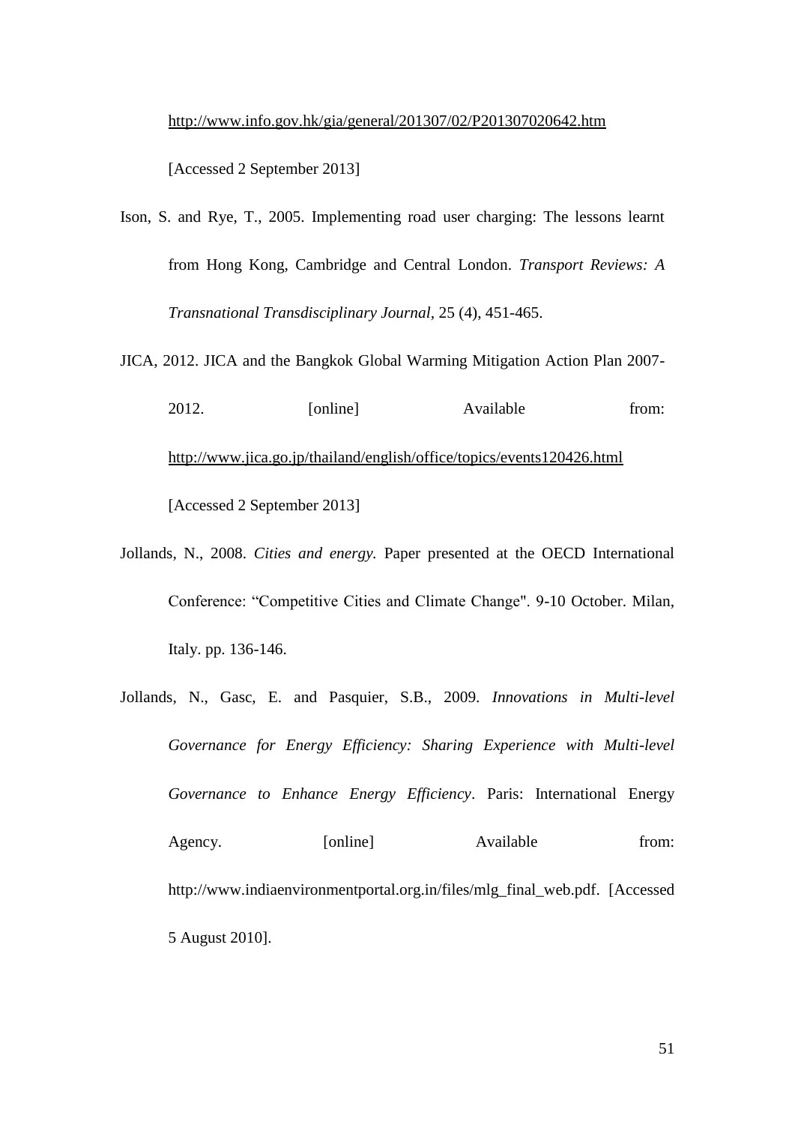# <http://www.info.gov.hk/gia/general/201307/02/P201307020642.htm>

[Accessed 2 September 2013]

Ison, S. and Rye, T., 2005. Implementing road user charging: The lessons learnt from Hong Kong, Cambridge and Central London. *Transport Reviews: A Transnational Transdisciplinary Journal,* 25 (4), 451-465.

JICA, 2012. JICA and the Bangkok Global Warming Mitigation Action Plan 2007-

- 2012. [online] Available from: <http://www.jica.go.jp/thailand/english/office/topics/events120426.html> [Accessed 2 September 2013]
- Jollands, N., 2008. *Cities and energy.* Paper presented at the OECD International Conference: "Competitive Cities and Climate Change". 9-10 October. Milan, Italy. pp. 136-146.
- Jollands, N., Gasc, E. and Pasquier, S.B., 2009. *Innovations in Multi-level Governance for Energy Efficiency: Sharing Experience with Multi-level Governance to Enhance Energy Efficiency*. Paris: International Energy Agency. [online] Available from: [http://www.indiaenvironmentportal.org.in/files/mlg\\_final\\_web.pdf.](http://www.indiaenvironmentportal.org.in/files/mlg_final_web.pdf) [Accessed 5 August 2010].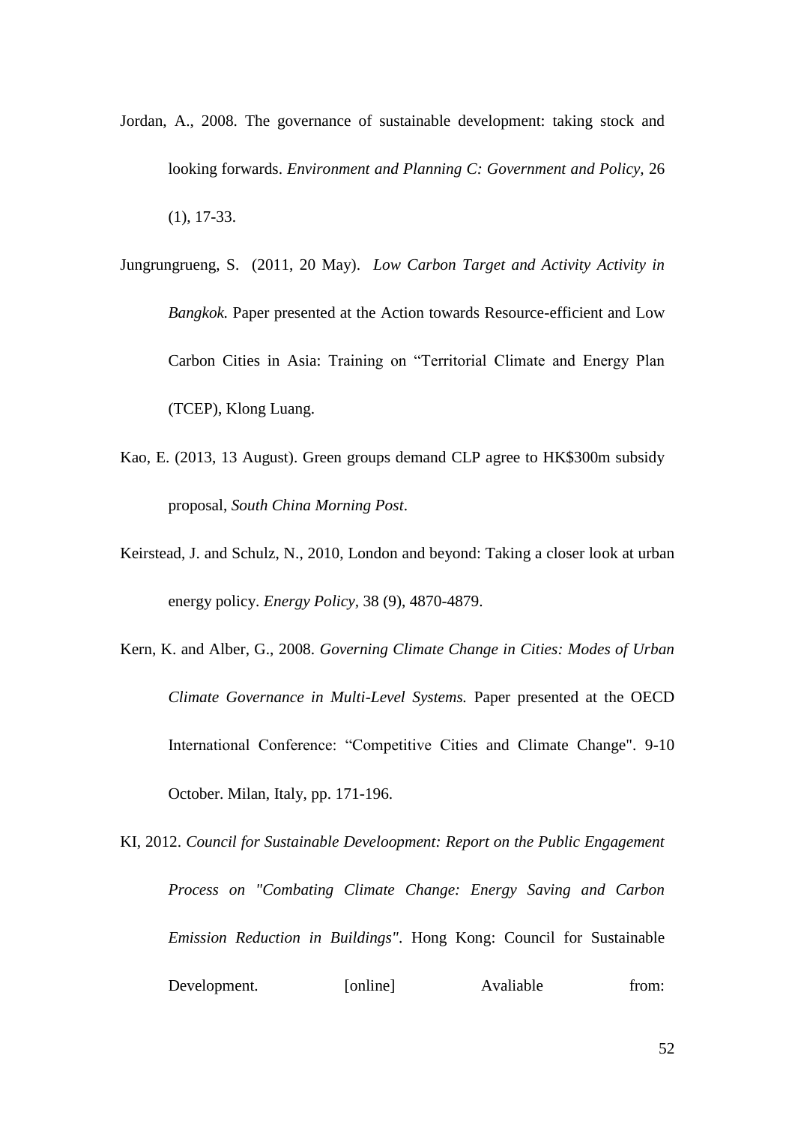- Jordan, A., 2008. The governance of sustainable development: taking stock and looking forwards. *Environment and Planning C: Government and Policy,* 26 (1), 17-33.
- Jungrungrueng, S. (2011, 20 May). *Low Carbon Target and Activity Activity in Bangkok.* Paper presented at the Action towards Resource-efficient and Low Carbon Cities in Asia: Training on "Territorial Climate and Energy Plan (TCEP), Klong Luang.
- Kao, E. (2013, 13 August). Green groups demand CLP agree to HK\$300m subsidy proposal, *South China Morning Post*.
- Keirstead, J. and Schulz, N., 2010, London and beyond: Taking a closer look at urban energy policy. *Energy Policy,* 38 (9), 4870-4879.
- Kern, K. and Alber, G., 2008. *Governing Climate Change in Cities: Modes of Urban Climate Governance in Multi-Level Systems.* Paper presented at the OECD International Conference: "Competitive Cities and Climate Change". 9-10 October. Milan, Italy, pp. 171-196.
- KI, 2012. *Council for Sustainable Develoopment: Report on the Public Engagement Process on "Combating Climate Change: Energy Saving and Carbon Emission Reduction in Buildings"*. Hong Kong: Council for Sustainable Development. [online] Avaliable from: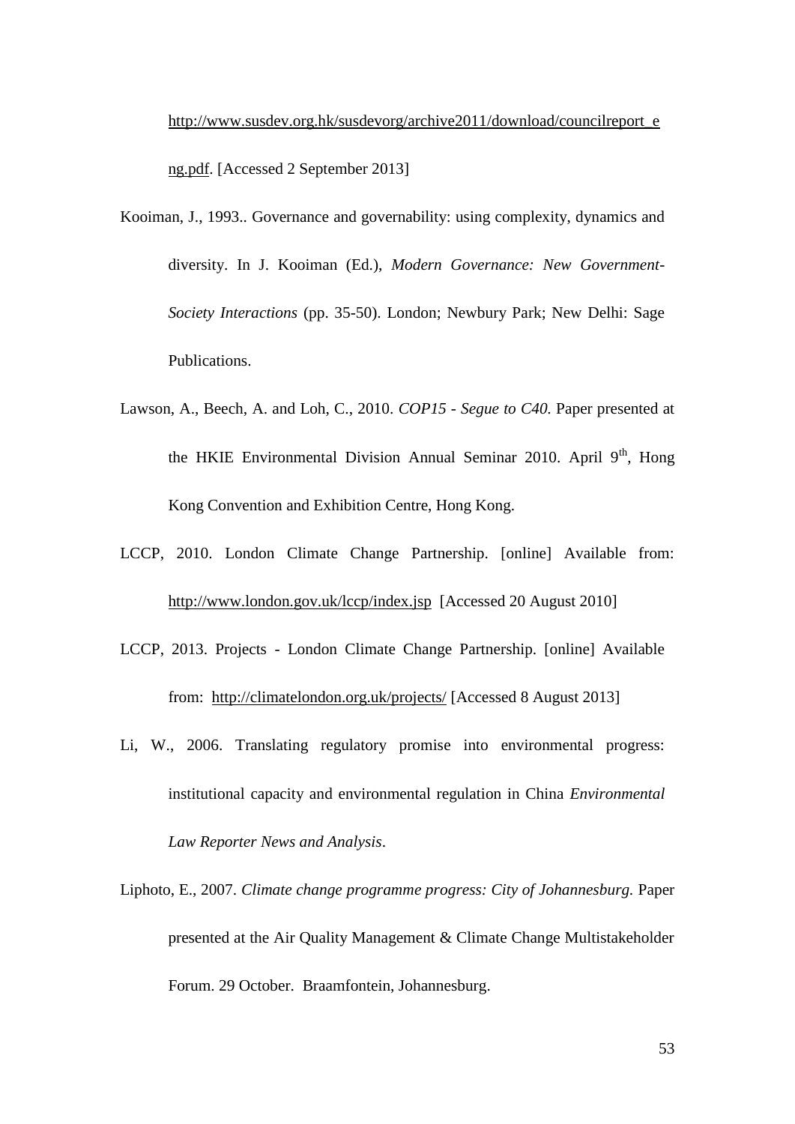[http://www.susdev.org.hk/susdevorg/archive2011/download/councilreport\\_e](http://www.susdev.org.hk/susdevorg/archive2011/download/councilreport_eng.pdf) [ng.pdf.](http://www.susdev.org.hk/susdevorg/archive2011/download/councilreport_eng.pdf) [Accessed 2 September 2013]

- Kooiman, J., 1993.. Governance and governability: using complexity, dynamics and diversity. In J. Kooiman (Ed.), *Modern Governance: New Government-Society Interactions* (pp. 35-50). London; Newbury Park; New Delhi: Sage Publications.
- Lawson, A., Beech, A. and Loh, C., 2010. *COP15 - Segue to C40.* Paper presented at the HKIE Environmental Division Annual Seminar 2010. April  $9<sup>th</sup>$ , Hong Kong Convention and Exhibition Centre, Hong Kong.
- LCCP, 2010. London Climate Change Partnership. [online] Available from: <http://www.london.gov.uk/lccp/index.jsp>[Accessed 20 August 2010]
- LCCP, 2013. Projects London Climate Change Partnership. [online] Available from: <http://climatelondon.org.uk/projects/> [Accessed 8 August 2013]
- Li, W., 2006. Translating regulatory promise into environmental progress: institutional capacity and environmental regulation in China *Environmental Law Reporter News and Analysis*.
- Liphoto, E., 2007. *Climate change programme progress: City of Johannesburg.* Paper presented at the Air Quality Management & Climate Change Multistakeholder Forum. 29 October. Braamfontein, Johannesburg.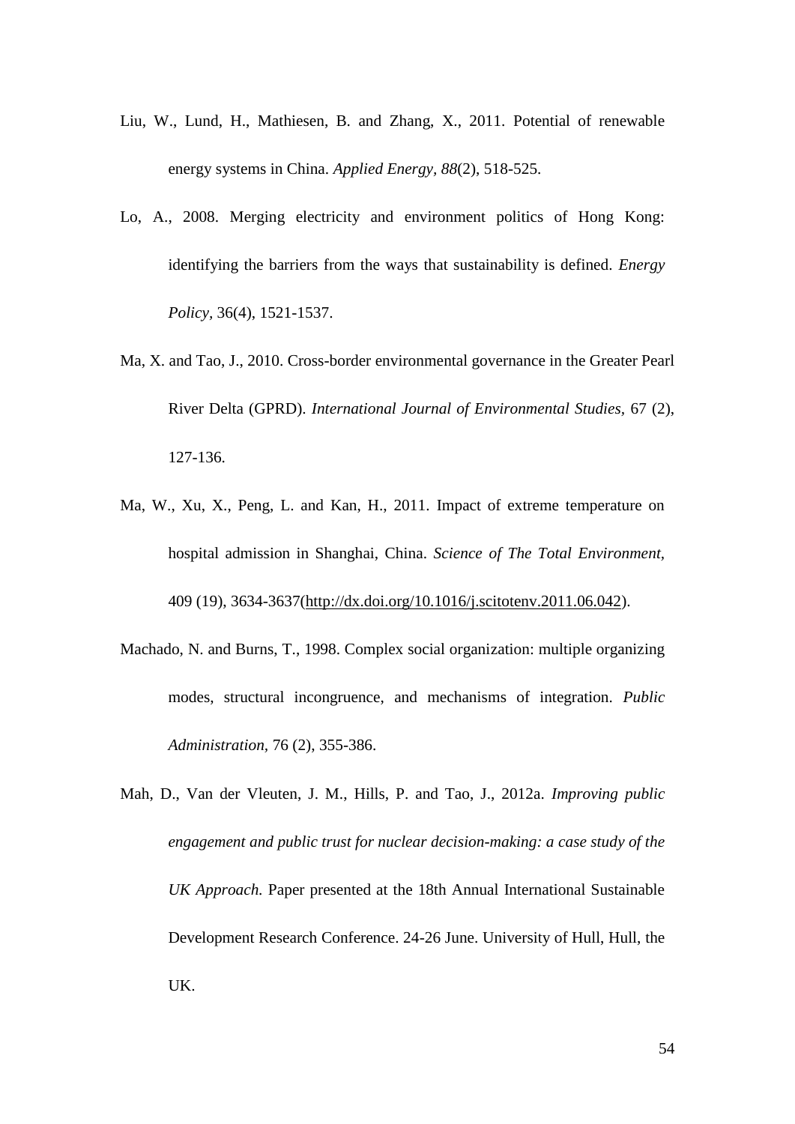- Liu, W., Lund, H., Mathiesen, B. and Zhang, X., 2011. Potential of renewable energy systems in China. *Applied Energy, 88*(2), 518-525.
- Lo, A., 2008. Merging electricity and environment politics of Hong Kong: identifying the barriers from the ways that sustainability is defined. *Energy Policy,* 36(4), 1521-1537.
- Ma, X. and Tao, J., 2010. Cross-border environmental governance in the Greater Pearl River Delta (GPRD). *International Journal of Environmental Studies,* 67 (2), 127-136.
- Ma, W., Xu, X., Peng, L. and Kan, H., 2011. Impact of extreme temperature on hospital admission in Shanghai, China. *Science of The Total Environment,*  409 (19), 3634-3637[\(http://dx.doi.org/10.1016/j.scitotenv.2011.06.042\)](http://dx.doi.org/10.1016/j.scitotenv.2011.06.042).
- Machado, N. and Burns, T., 1998. Complex social organization: multiple organizing modes, structural incongruence, and mechanisms of integration. *Public Administration,* 76 (2), 355-386.
- Mah, D., Van der Vleuten, J. M., Hills, P. and Tao, J., 2012a. *Improving public engagement and public trust for nuclear decision-making: a case study of the UK Approach.* Paper presented at the 18th Annual International Sustainable Development Research Conference. 24-26 June. University of Hull, Hull, the UK.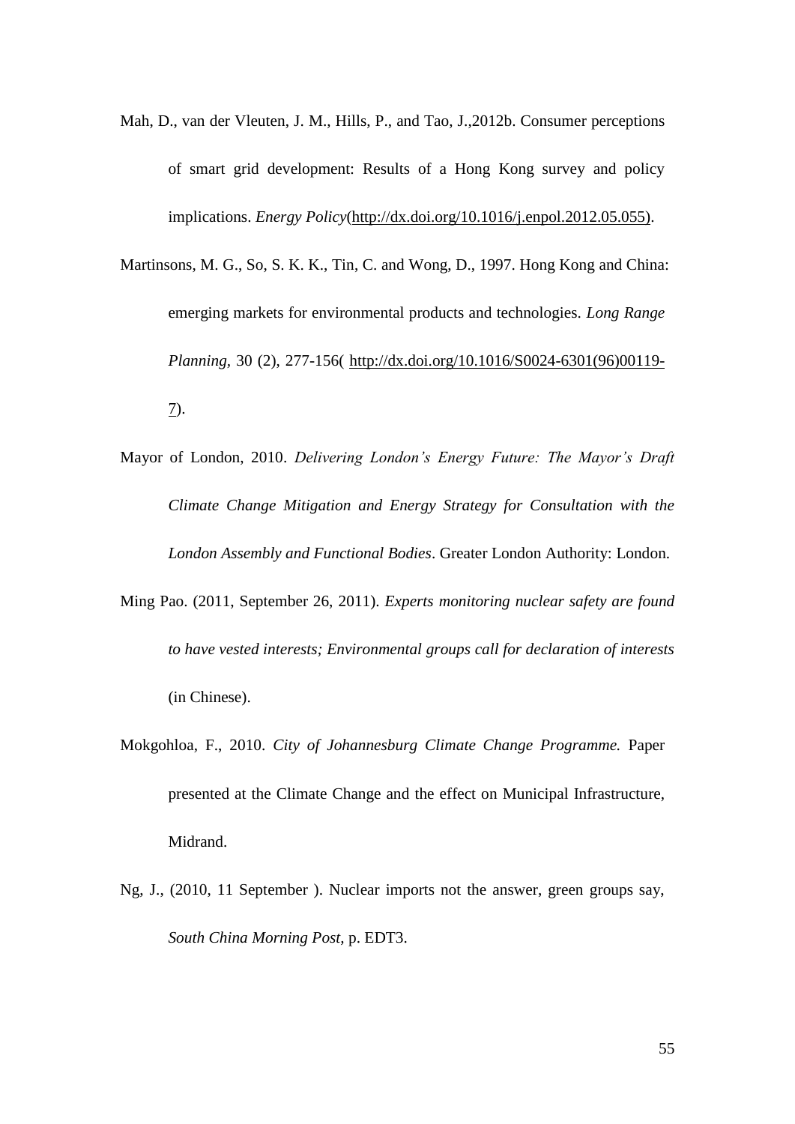- Mah, D., van der Vleuten, J. M., Hills, P., and Tao, J.,2012b. Consumer perceptions of smart grid development: Results of a Hong Kong survey and policy implications. *Energy Policy*[\(http://dx.doi.org/10.1016/j.enpol.2012.05.055\).](http://dx.doi.org/10.1016/j.enpol.2012.05.055))
- Martinsons, M. G., So, S. K. K., Tin, C. and Wong, D., 1997. Hong Kong and China: emerging markets for environmental products and technologies. *Long Range Planning,* 30 (2), 277-156( [http://dx.doi.org/10.1016/S0024-6301\(96\)00119-](http://dx.doi.org/10.1016/S0024-6301(96)00119-7) [7\)](http://dx.doi.org/10.1016/S0024-6301(96)00119-7).
- Mayor of London, 2010. *Delivering London's Energy Future: The Mayor's Draft Climate Change Mitigation and Energy Strategy for Consultation with the London Assembly and Functional Bodies*. Greater London Authority: London.
- Ming Pao. (2011, September 26, 2011). *Experts monitoring nuclear safety are found to have vested interests; Environmental groups call for declaration of interests* (in Chinese).
- Mokgohloa, F., 2010. *City of Johannesburg Climate Change Programme.* Paper presented at the Climate Change and the effect on Municipal Infrastructure, Midrand.
- Ng, J., (2010, 11 September ). Nuclear imports not the answer, green groups say, *South China Morning Post,* p. EDT3.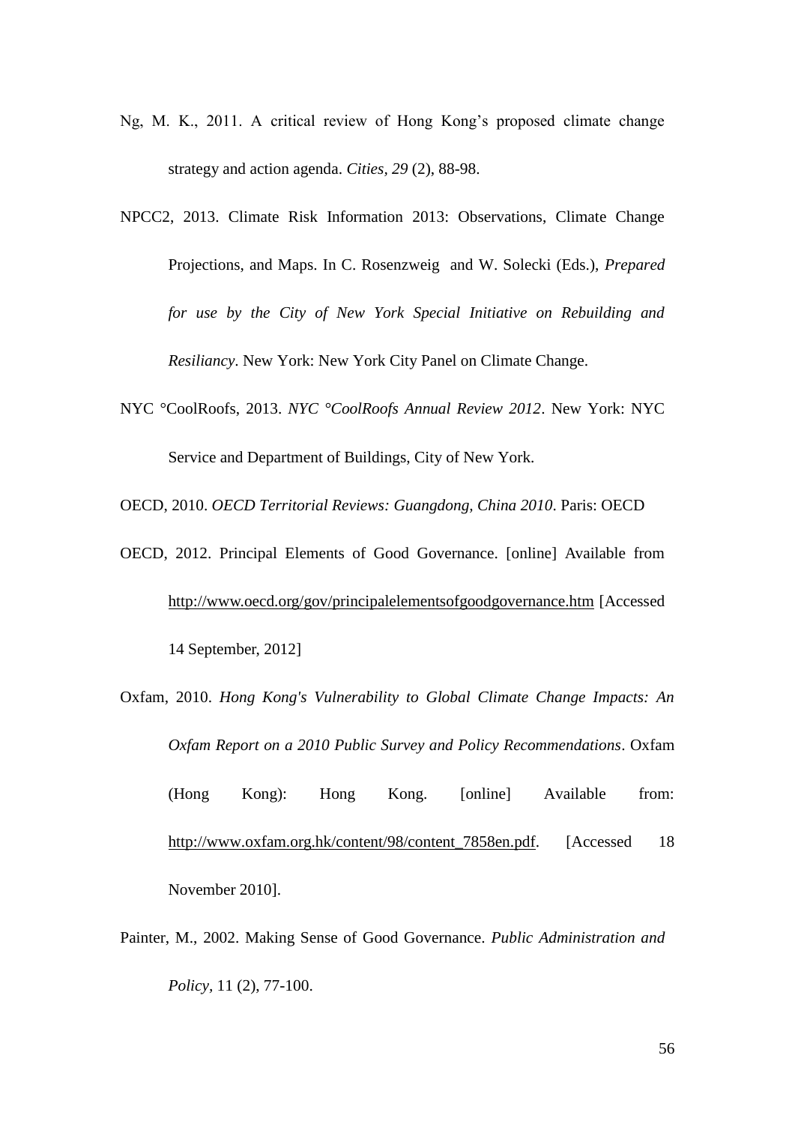- Ng, M. K., 2011. A critical review of Hong Kong's proposed climate change strategy and action agenda. *Cities, 29* (2), 88-98.
- <span id="page-56-1"></span>NPCC2, 2013. Climate Risk Information 2013: Observations, Climate Change Projections, and Maps. In C. Rosenzweig and W. Solecki (Eds.), *Prepared for use by the City of New York Special Initiative on Rebuilding and Resiliancy*. New York: New York City Panel on Climate Change.
- NYC °CoolRoofs, 2013. *NYC °CoolRoofs Annual Review 2012*. New York: NYC Service and Department of Buildings, City of New York.

OECD, 2010. *OECD Territorial Reviews: Guangdong, China 2010*. Paris: OECD

- <span id="page-56-0"></span>OECD, 2012. Principal Elements of Good Governance. [online] Available from <http://www.oecd.org/gov/principalelementsofgoodgovernance.htm> [Accessed 14 September, 2012]
- Oxfam, 2010. *Hong Kong's Vulnerability to Global Climate Change Impacts: An Oxfam Report on a 2010 Public Survey and Policy Recommendations*. Oxfam (Hong Kong): Hong Kong. [online] Available from: [http://www.oxfam.org.hk/content/98/content\\_7858en.pdf.](http://www.oxfam.org.hk/content/98/content_7858en.pdf) [Accessed 18 November 2010].
- Painter, M., 2002. Making Sense of Good Governance. *Public Administration and Policy,* 11 (2), 77-100.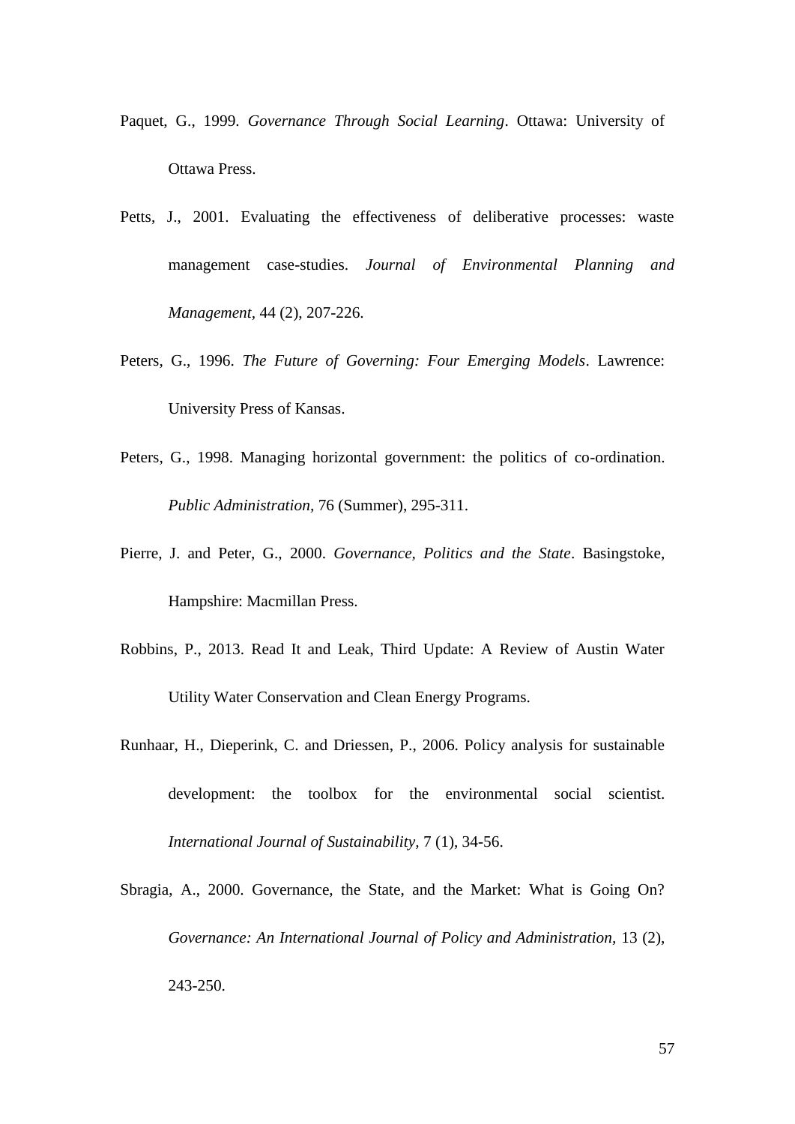- Paquet, G., 1999. *Governance Through Social Learning*. Ottawa: University of Ottawa Press.
- Petts, J., 2001. Evaluating the effectiveness of deliberative processes: waste management case-studies. *Journal of Environmental Planning and Management,* 44 (2), 207-226.
- Peters, G., 1996. *The Future of Governing: Four Emerging Models*. Lawrence: University Press of Kansas.
- Peters, G., 1998. Managing horizontal government: the politics of co-ordination. *Public Administration,* 76 (Summer), 295-311.
- Pierre, J. and Peter, G., 2000. *Governance, Politics and the State*. Basingstoke, Hampshire: Macmillan Press.
- Robbins, P., 2013. Read It and Leak, Third Update: A Review of Austin Water Utility Water Conservation and Clean Energy Programs.
- Runhaar, H., Dieperink, C. and Driessen, P., 2006. Policy analysis for sustainable development: the toolbox for the environmental social scientist. *International Journal of Sustainability,* 7 (1), 34-56.
- Sbragia, A., 2000. Governance, the State, and the Market: What is Going On? *Governance: An International Journal of Policy and Administration, 13 (2),* 243-250.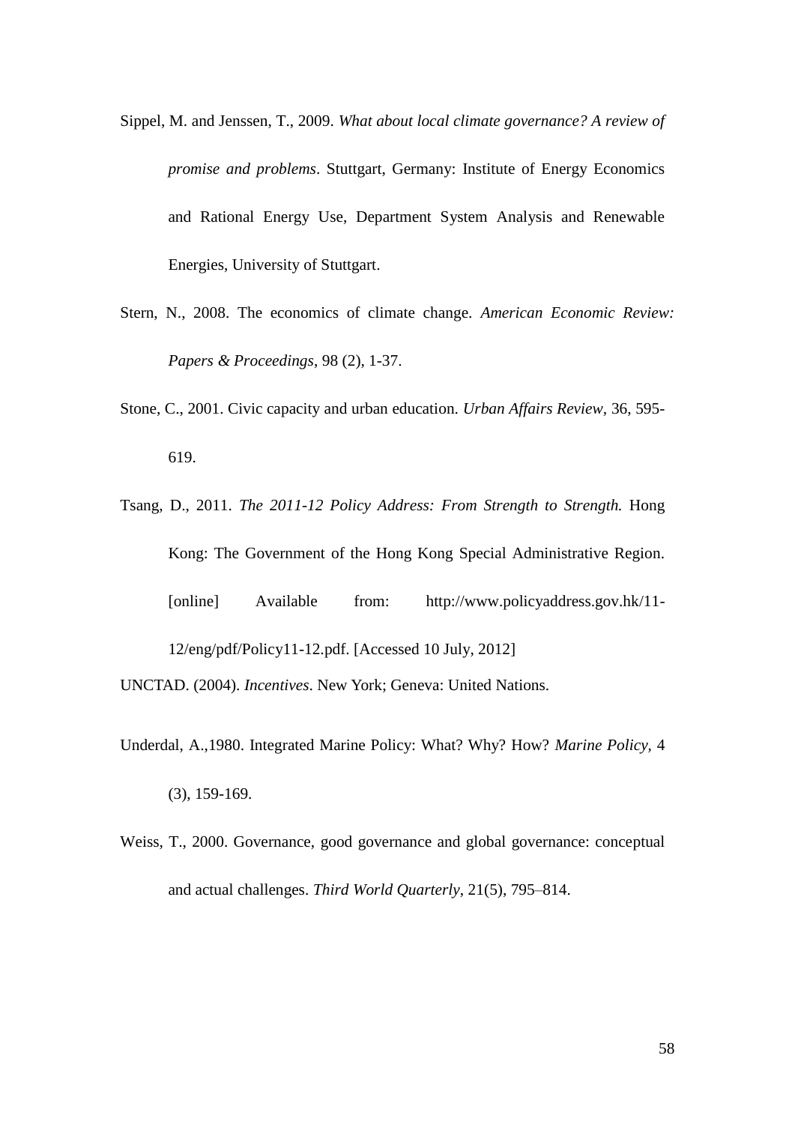- Sippel, M. and Jenssen, T., 2009. *What about local climate governance? A review of promise and problems*. Stuttgart, Germany: Institute of Energy Economics and Rational Energy Use, Department System Analysis and Renewable Energies, University of Stuttgart.
- Stern, N., 2008. The economics of climate change. *American Economic Review: Papers & Proceedings*, 98 (2), 1-37.
- Stone, C., 2001. Civic capacity and urban education. *Urban Affairs Review,* 36, 595- 619.
- Tsang, D., 2011. *The 2011-12 Policy Address: From Strength to Strength.* Hong Kong: The Government of the Hong Kong Special Administrative Region. [online] Available from: [http://www.policyaddress.gov.hk/11-](http://www.policyaddress.gov.hk/11-12/eng/pdf/Policy11-12.pdf) [12/eng/pdf/Policy11-12.pdf.](http://www.policyaddress.gov.hk/11-12/eng/pdf/Policy11-12.pdf) [Accessed 10 July, 2012]
- UNCTAD. (2004). *Incentives*. New York; Geneva: United Nations.
- Underdal, A.,1980. Integrated Marine Policy: What? Why? How? *Marine Policy,* 4 (3), 159-169.
- Weiss, T., 2000. Governance, good governance and global governance: conceptual and actual challenges. *Third World Quarterly*, 21(5), 795–814.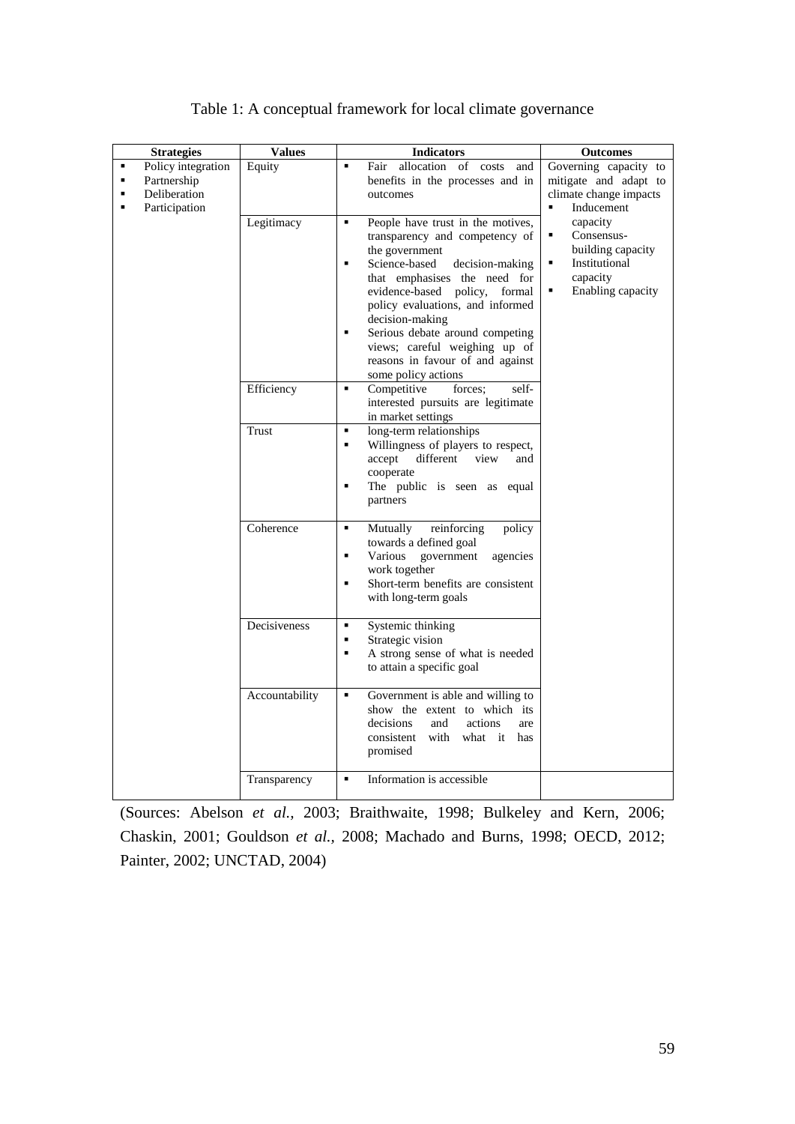| <b>Strategies</b>                                                                                                             | <b>Values</b>  | <b>Indicators</b>                                                                                                                                                                                                                                                                                                                                                                                                            | <b>Outcomes</b>                                                                                              |
|-------------------------------------------------------------------------------------------------------------------------------|----------------|------------------------------------------------------------------------------------------------------------------------------------------------------------------------------------------------------------------------------------------------------------------------------------------------------------------------------------------------------------------------------------------------------------------------------|--------------------------------------------------------------------------------------------------------------|
| Policy integration<br>٠<br>Partnership<br>$\blacksquare$<br>Deliberation<br>$\blacksquare$<br>Participation<br>$\blacksquare$ | Equity         | allocation of costs<br>Fair<br>$\blacksquare$<br>and<br>benefits in the processes and in<br>outcomes                                                                                                                                                                                                                                                                                                                         | Governing capacity to<br>mitigate and adapt to<br>climate change impacts<br>$\blacksquare$<br>Inducement     |
|                                                                                                                               | Legitimacy     | People have trust in the motives,<br>$\blacksquare$<br>transparency and competency of<br>the government<br>Science-based<br>decision-making<br>E<br>that emphasises the need for<br>evidence-based policy,<br>formal<br>policy evaluations, and informed<br>decision-making<br>Serious debate around competing<br>$\blacksquare$<br>views; careful weighing up of<br>reasons in favour of and against<br>some policy actions | capacity<br>Consensus-<br>٠<br>building capacity<br>Institutional<br>٠<br>capacity<br>Enabling capacity<br>٠ |
|                                                                                                                               | Efficiency     | Competitive<br>self-<br>٠<br>forces:<br>interested pursuits are legitimate<br>in market settings                                                                                                                                                                                                                                                                                                                             |                                                                                                              |
|                                                                                                                               | <b>Trust</b>   | long-term relationships<br>$\blacksquare$<br>Willingness of players to respect,<br>Ξ<br>accept<br>different<br>view<br>and<br>cooperate<br>The public is seen as equal<br>п<br>partners                                                                                                                                                                                                                                      |                                                                                                              |
|                                                                                                                               | Coherence      | reinforcing<br>policy<br>$\blacksquare$<br>Mutually<br>towards a defined goal<br>E<br>Various<br>government<br>agencies<br>work together<br>Short-term benefits are consistent<br>٠<br>with long-term goals                                                                                                                                                                                                                  |                                                                                                              |
|                                                                                                                               | Decisiveness   | Systemic thinking<br>٠<br>Strategic vision<br>п<br>A strong sense of what is needed<br>$\blacksquare$<br>to attain a specific goal                                                                                                                                                                                                                                                                                           |                                                                                                              |
|                                                                                                                               | Accountability | Government is able and willing to<br>٠<br>show the extent to which its<br>decisions<br>and<br>actions<br>are<br>with<br>consistent<br>what it<br>has<br>promised                                                                                                                                                                                                                                                             |                                                                                                              |
|                                                                                                                               | Transparency   | Information is accessible<br>٠                                                                                                                                                                                                                                                                                                                                                                                               |                                                                                                              |

## Table 1: A conceptual framework for local climate governance

(Sources: Abelson *et al.,* 2003; [Braithwaite, 1998;](#page-45-1) Bulkeley and Kern, 2006; Chaskin, 2001; Gouldson *et al.,* 2008; Machado and Burns, 1998; OECD, 2012; Painter, 2002; UNCTAD, 2004)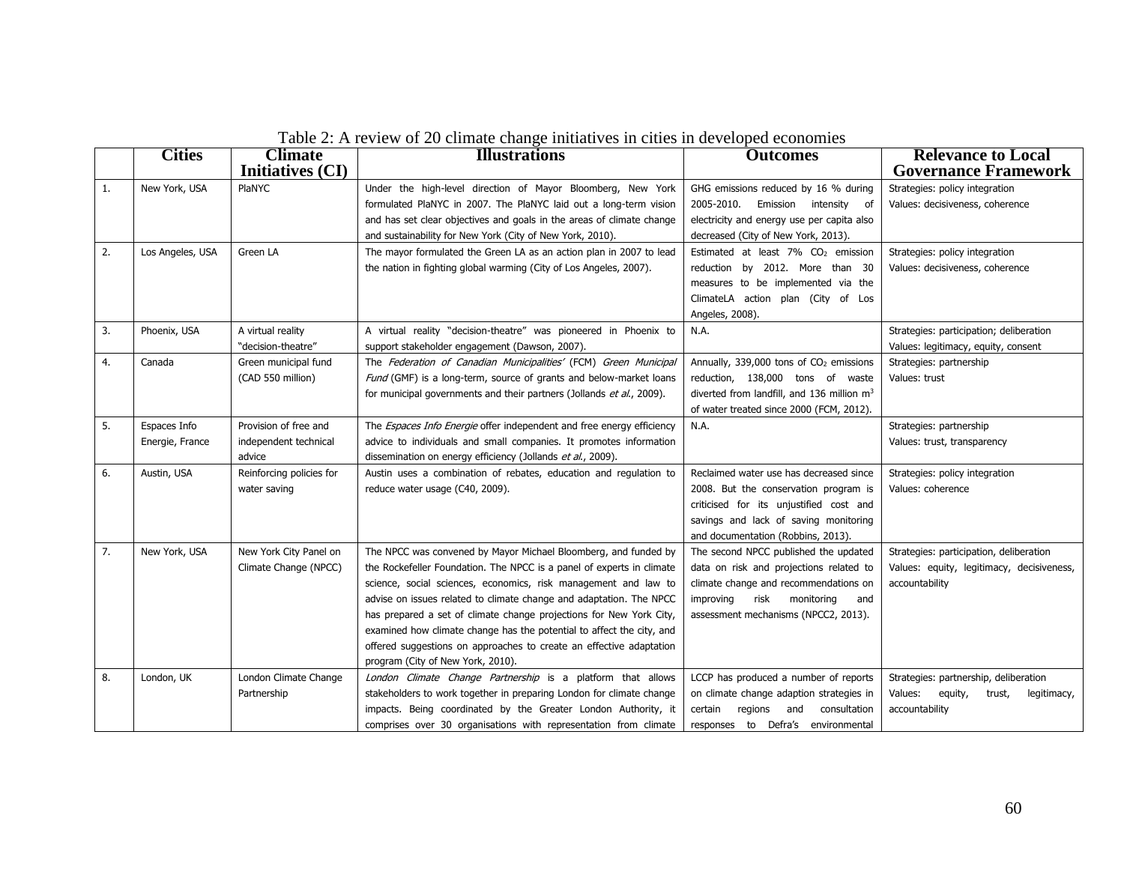|    | <b>Cities</b>    | <b>Climate</b>           | $\sim$ . The step of $\equiv$ 0 change change matrices in choose in Ge , Cross<br><b>Illustrations</b> | <b>Outcomes</b>                                        | <b>Relevance to Local</b>                   |
|----|------------------|--------------------------|--------------------------------------------------------------------------------------------------------|--------------------------------------------------------|---------------------------------------------|
|    |                  | <b>Initiatives (CI)</b>  |                                                                                                        |                                                        | <b>Governance Framework</b>                 |
| 1. | New York, USA    | PlaNYC                   | Under the high-level direction of Mayor Bloomberg, New York                                            | GHG emissions reduced by 16 % during                   | Strategies: policy integration              |
|    |                  |                          | formulated PlaNYC in 2007. The PlaNYC laid out a long-term vision                                      | 2005-2010.<br>Emission intensity of                    | Values: decisiveness, coherence             |
|    |                  |                          | and has set clear objectives and goals in the areas of climate change                                  | electricity and energy use per capita also             |                                             |
|    |                  |                          | and sustainability for New York (City of New York, 2010).                                              | decreased (City of New York, 2013).                    |                                             |
| 2. | Los Angeles, USA | Green LA                 | The mayor formulated the Green LA as an action plan in 2007 to lead                                    | Estimated at least 7% CO <sub>2</sub> emission         | Strategies: policy integration              |
|    |                  |                          | the nation in fighting global warming (City of Los Angeles, 2007).                                     | reduction by 2012. More than 30                        | Values: decisiveness, coherence             |
|    |                  |                          |                                                                                                        | measures to be implemented via the                     |                                             |
|    |                  |                          |                                                                                                        | ClimateLA action plan (City of Los                     |                                             |
|    |                  |                          |                                                                                                        | Angeles, 2008).                                        |                                             |
| 3. | Phoenix, USA     | A virtual reality        | A virtual reality "decision-theatre" was pioneered in Phoenix to                                       | N.A.                                                   | Strategies: participation; deliberation     |
|    |                  | "decision-theatre"       | support stakeholder engagement (Dawson, 2007).                                                         |                                                        | Values: legitimacy, equity, consent         |
| 4. | Canada           | Green municipal fund     | The Federation of Canadian Municipalities' (FCM) Green Municipal                                       | Annually, 339,000 tons of CO <sub>2</sub> emissions    | Strategies: partnership                     |
|    |                  | (CAD 550 million)        | Fund (GMF) is a long-term, source of grants and below-market loans                                     | reduction, 138,000 tons of waste                       | Values: trust                               |
|    |                  |                          | for municipal governments and their partners (Jollands et al., 2009).                                  | diverted from landfill, and 136 million m <sup>3</sup> |                                             |
|    |                  |                          |                                                                                                        | of water treated since 2000 (FCM, 2012).               |                                             |
| 5. | Espaces Info     | Provision of free and    | The <i>Espaces Info Energie</i> offer independent and free energy efficiency                           | N.A.                                                   | Strategies: partnership                     |
|    | Energie, France  | independent technical    | advice to individuals and small companies. It promotes information                                     |                                                        | Values: trust, transparency                 |
|    |                  | advice                   | dissemination on energy efficiency (Jollands et al., 2009).                                            |                                                        |                                             |
| 6. | Austin, USA      | Reinforcing policies for | Austin uses a combination of rebates, education and regulation to                                      | Reclaimed water use has decreased since                | Strategies: policy integration              |
|    |                  | water saving             | reduce water usage (C40, 2009).                                                                        | 2008. But the conservation program is                  | Values: coherence                           |
|    |                  |                          |                                                                                                        | criticised for its unjustified cost and                |                                             |
|    |                  |                          |                                                                                                        | savings and lack of saving monitoring                  |                                             |
|    |                  |                          |                                                                                                        | and documentation (Robbins, 2013).                     |                                             |
| 7. | New York, USA    | New York City Panel on   | The NPCC was convened by Mayor Michael Bloomberg, and funded by                                        | The second NPCC published the updated                  | Strategies: participation, deliberation     |
|    |                  | Climate Change (NPCC)    | the Rockefeller Foundation. The NPCC is a panel of experts in climate                                  | data on risk and projections related to                | Values: equity, legitimacy, decisiveness,   |
|    |                  |                          | science, social sciences, economics, risk management and law to                                        | climate change and recommendations on                  | accountability                              |
|    |                  |                          | advise on issues related to climate change and adaptation. The NPCC                                    | improving<br>risk<br>monitoring<br>and                 |                                             |
|    |                  |                          | has prepared a set of climate change projections for New York City,                                    | assessment mechanisms (NPCC2, 2013).                   |                                             |
|    |                  |                          | examined how climate change has the potential to affect the city, and                                  |                                                        |                                             |
|    |                  |                          | offered suggestions on approaches to create an effective adaptation                                    |                                                        |                                             |
|    |                  |                          | program (City of New York, 2010).                                                                      |                                                        |                                             |
| 8. | London, UK       | London Climate Change    | London Climate Change Partnership is a platform that allows                                            | LCCP has produced a number of reports                  | Strategies: partnership, deliberation       |
|    |                  | Partnership              | stakeholders to work together in preparing London for climate change                                   | on climate change adaption strategies in               | Values:<br>equity,<br>legitimacy,<br>trust, |
|    |                  |                          | impacts. Being coordinated by the Greater London Authority, it                                         | certain regions and<br>consultation                    | accountability                              |
|    |                  |                          | comprises over 30 organisations with representation from climate                                       | responses to Defra's environmental                     |                                             |

Table 2: A review of 20 climate change initiatives in cities in developed economies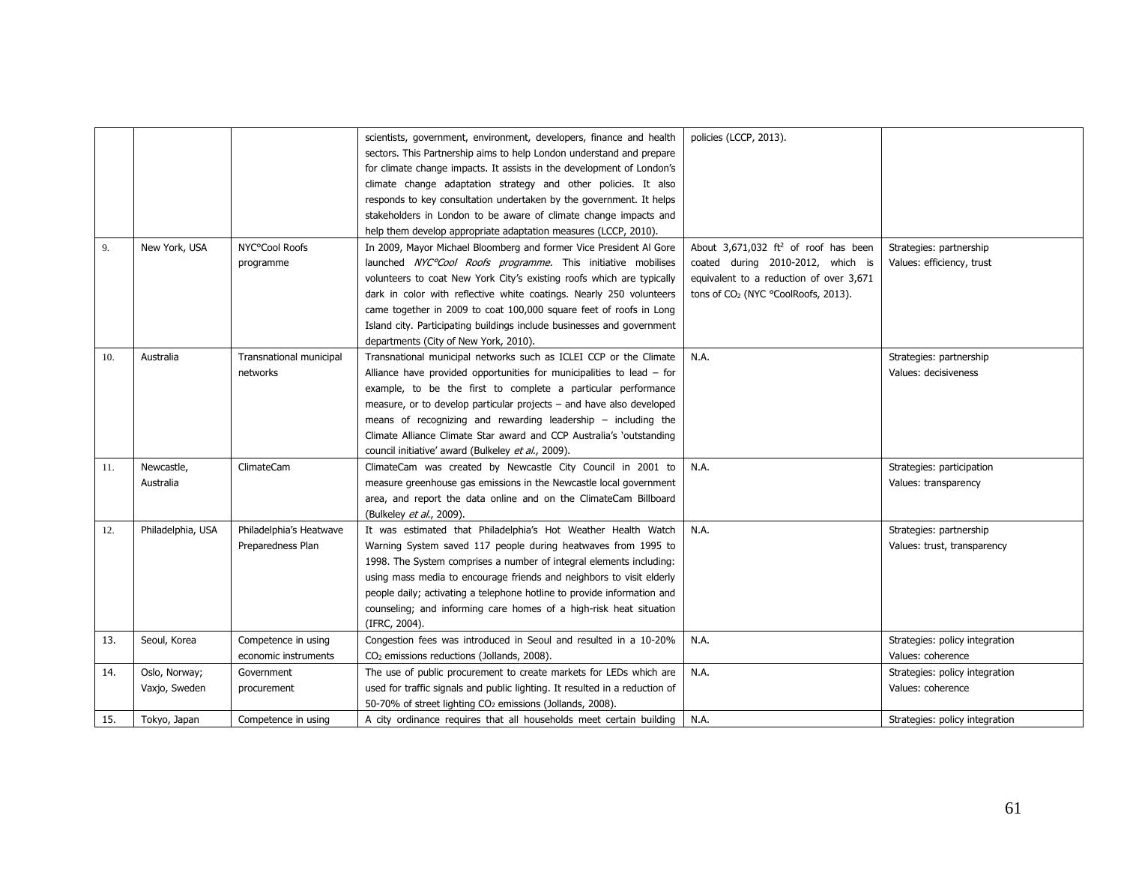|     |                   |                         | scientists, government, environment, developers, finance and health         | policies (LCCP, 2013).                           |                                |
|-----|-------------------|-------------------------|-----------------------------------------------------------------------------|--------------------------------------------------|--------------------------------|
|     |                   |                         | sectors. This Partnership aims to help London understand and prepare        |                                                  |                                |
|     |                   |                         | for climate change impacts. It assists in the development of London's       |                                                  |                                |
|     |                   |                         | climate change adaptation strategy and other policies. It also              |                                                  |                                |
|     |                   |                         | responds to key consultation undertaken by the government. It helps         |                                                  |                                |
|     |                   |                         | stakeholders in London to be aware of climate change impacts and            |                                                  |                                |
|     |                   |                         | help them develop appropriate adaptation measures (LCCP, 2010).             |                                                  |                                |
| 9.  | New York, USA     | NYC°Cool Roofs          | In 2009, Mayor Michael Bloomberg and former Vice President Al Gore          | About 3,671,032 ft <sup>2</sup> of roof has been | Strategies: partnership        |
|     |                   | programme               | launched NYC <sup>o</sup> Cool Roofs programme. This initiative mobilises   | coated during 2010-2012, which is                | Values: efficiency, trust      |
|     |                   |                         | volunteers to coat New York City's existing roofs which are typically       | equivalent to a reduction of over 3,671          |                                |
|     |                   |                         | dark in color with reflective white coatings. Nearly 250 volunteers         | tons of CO <sub>2</sub> (NYC °CoolRoofs, 2013).  |                                |
|     |                   |                         | came together in 2009 to coat 100,000 square feet of roofs in Long          |                                                  |                                |
|     |                   |                         | Island city. Participating buildings include businesses and government      |                                                  |                                |
|     |                   |                         | departments (City of New York, 2010).                                       |                                                  |                                |
| 10. | Australia         | Transnational municipal | Transnational municipal networks such as ICLEI CCP or the Climate           | N.A.                                             | Strategies: partnership        |
|     |                   | networks                | Alliance have provided opportunities for municipalities to lead $-$ for     |                                                  | Values: decisiveness           |
|     |                   |                         | example, to be the first to complete a particular performance               |                                                  |                                |
|     |                   |                         | measure, or to develop particular projects - and have also developed        |                                                  |                                |
|     |                   |                         | means of recognizing and rewarding leadership $-$ including the             |                                                  |                                |
|     |                   |                         | Climate Alliance Climate Star award and CCP Australia's `outstanding        |                                                  |                                |
|     |                   |                         | council initiative' award (Bulkeley et al., 2009).                          |                                                  |                                |
| 11. | Newcastle,        | <b>ClimateCam</b>       | ClimateCam was created by Newcastle City Council in 2001 to                 | N.A.                                             | Strategies: participation      |
|     | Australia         |                         | measure greenhouse gas emissions in the Newcastle local government          |                                                  | Values: transparency           |
|     |                   |                         | area, and report the data online and on the ClimateCam Billboard            |                                                  |                                |
|     |                   |                         | (Bulkeley et al., 2009).                                                    |                                                  |                                |
| 12. | Philadelphia, USA | Philadelphia's Heatwave | It was estimated that Philadelphia's Hot Weather Health Watch               | N.A.                                             | Strategies: partnership        |
|     |                   | Preparedness Plan       | Warning System saved 117 people during heatwaves from 1995 to               |                                                  | Values: trust, transparency    |
|     |                   |                         | 1998. The System comprises a number of integral elements including:         |                                                  |                                |
|     |                   |                         | using mass media to encourage friends and neighbors to visit elderly        |                                                  |                                |
|     |                   |                         | people daily; activating a telephone hotline to provide information and     |                                                  |                                |
|     |                   |                         | counseling; and informing care homes of a high-risk heat situation          |                                                  |                                |
|     |                   |                         | (IFRC, 2004).                                                               |                                                  |                                |
| 13. | Seoul, Korea      | Competence in using     | Congestion fees was introduced in Seoul and resulted in a 10-20%            | N.A.                                             | Strategies: policy integration |
|     |                   | economic instruments    | CO <sub>2</sub> emissions reductions (Jollands, 2008).                      |                                                  | Values: coherence              |
| 14. | Oslo, Norway;     | Government              | The use of public procurement to create markets for LEDs which are          | N.A.                                             | Strategies: policy integration |
|     | Vaxjo, Sweden     | procurement             | used for traffic signals and public lighting. It resulted in a reduction of |                                                  | Values: coherence              |
|     |                   |                         | 50-70% of street lighting CO <sub>2</sub> emissions (Jollands, 2008).       |                                                  |                                |
| 15. | Tokyo, Japan      | Competence in using     | A city ordinance requires that all households meet certain building         | N.A.                                             | Strategies: policy integration |